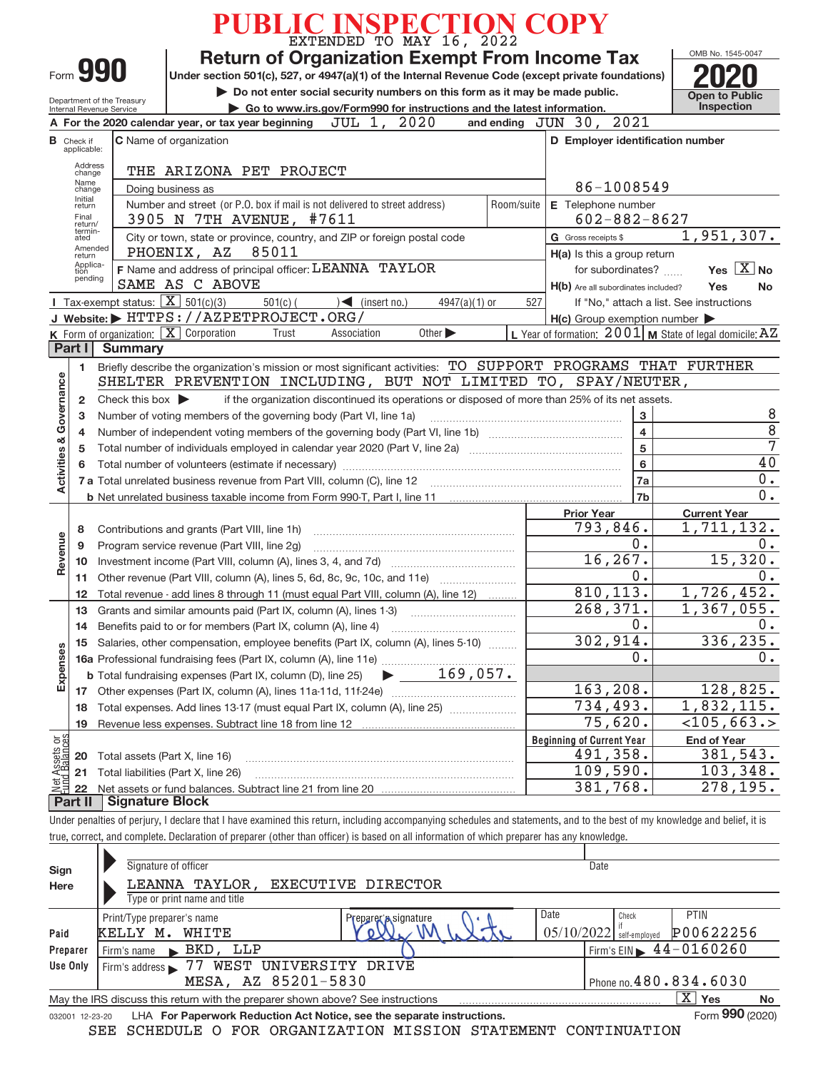|                                                |                                                                                                                                  |                                                   |                                                                                                                                                                                                                                          | PUBLIC INSPECTION COPY                                                                          |                     |                             |                 |            |                                  |                                                     |                                                                                                                                                                            |  |  |
|------------------------------------------------|----------------------------------------------------------------------------------------------------------------------------------|---------------------------------------------------|------------------------------------------------------------------------------------------------------------------------------------------------------------------------------------------------------------------------------------------|-------------------------------------------------------------------------------------------------|---------------------|-----------------------------|-----------------|------------|----------------------------------|-----------------------------------------------------|----------------------------------------------------------------------------------------------------------------------------------------------------------------------------|--|--|
|                                                | Form 990                                                                                                                         |                                                   | Under section 501(c), 527, or 4947(a)(1) of the Internal Revenue Code (except private foundations)                                                                                                                                       | <b>Return of Organization Exempt From Income Tax</b>                                            |                     |                             |                 |            |                                  |                                                     | OMB No. 1545-0047                                                                                                                                                          |  |  |
|                                                |                                                                                                                                  |                                                   |                                                                                                                                                                                                                                          | Do not enter social security numbers on this form as it may be made public.                     |                     |                             |                 |            |                                  |                                                     | <b>Open to Public</b>                                                                                                                                                      |  |  |
|                                                | Department of the Treasury<br>Go to www.irs.gov/Form990 for instructions and the latest information.<br>Internal Revenue Service |                                                   |                                                                                                                                                                                                                                          |                                                                                                 |                     |                             |                 |            |                                  |                                                     | Inspection                                                                                                                                                                 |  |  |
|                                                |                                                                                                                                  |                                                   | A For the 2020 calendar year, or tax year beginning                                                                                                                                                                                      |                                                                                                 | $JUL$ 1,            | 2020                        |                 |            | 2021<br>and ending $JUN$ 30,     |                                                     |                                                                                                                                                                            |  |  |
|                                                | <b>B</b> Check if<br>applicable:                                                                                                 |                                                   | <b>C</b> Name of organization                                                                                                                                                                                                            |                                                                                                 |                     |                             |                 |            |                                  | D Employer identification number                    |                                                                                                                                                                            |  |  |
|                                                | Address<br>change<br>Name<br>change                                                                                              |                                                   | THE ARIZONA PET PROJECT<br>Doing business as                                                                                                                                                                                             |                                                                                                 |                     |                             |                 |            |                                  | 86-1008549                                          |                                                                                                                                                                            |  |  |
|                                                | Initial<br>return<br>Final<br>return/                                                                                            |                                                   | Number and street (or P.O. box if mail is not delivered to street address)<br>3905 N 7TH AVENUE, #7611                                                                                                                                   |                                                                                                 |                     |                             |                 | Room/suite | E Telephone number               | $602 - 882 - 8627$                                  |                                                                                                                                                                            |  |  |
|                                                | termin-<br>ated                                                                                                                  |                                                   | City or town, state or province, country, and ZIP or foreign postal code                                                                                                                                                                 |                                                                                                 |                     |                             |                 |            | G Gross receipts \$              |                                                     | 1,951,307.                                                                                                                                                                 |  |  |
|                                                | Amended<br>return                                                                                                                |                                                   | PHOENIX, AZ                                                                                                                                                                                                                              | 85011                                                                                           |                     |                             |                 |            |                                  | H(a) Is this a group return                         |                                                                                                                                                                            |  |  |
|                                                | Applica-<br>tion<br>pending                                                                                                      |                                                   | F Name and address of principal officer: LEANNA TAYLOR                                                                                                                                                                                   |                                                                                                 |                     |                             |                 |            |                                  | for subordinates?                                   | Yes $X$ No                                                                                                                                                                 |  |  |
|                                                |                                                                                                                                  |                                                   | SAME AS C ABOVE                                                                                                                                                                                                                          |                                                                                                 |                     |                             |                 |            |                                  | H(b) Are all subordinates included?                 | Yes<br>No                                                                                                                                                                  |  |  |
|                                                |                                                                                                                                  | Tax-exempt status: $\boxed{\mathbf{X}}$ 501(c)(3) |                                                                                                                                                                                                                                          | $501(c)$ (                                                                                      | $\sum$ (insert no.) |                             | $4947(a)(1)$ or | 527        |                                  |                                                     | If "No," attach a list. See instructions                                                                                                                                   |  |  |
|                                                |                                                                                                                                  |                                                   | J Website: FITTPS: //AZPETPROJECT.ORG/                                                                                                                                                                                                   |                                                                                                 |                     |                             |                 |            |                                  | $H(c)$ Group exemption number $\blacktriangleright$ |                                                                                                                                                                            |  |  |
|                                                | Part I                                                                                                                           | <b>Summary</b>                                    | K Form of organization: X Corporation                                                                                                                                                                                                    | Trust                                                                                           | Association         | Other $\blacktriangleright$ |                 |            |                                  |                                                     | L Year of formation: $2001$ M State of legal domicile: $AZ$                                                                                                                |  |  |
|                                                |                                                                                                                                  |                                                   | Briefly describe the organization's mission or most significant activities: TO SUPPORT PROGRAMS THAT FURTHER                                                                                                                             |                                                                                                 |                     |                             |                 |            |                                  |                                                     |                                                                                                                                                                            |  |  |
|                                                | 1                                                                                                                                |                                                   | SHELTER PREVENTION INCLUDING, BUT NOT LIMITED TO, SPAY/NEUTER,                                                                                                                                                                           |                                                                                                 |                     |                             |                 |            |                                  |                                                     |                                                                                                                                                                            |  |  |
|                                                | 2                                                                                                                                | Check this box $\blacktriangleright$              |                                                                                                                                                                                                                                          | if the organization discontinued its operations or disposed of more than 25% of its net assets. |                     |                             |                 |            |                                  |                                                     |                                                                                                                                                                            |  |  |
|                                                | 3                                                                                                                                |                                                   | Number of voting members of the governing body (Part VI, line 1a)                                                                                                                                                                        |                                                                                                 |                     |                             |                 |            |                                  | 3                                                   | 8                                                                                                                                                                          |  |  |
|                                                |                                                                                                                                  |                                                   |                                                                                                                                                                                                                                          |                                                                                                 |                     |                             |                 |            |                                  | $\overline{\mathbf{4}}$                             | $\overline{8}$                                                                                                                                                             |  |  |
|                                                | 4                                                                                                                                |                                                   |                                                                                                                                                                                                                                          |                                                                                                 |                     |                             |                 |            |                                  | $\overline{5}$                                      | 7                                                                                                                                                                          |  |  |
| Activities & Governance<br>5<br>$6\phantom{a}$ |                                                                                                                                  |                                                   |                                                                                                                                                                                                                                          |                                                                                                 |                     |                             |                 |            |                                  |                                                     | 40                                                                                                                                                                         |  |  |
|                                                | 6                                                                                                                                |                                                   |                                                                                                                                                                                                                                          |                                                                                                 |                     |                             |                 |            |                                  | 7a                                                  | 0.                                                                                                                                                                         |  |  |
|                                                |                                                                                                                                  |                                                   |                                                                                                                                                                                                                                          |                                                                                                 |                     |                             |                 |            |                                  | 7 <sub>b</sub>                                      | 0.                                                                                                                                                                         |  |  |
|                                                |                                                                                                                                  |                                                   | <b>b</b> Net unrelated business taxable income from Form 990-T, Part I, line 11 <b>manual</b> content to the subsequent of the term of the term of the term of the term of the term of the term of the term of the term of the term of t |                                                                                                 |                     |                             |                 |            |                                  |                                                     |                                                                                                                                                                            |  |  |
|                                                |                                                                                                                                  |                                                   |                                                                                                                                                                                                                                          |                                                                                                 |                     |                             |                 |            | <b>Prior Year</b>                | 793,846.                                            | <b>Current Year</b><br>1,711,132.                                                                                                                                          |  |  |
|                                                | 8                                                                                                                                |                                                   |                                                                                                                                                                                                                                          |                                                                                                 |                     |                             |                 |            |                                  | 0.                                                  | 0.                                                                                                                                                                         |  |  |
| Revenue                                        | 9                                                                                                                                |                                                   | Program service revenue (Part VIII, line 2g)                                                                                                                                                                                             |                                                                                                 |                     |                             |                 |            |                                  | 16, 267.                                            | 15,320.                                                                                                                                                                    |  |  |
|                                                | 10<br>11                                                                                                                         |                                                   | Other revenue (Part VIII, column (A), lines 5, 6d, 8c, 9c, 10c, and 11e)                                                                                                                                                                 |                                                                                                 |                     |                             |                 |            |                                  | 0.                                                  | 0.                                                                                                                                                                         |  |  |
|                                                |                                                                                                                                  |                                                   |                                                                                                                                                                                                                                          |                                                                                                 |                     |                             |                 |            |                                  | 810, 113.                                           | 1,726,452.                                                                                                                                                                 |  |  |
|                                                | 12                                                                                                                               |                                                   | Total revenue - add lines 8 through 11 (must equal Part VIII, column (A), line 12)                                                                                                                                                       |                                                                                                 |                     |                             |                 |            |                                  | 268,371.                                            | 1,367,055.                                                                                                                                                                 |  |  |
|                                                | 13                                                                                                                               |                                                   | Grants and similar amounts paid (Part IX, column (A), lines 1-3)                                                                                                                                                                         |                                                                                                 |                     |                             |                 |            |                                  | 0.                                                  | 0.                                                                                                                                                                         |  |  |
|                                                | 14                                                                                                                               |                                                   | Benefits paid to or for members (Part IX, column (A), line 4)<br>Salaries, other compensation, employee benefits (Part IX, column (A), lines 5-10)                                                                                       |                                                                                                 |                     |                             |                 |            |                                  | 302,914.                                            | 336, 235.                                                                                                                                                                  |  |  |
|                                                | 15                                                                                                                               |                                                   |                                                                                                                                                                                                                                          |                                                                                                 |                     |                             |                 |            |                                  | 0.                                                  | 0.                                                                                                                                                                         |  |  |
| Expenses                                       |                                                                                                                                  |                                                   | <b>b</b> Total fundraising expenses (Part IX, column (D), line 25)                                                                                                                                                                       |                                                                                                 |                     | $169,057$ .                 |                 |            |                                  |                                                     |                                                                                                                                                                            |  |  |
|                                                | 17                                                                                                                               |                                                   |                                                                                                                                                                                                                                          |                                                                                                 |                     |                             |                 |            |                                  | 163,208.                                            | 128,825.                                                                                                                                                                   |  |  |
|                                                | 18                                                                                                                               |                                                   | Total expenses. Add lines 13-17 (must equal Part IX, column (A), line 25)                                                                                                                                                                |                                                                                                 |                     |                             |                 |            |                                  | 734,493.                                            | 1,832,115.                                                                                                                                                                 |  |  |
|                                                | 19                                                                                                                               |                                                   |                                                                                                                                                                                                                                          |                                                                                                 |                     |                             |                 |            |                                  | 75,620.                                             | $<$ 105,663.>                                                                                                                                                              |  |  |
|                                                |                                                                                                                                  |                                                   |                                                                                                                                                                                                                                          |                                                                                                 |                     |                             |                 |            | <b>Beginning of Current Year</b> |                                                     | End of Year                                                                                                                                                                |  |  |
|                                                | 20                                                                                                                               | Total assets (Part X, line 16)                    |                                                                                                                                                                                                                                          |                                                                                                 |                     |                             |                 |            |                                  | 491,358.                                            | 381,543.                                                                                                                                                                   |  |  |
| Net Assets or<br>Eund Balances                 | 21                                                                                                                               |                                                   | Total liabilities (Part X, line 26)                                                                                                                                                                                                      |                                                                                                 |                     |                             |                 |            |                                  | 109,590.                                            | 103,348.                                                                                                                                                                   |  |  |
|                                                | 22                                                                                                                               |                                                   |                                                                                                                                                                                                                                          |                                                                                                 |                     |                             |                 |            |                                  | 381,768.                                            | 278,195.                                                                                                                                                                   |  |  |
|                                                | Part II                                                                                                                          | <b>Signature Block</b>                            |                                                                                                                                                                                                                                          |                                                                                                 |                     |                             |                 |            |                                  |                                                     |                                                                                                                                                                            |  |  |
|                                                |                                                                                                                                  |                                                   | true, correct, and complete. Declaration of preparer (other than officer) is based on all information of which preparer has any knowledge.                                                                                               |                                                                                                 |                     |                             |                 |            |                                  |                                                     | Under penalties of perjury, I declare that I have examined this return, including accompanying schedules and statements, and to the best of my knowledge and belief, it is |  |  |
|                                                |                                                                                                                                  |                                                   |                                                                                                                                                                                                                                          |                                                                                                 |                     |                             |                 |            |                                  |                                                     |                                                                                                                                                                            |  |  |
| Sign                                           |                                                                                                                                  |                                                   | Signature of officer                                                                                                                                                                                                                     |                                                                                                 |                     |                             |                 |            | Date                             |                                                     |                                                                                                                                                                            |  |  |
| Here                                           |                                                                                                                                  |                                                   | LEANNA TAYLOR,<br>Type or print name and title                                                                                                                                                                                           | <b>EXECUTIVE DIRECTOR</b>                                                                       |                     |                             |                 |            |                                  |                                                     |                                                                                                                                                                            |  |  |
|                                                |                                                                                                                                  | Print/Type preparer's name                        |                                                                                                                                                                                                                                          |                                                                                                 |                     | Prepare Asignature          |                 |            | Date                             | Check                                               | PTIN                                                                                                                                                                       |  |  |
| Paid                                           |                                                                                                                                  | KELLY M.                                          | <b>WHITE</b>                                                                                                                                                                                                                             |                                                                                                 |                     |                             |                 |            | 05/10/2022                       | self-employed                                       | P00622256                                                                                                                                                                  |  |  |
| Preparer                                       |                                                                                                                                  | Firm's name                                       | $\blacktriangleright$ BKD, LLP                                                                                                                                                                                                           |                                                                                                 |                     |                             |                 |            |                                  |                                                     | Firm's EIN $\geq 44 - 0160260$                                                                                                                                             |  |  |
| Use Only                                       |                                                                                                                                  |                                                   | Firm's address 377 WEST UNIVERSITY DRIVE                                                                                                                                                                                                 |                                                                                                 |                     |                             |                 |            |                                  |                                                     |                                                                                                                                                                            |  |  |

| Sign<br>Here    | Signature of officer<br>LEANNA TAYLOR,<br>EXECUTIVE DIRECTOR                    | Date                                        |                 |
|-----------------|---------------------------------------------------------------------------------|---------------------------------------------|-----------------|
|                 | Type or print name and title                                                    |                                             |                 |
|                 | Print/Type preparer's name<br>Prepare Asignature                                | Date<br>Check                               | <b>PTIN</b>     |
| Paid            | KELLY M. WHITE                                                                  | $05/10/2022$ self-employed                  | P00622256       |
| Preparer        | Firm's name $\blacktriangleright$ BKD, $LLP$                                    | Firm's EIN $\blacktriangleright$ 44-0160260 |                 |
| Use Only        | Firm's address 377 WEST UNIVERSITY DRIVE                                        |                                             |                 |
|                 | MESA, AZ 85201-5830                                                             | Phone no. 480.834.6030                      |                 |
|                 | May the IRS discuss this return with the preparer shown above? See instructions | $\mathbf{X}$                                | Yes<br>No       |
| 032001 12-23-20 | LHA For Paperwork Reduction Act Notice, see the separate instructions.          |                                             | Form 990 (2020) |
|                 | COURDIII R. O ROB ODCANTRAMIONI MICCIONI CMAMEMENT CONMINIAMIONI<br><b>CDD</b>  |                                             |                 |

SEE SCHEDULE O FOR ORGANIZATION MISSION STATEMENT CONTINUATION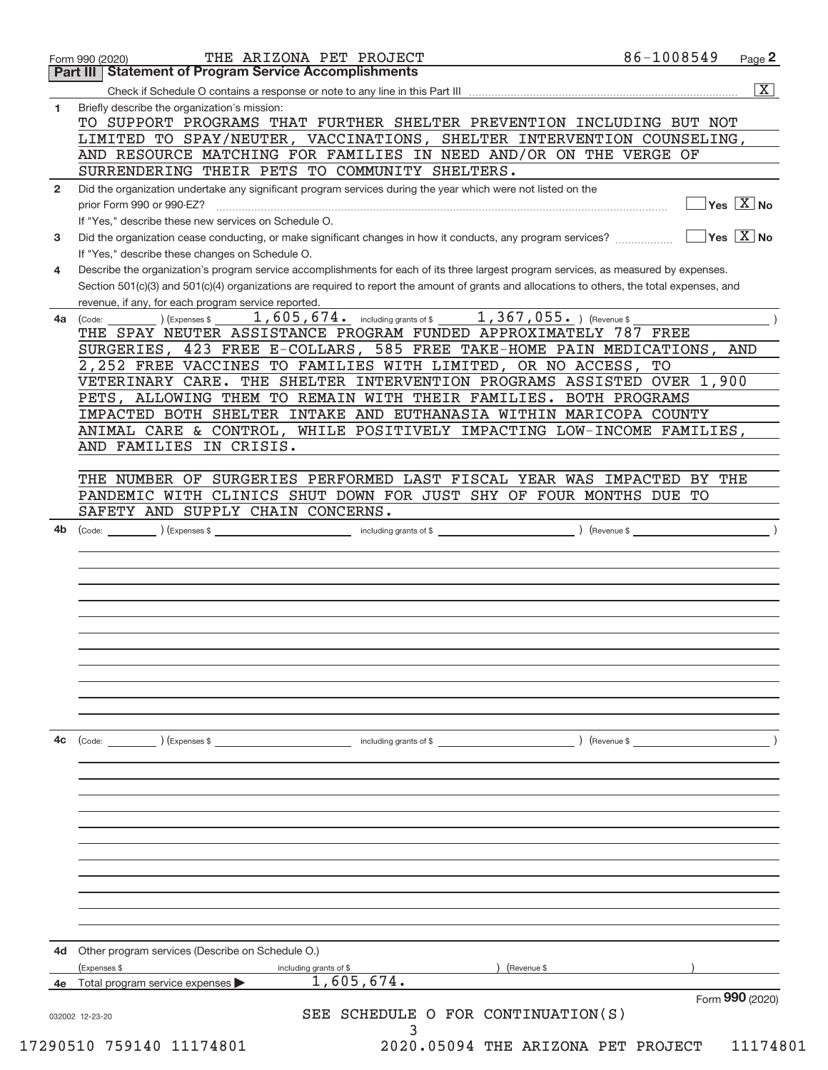| Briefly describe the organization's mission:<br>1.<br>TO SUPPORT PROGRAMS THAT FURTHER SHELTER PREVENTION INCLUDING BUT NOT<br>LIMITED TO SPAY/NEUTER, VACCINATIONS, SHELTER INTERVENTION COUNSELING,<br>AND RESOURCE MATCHING FOR FAMILIES IN NEED AND/OR ON THE VERGE OF<br>SURRENDERING THEIR PETS TO COMMUNITY SHELTERS.<br>Did the organization undertake any significant program services during the year which were not listed on the<br>$\mathbf{2}$<br>$\overline{\mathsf{Yes} \mathbb{X}}$ No<br>prior Form 990 or 990-EZ?<br>If "Yes," describe these new services on Schedule O.<br>$\overline{\mathsf{Yes} \mathbb{X}}$ No<br>Did the organization cease conducting, or make significant changes in how it conducts, any program services?<br>3<br>If "Yes," describe these changes on Schedule O.<br>Describe the organization's program service accomplishments for each of its three largest program services, as measured by expenses.<br>4<br>Section 501(c)(3) and 501(c)(4) organizations are required to report the amount of grants and allocations to others, the total expenses, and<br>revenue, if any, for each program service reported.<br>1,605,674. including grants of \$1,367,055. ) (Revenue \$<br>(Expenses \$<br>(Code:<br>4a<br>THE SPAY NEUTER ASSISTANCE PROGRAM FUNDED APPROXIMATELY 787 FREE<br>SURGERIES, 423 FREE E-COLLARS, 585 FREE TAKE-HOME PAIN MEDICATIONS, AND<br>2,252 FREE VACCINES TO FAMILIES WITH LIMITED, OR NO ACCESS, TO<br>VETERINARY CARE. THE SHELTER INTERVENTION PROGRAMS ASSISTED OVER 1,900<br>PETS, ALLOWING THEM TO REMAIN WITH THEIR FAMILIES. BOTH PROGRAMS<br>IMPACTED BOTH SHELTER INTAKE AND EUTHANASIA WITHIN MARICOPA COUNTY<br>ANIMAL CARE & CONTROL, WHILE POSITIVELY IMPACTING LOW-INCOME FAMILIES,<br>AND FAMILIES IN CRISIS.<br>THE NUMBER OF SURGERIES PERFORMED LAST FISCAL YEAR WAS IMPACTED BY THE<br>PANDEMIC WITH CLINICS SHUT DOWN FOR JUST SHY OF FOUR MONTHS DUE TO<br>SAFETY AND SUPPLY CHAIN CONCERNS.<br>$\sqrt{3}$ (Revenue \$<br>4b<br>(Code:<br>$\left(\text{Code:} \right)$ $\left(\text{Expenses $}\right)$<br>including grants of \$<br>) (Revenue \$<br>4c<br>Other program services (Describe on Schedule O.)<br>4d<br>Expenses \$<br>including grants of \$<br>(Revenue \$<br>1,605,674.<br>Total program service expenses<br>Form 990 (2020)<br>SEE SCHEDULE O FOR CONTINUATION(S)<br>032002 12-23-20 | 86-1008549 | THE ARIZONA PET PROJECT<br><b>Part III Statement of Program Service Accomplishments</b> | Form 990 (2020) |
|-----------------------------------------------------------------------------------------------------------------------------------------------------------------------------------------------------------------------------------------------------------------------------------------------------------------------------------------------------------------------------------------------------------------------------------------------------------------------------------------------------------------------------------------------------------------------------------------------------------------------------------------------------------------------------------------------------------------------------------------------------------------------------------------------------------------------------------------------------------------------------------------------------------------------------------------------------------------------------------------------------------------------------------------------------------------------------------------------------------------------------------------------------------------------------------------------------------------------------------------------------------------------------------------------------------------------------------------------------------------------------------------------------------------------------------------------------------------------------------------------------------------------------------------------------------------------------------------------------------------------------------------------------------------------------------------------------------------------------------------------------------------------------------------------------------------------------------------------------------------------------------------------------------------------------------------------------------------------------------------------------------------------------------------------------------------------------------------------------------------------------------------------------------------------------------------------------------------------------------------------------------------------------------------------------------------------------------------------------------------------------------------------------------|------------|-----------------------------------------------------------------------------------------|-----------------|
|                                                                                                                                                                                                                                                                                                                                                                                                                                                                                                                                                                                                                                                                                                                                                                                                                                                                                                                                                                                                                                                                                                                                                                                                                                                                                                                                                                                                                                                                                                                                                                                                                                                                                                                                                                                                                                                                                                                                                                                                                                                                                                                                                                                                                                                                                                                                                                                                           |            |                                                                                         |                 |
|                                                                                                                                                                                                                                                                                                                                                                                                                                                                                                                                                                                                                                                                                                                                                                                                                                                                                                                                                                                                                                                                                                                                                                                                                                                                                                                                                                                                                                                                                                                                                                                                                                                                                                                                                                                                                                                                                                                                                                                                                                                                                                                                                                                                                                                                                                                                                                                                           |            |                                                                                         |                 |
|                                                                                                                                                                                                                                                                                                                                                                                                                                                                                                                                                                                                                                                                                                                                                                                                                                                                                                                                                                                                                                                                                                                                                                                                                                                                                                                                                                                                                                                                                                                                                                                                                                                                                                                                                                                                                                                                                                                                                                                                                                                                                                                                                                                                                                                                                                                                                                                                           |            |                                                                                         |                 |
|                                                                                                                                                                                                                                                                                                                                                                                                                                                                                                                                                                                                                                                                                                                                                                                                                                                                                                                                                                                                                                                                                                                                                                                                                                                                                                                                                                                                                                                                                                                                                                                                                                                                                                                                                                                                                                                                                                                                                                                                                                                                                                                                                                                                                                                                                                                                                                                                           |            |                                                                                         |                 |
|                                                                                                                                                                                                                                                                                                                                                                                                                                                                                                                                                                                                                                                                                                                                                                                                                                                                                                                                                                                                                                                                                                                                                                                                                                                                                                                                                                                                                                                                                                                                                                                                                                                                                                                                                                                                                                                                                                                                                                                                                                                                                                                                                                                                                                                                                                                                                                                                           |            |                                                                                         |                 |
|                                                                                                                                                                                                                                                                                                                                                                                                                                                                                                                                                                                                                                                                                                                                                                                                                                                                                                                                                                                                                                                                                                                                                                                                                                                                                                                                                                                                                                                                                                                                                                                                                                                                                                                                                                                                                                                                                                                                                                                                                                                                                                                                                                                                                                                                                                                                                                                                           |            |                                                                                         |                 |
|                                                                                                                                                                                                                                                                                                                                                                                                                                                                                                                                                                                                                                                                                                                                                                                                                                                                                                                                                                                                                                                                                                                                                                                                                                                                                                                                                                                                                                                                                                                                                                                                                                                                                                                                                                                                                                                                                                                                                                                                                                                                                                                                                                                                                                                                                                                                                                                                           |            |                                                                                         |                 |
|                                                                                                                                                                                                                                                                                                                                                                                                                                                                                                                                                                                                                                                                                                                                                                                                                                                                                                                                                                                                                                                                                                                                                                                                                                                                                                                                                                                                                                                                                                                                                                                                                                                                                                                                                                                                                                                                                                                                                                                                                                                                                                                                                                                                                                                                                                                                                                                                           |            |                                                                                         |                 |
|                                                                                                                                                                                                                                                                                                                                                                                                                                                                                                                                                                                                                                                                                                                                                                                                                                                                                                                                                                                                                                                                                                                                                                                                                                                                                                                                                                                                                                                                                                                                                                                                                                                                                                                                                                                                                                                                                                                                                                                                                                                                                                                                                                                                                                                                                                                                                                                                           |            |                                                                                         |                 |
|                                                                                                                                                                                                                                                                                                                                                                                                                                                                                                                                                                                                                                                                                                                                                                                                                                                                                                                                                                                                                                                                                                                                                                                                                                                                                                                                                                                                                                                                                                                                                                                                                                                                                                                                                                                                                                                                                                                                                                                                                                                                                                                                                                                                                                                                                                                                                                                                           |            |                                                                                         |                 |
|                                                                                                                                                                                                                                                                                                                                                                                                                                                                                                                                                                                                                                                                                                                                                                                                                                                                                                                                                                                                                                                                                                                                                                                                                                                                                                                                                                                                                                                                                                                                                                                                                                                                                                                                                                                                                                                                                                                                                                                                                                                                                                                                                                                                                                                                                                                                                                                                           |            |                                                                                         |                 |
|                                                                                                                                                                                                                                                                                                                                                                                                                                                                                                                                                                                                                                                                                                                                                                                                                                                                                                                                                                                                                                                                                                                                                                                                                                                                                                                                                                                                                                                                                                                                                                                                                                                                                                                                                                                                                                                                                                                                                                                                                                                                                                                                                                                                                                                                                                                                                                                                           |            |                                                                                         |                 |
| 3                                                                                                                                                                                                                                                                                                                                                                                                                                                                                                                                                                                                                                                                                                                                                                                                                                                                                                                                                                                                                                                                                                                                                                                                                                                                                                                                                                                                                                                                                                                                                                                                                                                                                                                                                                                                                                                                                                                                                                                                                                                                                                                                                                                                                                                                                                                                                                                                         |            |                                                                                         |                 |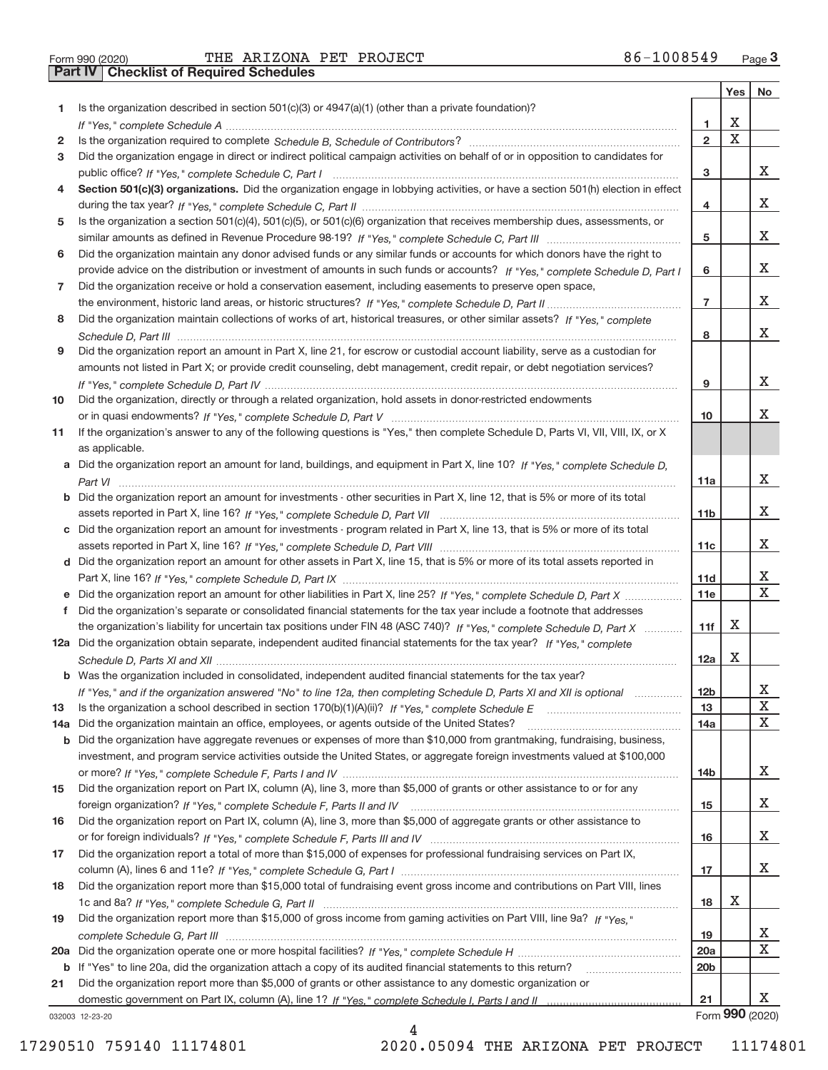**Part IV Checklist of Required Schedules**

|     |                                                                                                                                  |                 | Yes   No                |                         |
|-----|----------------------------------------------------------------------------------------------------------------------------------|-----------------|-------------------------|-------------------------|
| 1   | Is the organization described in section $501(c)(3)$ or $4947(a)(1)$ (other than a private foundation)?                          |                 |                         |                         |
|     |                                                                                                                                  | 1               | Х                       |                         |
| 2   |                                                                                                                                  | $\overline{2}$  | $\overline{\mathbf{x}}$ |                         |
| 3   | Did the organization engage in direct or indirect political campaign activities on behalf of or in opposition to candidates for  |                 |                         |                         |
|     |                                                                                                                                  | 3               |                         | X                       |
| 4   | Section 501(c)(3) organizations. Did the organization engage in lobbying activities, or have a section 501(h) election in effect |                 |                         |                         |
|     |                                                                                                                                  | 4               |                         | X                       |
| 5   | Is the organization a section 501(c)(4), 501(c)(5), or 501(c)(6) organization that receives membership dues, assessments, or     |                 |                         |                         |
|     |                                                                                                                                  | 5               |                         | X                       |
| 6   | Did the organization maintain any donor advised funds or any similar funds or accounts for which donors have the right to        |                 |                         |                         |
|     | provide advice on the distribution or investment of amounts in such funds or accounts? If "Yes," complete Schedule D, Part I     | 6               |                         | X                       |
| 7   | Did the organization receive or hold a conservation easement, including easements to preserve open space,                        |                 |                         |                         |
|     |                                                                                                                                  | $\overline{7}$  |                         | X                       |
| 8   | Did the organization maintain collections of works of art, historical treasures, or other similar assets? If "Yes," complete     |                 |                         |                         |
|     |                                                                                                                                  | 8               |                         | X                       |
| 9   | Did the organization report an amount in Part X, line 21, for escrow or custodial account liability, serve as a custodian for    |                 |                         |                         |
|     | amounts not listed in Part X; or provide credit counseling, debt management, credit repair, or debt negotiation services?        |                 |                         |                         |
|     |                                                                                                                                  | 9               |                         | X.                      |
| 10  | Did the organization, directly or through a related organization, hold assets in donor-restricted endowments                     |                 |                         |                         |
|     |                                                                                                                                  | 10              |                         | X.                      |
| 11  | If the organization's answer to any of the following questions is "Yes," then complete Schedule D, Parts VI, VII, VIII, IX, or X |                 |                         |                         |
|     | as applicable.                                                                                                                   |                 |                         |                         |
|     | Did the organization report an amount for land, buildings, and equipment in Part X, line 10? If "Yes," complete Schedule D.      |                 |                         | X                       |
|     | Did the organization report an amount for investments - other securities in Part X, line 12, that is 5% or more of its total     | 11a             |                         |                         |
| b   |                                                                                                                                  | 11b             |                         | X                       |
|     | c Did the organization report an amount for investments - program related in Part X, line 13, that is 5% or more of its total    |                 |                         |                         |
|     |                                                                                                                                  | 11c             |                         | X.                      |
|     | d Did the organization report an amount for other assets in Part X, line 15, that is 5% or more of its total assets reported in  |                 |                         |                         |
|     |                                                                                                                                  | 11d             |                         | X                       |
|     |                                                                                                                                  | 11e             |                         | $\overline{\mathtt{x}}$ |
| f.  | Did the organization's separate or consolidated financial statements for the tax year include a footnote that addresses          |                 |                         |                         |
|     | the organization's liability for uncertain tax positions under FIN 48 (ASC 740)? If "Yes," complete Schedule D, Part X           | 11f             | х                       |                         |
|     | 12a Did the organization obtain separate, independent audited financial statements for the tax year? If "Yes," complete          |                 |                         |                         |
|     |                                                                                                                                  | 12a             | х                       |                         |
|     | <b>b</b> Was the organization included in consolidated, independent audited financial statements for the tax year?               |                 |                         |                         |
|     | If "Yes," and if the organization answered "No" to line 12a, then completing Schedule D, Parts XI and XII is optional            | 12 <sub>b</sub> |                         | ∡⊾                      |
| 13  |                                                                                                                                  | 13              |                         | X                       |
| 14a | Did the organization maintain an office, employees, or agents outside of the United States?                                      | 14a             |                         | X                       |
| b   | Did the organization have aggregate revenues or expenses of more than \$10,000 from grantmaking, fundraising, business,          |                 |                         |                         |
|     | investment, and program service activities outside the United States, or aggregate foreign investments valued at \$100,000       |                 |                         |                         |
|     |                                                                                                                                  | 14b             |                         | X                       |
| 15  | Did the organization report on Part IX, column (A), line 3, more than \$5,000 of grants or other assistance to or for any        |                 |                         |                         |
|     |                                                                                                                                  | 15              |                         | X                       |
| 16  | Did the organization report on Part IX, column (A), line 3, more than \$5,000 of aggregate grants or other assistance to         |                 |                         |                         |
|     |                                                                                                                                  | 16              |                         | X                       |
| 17  | Did the organization report a total of more than \$15,000 of expenses for professional fundraising services on Part IX,          |                 |                         |                         |
|     |                                                                                                                                  | 17              |                         | X                       |
| 18  | Did the organization report more than \$15,000 total of fundraising event gross income and contributions on Part VIII, lines     |                 |                         |                         |
|     |                                                                                                                                  | 18              | х                       |                         |
| 19  | Did the organization report more than \$15,000 of gross income from gaming activities on Part VIII, line 9a? If "Yes."           |                 |                         |                         |
|     |                                                                                                                                  | 19              |                         | X                       |
| 20a |                                                                                                                                  | 20a             |                         | $\overline{\textbf{X}}$ |
|     | b If "Yes" to line 20a, did the organization attach a copy of its audited financial statements to this return?                   | 20 <sub>b</sub> |                         |                         |
| 21  | Did the organization report more than \$5,000 of grants or other assistance to any domestic organization or                      |                 |                         |                         |
|     |                                                                                                                                  | 21              |                         | X                       |
|     | 032003 12-23-20                                                                                                                  |                 |                         | Form 990 (2020)         |

4

032003 12‐23‐20

17290510 759140 11174801 2020.05094 THE ARIZONA PET PROJECT 11174801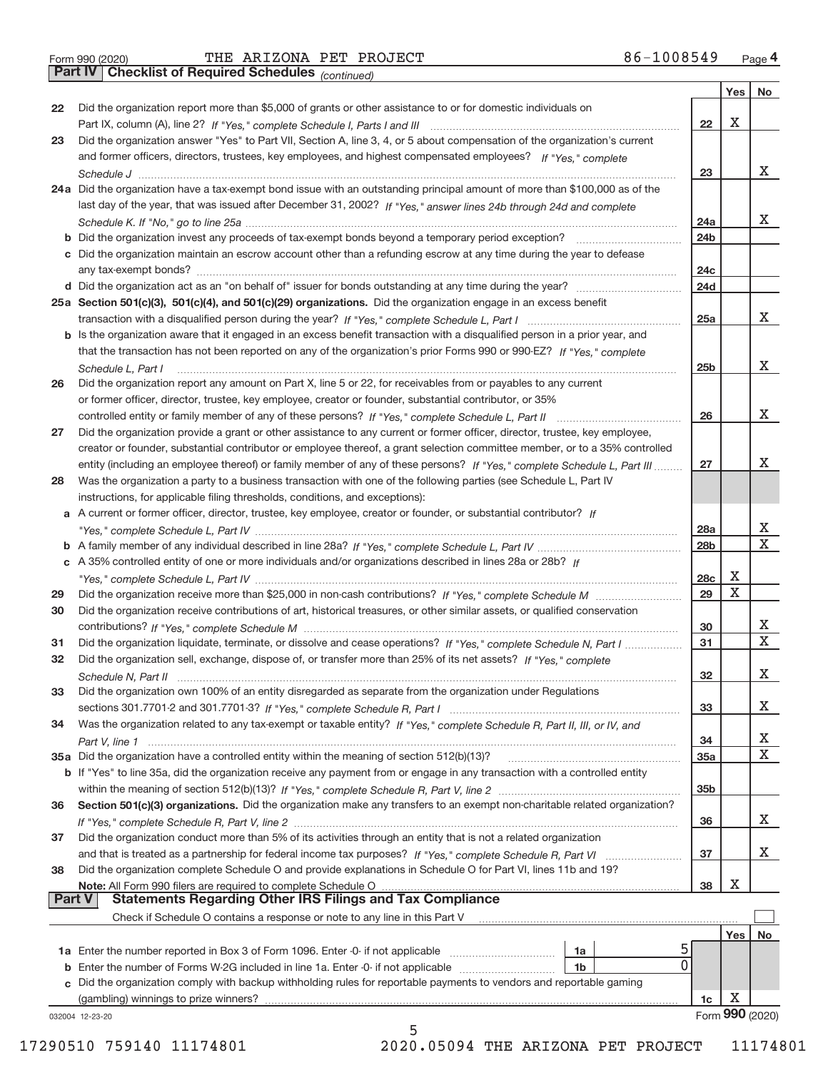|  | Form 990 (2020) |
|--|-----------------|

**Part IV Checklist of Required Schedules**

*(continued)*

T

|               |                                                                                                                              |                 |     | Yes   No                |
|---------------|------------------------------------------------------------------------------------------------------------------------------|-----------------|-----|-------------------------|
| 22            | Did the organization report more than \$5,000 of grants or other assistance to or for domestic individuals on                |                 |     |                         |
|               |                                                                                                                              | $22 \,$         | X   |                         |
| 23            | Did the organization answer "Yes" to Part VII, Section A, line 3, 4, or 5 about compensation of the organization's current   |                 |     |                         |
|               | and former officers, directors, trustees, key employees, and highest compensated employees? If "Yes," complete               |                 |     |                         |
|               |                                                                                                                              | 23              |     | x                       |
|               | 24a Did the organization have a tax-exempt bond issue with an outstanding principal amount of more than \$100,000 as of the  |                 |     |                         |
|               | last day of the year, that was issued after December 31, 2002? If "Yes," answer lines 24b through 24d and complete           |                 |     |                         |
|               |                                                                                                                              | 24a             |     | x                       |
|               |                                                                                                                              | 24b             |     |                         |
|               | c Did the organization maintain an escrow account other than a refunding escrow at any time during the year to defease       |                 |     |                         |
|               |                                                                                                                              | 24 <sub>c</sub> |     |                         |
|               |                                                                                                                              | 24d             |     |                         |
|               | 25a Section 501(c)(3), 501(c)(4), and 501(c)(29) organizations. Did the organization engage in an excess benefit             |                 |     |                         |
|               |                                                                                                                              | 25a             |     | x                       |
|               | b Is the organization aware that it engaged in an excess benefit transaction with a disqualified person in a prior year, and |                 |     |                         |
|               | that the transaction has not been reported on any of the organization's prior Forms 990 or 990-EZ? If "Yes," complete        |                 |     |                         |
|               | Schedule L, Part I                                                                                                           | 25 <sub>b</sub> |     | x                       |
| 26            | Did the organization report any amount on Part X, line 5 or 22, for receivables from or payables to any current              |                 |     |                         |
|               | or former officer, director, trustee, key employee, creator or founder, substantial contributor, or 35%                      |                 |     |                         |
|               |                                                                                                                              | 26              |     | х                       |
| 27            | Did the organization provide a grant or other assistance to any current or former officer, director, trustee, key employee,  |                 |     |                         |
|               | creator or founder, substantial contributor or employee thereof, a grant selection committee member, or to a 35% controlled  |                 |     |                         |
|               | entity (including an employee thereof) or family member of any of these persons? If "Yes," complete Schedule L, Part III     | 27              |     | x                       |
| 28            | Was the organization a party to a business transaction with one of the following parties (see Schedule L, Part IV            |                 |     |                         |
|               | instructions, for applicable filing thresholds, conditions, and exceptions):                                                 |                 |     |                         |
|               | a A current or former officer, director, trustee, key employee, creator or founder, or substantial contributor? If           |                 |     |                         |
|               |                                                                                                                              | 28a             |     | x                       |
|               |                                                                                                                              | 28 <sub>b</sub> |     | $\overline{\mathbf{X}}$ |
|               | c A 35% controlled entity of one or more individuals and/or organizations described in lines 28a or 28b? If                  |                 |     |                         |
|               |                                                                                                                              | 28c             | X   |                         |
| 29            |                                                                                                                              | 29              | X   |                         |
| 30            | Did the organization receive contributions of art, historical treasures, or other similar assets, or qualified conservation  |                 |     |                         |
|               |                                                                                                                              | 30              |     | X                       |
| 31            | Did the organization liquidate, terminate, or dissolve and cease operations? If "Yes," complete Schedule N, Part I           | 31              |     | $\overline{\textbf{X}}$ |
| 32            | Did the organization sell, exchange, dispose of, or transfer more than 25% of its net assets? If "Yes," complete             |                 |     |                         |
|               | Schedule N, Part II                                                                                                          | 32              |     | X                       |
| 33            | Did the organization own 100% of an entity disregarded as separate from the organization under Regulations                   |                 |     |                         |
|               |                                                                                                                              | 33              |     | X                       |
| 34            | Was the organization related to any tax-exempt or taxable entity? If "Yes," complete Schedule R, Part II, III, or IV, and    |                 |     |                         |
|               |                                                                                                                              | 34              |     | х                       |
|               | 35a Did the organization have a controlled entity within the meaning of section 512(b)(13)?                                  | 35a             |     | $\mathbf X$             |
|               | b If "Yes" to line 35a, did the organization receive any payment from or engage in any transaction with a controlled entity  |                 |     |                         |
|               |                                                                                                                              | 35 <sub>b</sub> |     |                         |
| 36            | Section 501(c)(3) organizations. Did the organization make any transfers to an exempt non-charitable related organization?   |                 |     |                         |
|               |                                                                                                                              | 36              |     | x                       |
| 37            | Did the organization conduct more than 5% of its activities through an entity that is not a related organization             |                 |     |                         |
|               | and that is treated as a partnership for federal income tax purposes? If "Yes," complete Schedule R, Part VI                 | 37              |     | X                       |
| 38            | Did the organization complete Schedule O and provide explanations in Schedule O for Part VI, lines 11b and 19?               |                 |     |                         |
|               | Note: All Form 990 filers are required to complete Schedule O                                                                | 38              | Х   |                         |
| <b>Part V</b> | <b>Statements Regarding Other IRS Filings and Tax Compliance</b>                                                             |                 |     |                         |
|               | Check if Schedule O contains a response or note to any line in this Part V                                                   |                 |     |                         |
|               |                                                                                                                              |                 | Yes | No                      |
|               | 1a Enter the number reported in Box 3 of Form 1096. Enter -0- if not applicable<br>1a                                        |                 |     |                         |
|               | 0<br>1b                                                                                                                      |                 |     |                         |
|               | c Did the organization comply with backup withholding rules for reportable payments to vendors and reportable gaming         |                 |     |                         |
|               | (gambling) winnings to prize winners?                                                                                        | 1c              | X   |                         |
|               | 032004 12-23-20                                                                                                              |                 |     | Form 990 (2020)         |
|               | 5                                                                                                                            |                 |     |                         |

 <sup>17290510 759140 11174801 2020.05094</sup> THE ARIZONA PET PROJECT 11174801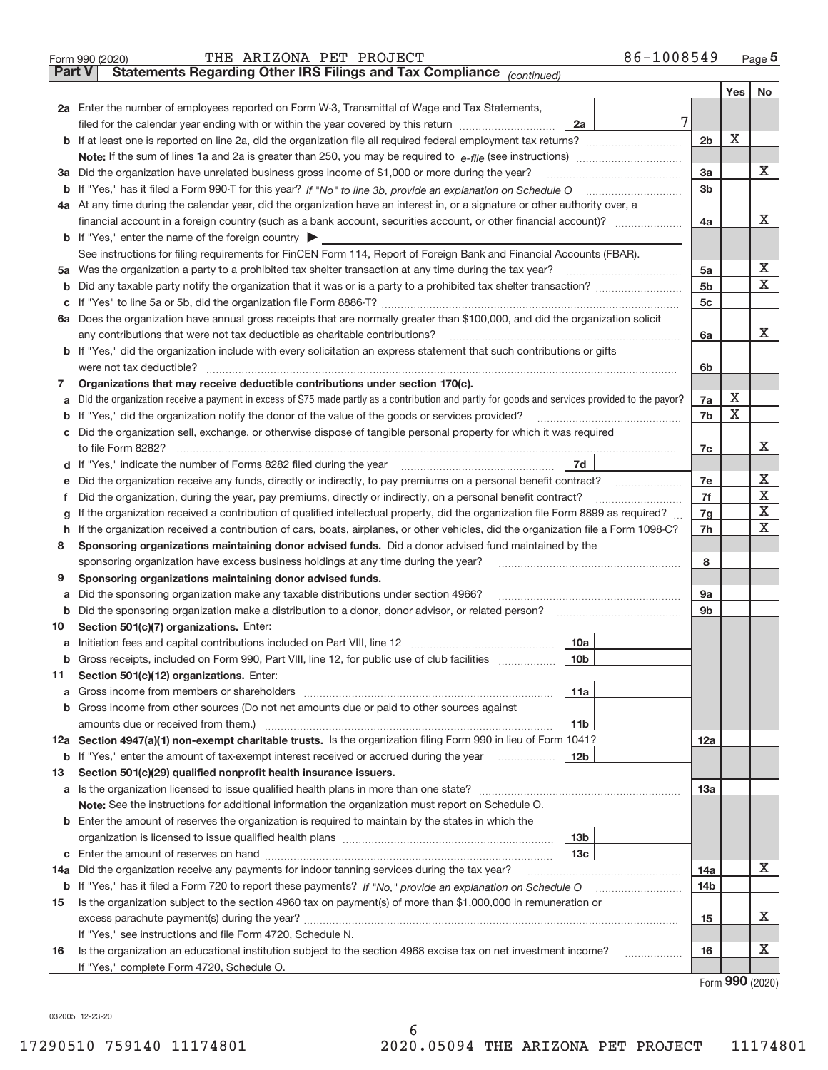|        | 86-1008549<br>THE ARIZONA PET PROJECT<br>Form 990 (2020)                                                                                                                                 |                |     | $Page$ <sup>5</sup>   |  |  |  |  |  |
|--------|------------------------------------------------------------------------------------------------------------------------------------------------------------------------------------------|----------------|-----|-----------------------|--|--|--|--|--|
| Part V | Statements Regarding Other IRS Filings and Tax Compliance (continued)                                                                                                                    |                |     |                       |  |  |  |  |  |
|        |                                                                                                                                                                                          |                | Yes | No                    |  |  |  |  |  |
|        | 2a Enter the number of employees reported on Form W-3, Transmittal of Wage and Tax Statements,                                                                                           |                |     |                       |  |  |  |  |  |
|        | 7<br>filed for the calendar year ending with or within the year covered by this return [11] [11] filed for the calendar year ending with or within the year covered by this return<br>2a |                | X   |                       |  |  |  |  |  |
|        |                                                                                                                                                                                          |                |     |                       |  |  |  |  |  |
|        |                                                                                                                                                                                          |                |     |                       |  |  |  |  |  |
|        | 3a Did the organization have unrelated business gross income of \$1,000 or more during the year?                                                                                         |                |     |                       |  |  |  |  |  |
|        |                                                                                                                                                                                          | 3 <sub>b</sub> |     |                       |  |  |  |  |  |
|        | 4a At any time during the calendar year, did the organization have an interest in, or a signature or other authority over, a                                                             |                |     |                       |  |  |  |  |  |
|        |                                                                                                                                                                                          | 4a             |     | х                     |  |  |  |  |  |
|        | <b>b</b> If "Yes," enter the name of the foreign country $\blacktriangleright$                                                                                                           |                |     |                       |  |  |  |  |  |
|        | See instructions for filing requirements for FinCEN Form 114, Report of Foreign Bank and Financial Accounts (FBAR).                                                                      |                |     |                       |  |  |  |  |  |
|        | 5a Was the organization a party to a prohibited tax shelter transaction at any time during the tax year?                                                                                 | 5a             |     | х                     |  |  |  |  |  |
|        |                                                                                                                                                                                          | 5 <sub>b</sub> |     | Χ                     |  |  |  |  |  |
|        |                                                                                                                                                                                          | 5c             |     |                       |  |  |  |  |  |
|        | 6a Does the organization have annual gross receipts that are normally greater than \$100,000, and did the organization solicit                                                           |                |     |                       |  |  |  |  |  |
|        | any contributions that were not tax deductible as charitable contributions?                                                                                                              | 6a             |     | х                     |  |  |  |  |  |
|        | b If "Yes," did the organization include with every solicitation an express statement that such contributions or gifts                                                                   |                |     |                       |  |  |  |  |  |
|        | were not tax deductible?                                                                                                                                                                 | 6b             |     |                       |  |  |  |  |  |
| 7      | Organizations that may receive deductible contributions under section 170(c).                                                                                                            |                |     |                       |  |  |  |  |  |
|        | a Did the organization receive a payment in excess of \$75 made partly as a contribution and partly for goods and services provided to the payor?                                        | 7a             | х   |                       |  |  |  |  |  |
|        | <b>b</b> If "Yes," did the organization notify the donor of the value of the goods or services provided?                                                                                 | 7b             | Χ   |                       |  |  |  |  |  |
|        | c Did the organization sell, exchange, or otherwise dispose of tangible personal property for which it was required                                                                      |                |     |                       |  |  |  |  |  |
|        |                                                                                                                                                                                          | 7c             |     | х                     |  |  |  |  |  |
|        | 7d                                                                                                                                                                                       |                |     |                       |  |  |  |  |  |
|        | e Did the organization receive any funds, directly or indirectly, to pay premiums on a personal benefit contract?                                                                        |                |     |                       |  |  |  |  |  |
| Ť.     | Did the organization, during the year, pay premiums, directly or indirectly, on a personal benefit contract?                                                                             |                |     |                       |  |  |  |  |  |
| g      | If the organization received a contribution of qualified intellectual property, did the organization file Form 8899 as required?                                                         |                |     |                       |  |  |  |  |  |
|        | h If the organization received a contribution of cars, boats, airplanes, or other vehicles, did the organization file a Form 1098-C?                                                     |                |     |                       |  |  |  |  |  |
| 8      | Sponsoring organizations maintaining donor advised funds. Did a donor advised fund maintained by the                                                                                     |                |     |                       |  |  |  |  |  |
|        | sponsoring organization have excess business holdings at any time during the year?                                                                                                       | 8              |     |                       |  |  |  |  |  |
| 9      | Sponsoring organizations maintaining donor advised funds.                                                                                                                                |                |     |                       |  |  |  |  |  |
|        | a Did the sponsoring organization make any taxable distributions under section 4966?                                                                                                     | <b>9a</b>      |     |                       |  |  |  |  |  |
|        | b Did the sponsoring organization make a distribution to a donor, donor advisor, or related person?                                                                                      | 9b             |     |                       |  |  |  |  |  |
| 10     | Section 501(c)(7) organizations. Enter:                                                                                                                                                  |                |     |                       |  |  |  |  |  |
|        | 10a                                                                                                                                                                                      |                |     |                       |  |  |  |  |  |
| b      | Gross receipts, included on Form 990, Part VIII, line 12, for public use of club facilities<br>10b                                                                                       |                |     |                       |  |  |  |  |  |
| 11     | Section 501(c)(12) organizations. Enter:<br>11a                                                                                                                                          |                |     |                       |  |  |  |  |  |
|        | b Gross income from other sources (Do not net amounts due or paid to other sources against                                                                                               |                |     |                       |  |  |  |  |  |
|        | amounts due or received from them.)<br>11b                                                                                                                                               |                |     |                       |  |  |  |  |  |
|        | 12a Section 4947(a)(1) non-exempt charitable trusts. Is the organization filing Form 990 in lieu of Form 1041?                                                                           | 12a            |     |                       |  |  |  |  |  |
| b      | If "Yes," enter the amount of tax-exempt interest received or accrued during the year<br>12 <sub>b</sub>                                                                                 |                |     |                       |  |  |  |  |  |
| 13     | Section 501(c)(29) qualified nonprofit health insurance issuers.                                                                                                                         |                |     |                       |  |  |  |  |  |
|        | a Is the organization licensed to issue qualified health plans in more than one state?                                                                                                   | 13а            |     |                       |  |  |  |  |  |
|        | Note: See the instructions for additional information the organization must report on Schedule O.                                                                                        |                |     |                       |  |  |  |  |  |
|        | <b>b</b> Enter the amount of reserves the organization is required to maintain by the states in which the                                                                                |                |     |                       |  |  |  |  |  |
|        | 13 <sub>b</sub>                                                                                                                                                                          |                |     |                       |  |  |  |  |  |
|        | 13с                                                                                                                                                                                      |                |     |                       |  |  |  |  |  |
| 14а    | Did the organization receive any payments for indoor tanning services during the tax year?                                                                                               | 14a            |     | х                     |  |  |  |  |  |
|        |                                                                                                                                                                                          | 14b            |     |                       |  |  |  |  |  |
| 15     | Is the organization subject to the section 4960 tax on payment(s) of more than \$1,000,000 in remuneration or                                                                            |                |     |                       |  |  |  |  |  |
|        |                                                                                                                                                                                          | 15             |     | х                     |  |  |  |  |  |
|        | If "Yes," see instructions and file Form 4720, Schedule N.                                                                                                                               |                |     |                       |  |  |  |  |  |
| 16     | Is the organization an educational institution subject to the section 4968 excise tax on net investment income?<br>.                                                                     | 16             |     | х                     |  |  |  |  |  |
|        | If "Yes," complete Form 4720, Schedule O.                                                                                                                                                |                |     |                       |  |  |  |  |  |
|        |                                                                                                                                                                                          |                |     | $000 \; \text{const}$ |  |  |  |  |  |

Form (2020) **990**

032005 12‐23‐20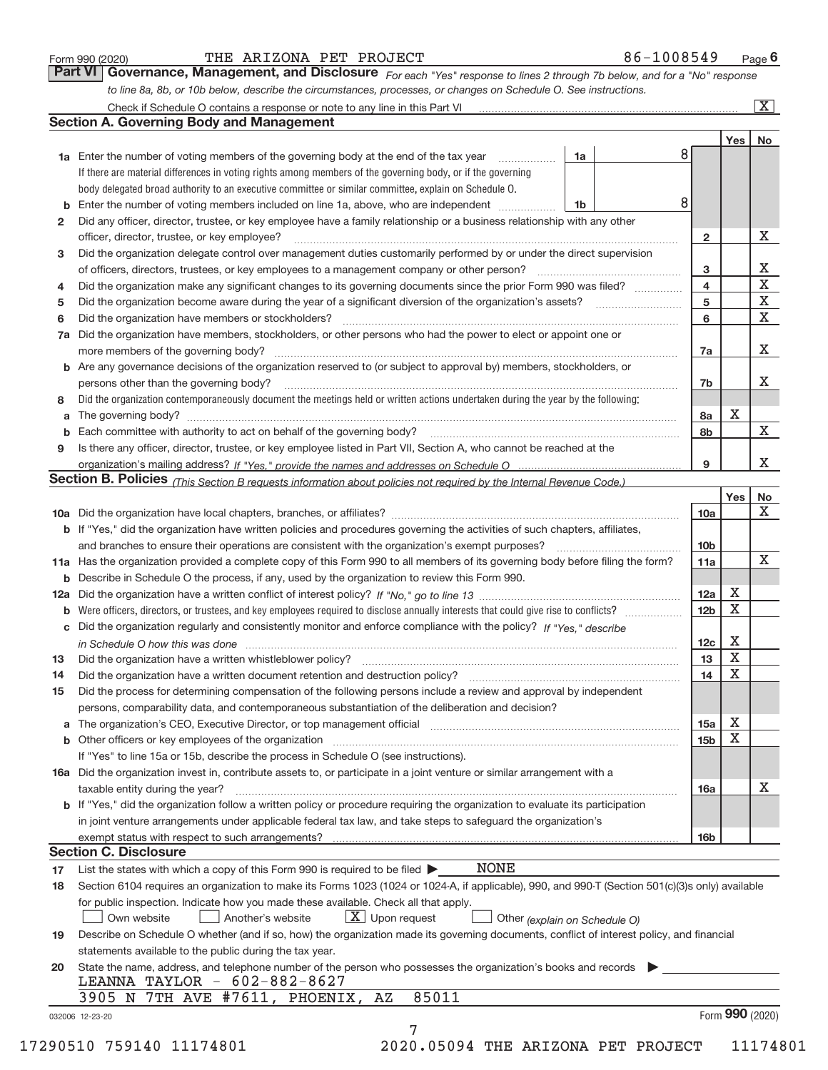|  | Form 990 (2020) |
|--|-----------------|
|  |                 |

#### Form 990 (2020) 'I'HE'ARIZONA PET'PROJECT' 86-IUU8549 Page THE ARIZONA PET PROJECT 86-1008549

*For each "Yes" response to lines 2 through 7b below, and for a "No" response to line 8a, 8b, or 10b below, describe the circumstances, processes, or changes on Schedule O. See instructions.* Check if Schedule O contains a response or note to any line in this Part VI **Part VI Governance, Management, and Disclosure** 

|              |                                                                                                                                                                                                                              |    |   |                 | Yes $ $ | No          |
|--------------|------------------------------------------------------------------------------------------------------------------------------------------------------------------------------------------------------------------------------|----|---|-----------------|---------|-------------|
|              | 1a Enter the number of voting members of the governing body at the end of the tax year                                                                                                                                       | 1a | 8 |                 |         |             |
|              | If there are material differences in voting rights among members of the governing body, or if the governing                                                                                                                  |    |   |                 |         |             |
|              | body delegated broad authority to an executive committee or similar committee, explain on Schedule O.                                                                                                                        |    |   |                 |         |             |
|              | <b>b</b> Enter the number of voting members included on line 1a, above, who are independent <i>manumum</i>                                                                                                                   | 1b | 8 |                 |         |             |
| $\mathbf{2}$ | Did any officer, director, trustee, or key employee have a family relationship or a business relationship with any other                                                                                                     |    |   |                 |         |             |
|              | officer, director, trustee, or key employee?                                                                                                                                                                                 |    |   | $\mathbf{2}$    |         | X           |
| 3            | Did the organization delegate control over management duties customarily performed by or under the direct supervision                                                                                                        |    |   |                 |         |             |
|              |                                                                                                                                                                                                                              |    |   | 3               |         | Χ           |
| 4            | Did the organization make any significant changes to its governing documents since the prior Form 990 was filed?                                                                                                             |    |   | 4               |         | $\mathbf X$ |
| 5            |                                                                                                                                                                                                                              |    |   | 5               |         | $\mathbf X$ |
| 6            |                                                                                                                                                                                                                              |    |   | 6               |         | X           |
| 7a           | Did the organization have members, stockholders, or other persons who had the power to elect or appoint one or                                                                                                               |    |   |                 |         |             |
|              |                                                                                                                                                                                                                              |    |   | 7a              |         | х           |
|              | <b>b</b> Are any governance decisions of the organization reserved to (or subject to approval by) members, stockholders, or                                                                                                  |    |   |                 |         |             |
|              | persons other than the governing body?                                                                                                                                                                                       |    |   | 7b              |         | Х           |
| 8            | Did the organization contemporaneously document the meetings held or written actions undertaken during the year by the following:                                                                                            |    |   |                 |         |             |
| a            |                                                                                                                                                                                                                              |    |   | 8a              | X       |             |
|              |                                                                                                                                                                                                                              |    |   | 8b              |         | X           |
| 9            | Is there any officer, director, trustee, or key employee listed in Part VII, Section A, who cannot be reached at the                                                                                                         |    |   |                 |         |             |
|              |                                                                                                                                                                                                                              |    |   | 9               |         | X           |
|              | Section B. Policies (This Section B requests information about policies not required by the Internal Revenue Code.)                                                                                                          |    |   |                 |         |             |
|              |                                                                                                                                                                                                                              |    |   |                 | Yes     | No          |
|              |                                                                                                                                                                                                                              |    |   | 10a             |         | X           |
|              | <b>b</b> If "Yes," did the organization have written policies and procedures governing the activities of such chapters, affiliates,                                                                                          |    |   |                 |         |             |
|              |                                                                                                                                                                                                                              |    |   |                 |         |             |
|              |                                                                                                                                                                                                                              |    |   | 10 <sub>b</sub> |         | X           |
|              | 11a Has the organization provided a complete copy of this Form 990 to all members of its governing body before filing the form?                                                                                              |    |   | 11a             |         |             |
|              | <b>b</b> Describe in Schedule O the process, if any, used by the organization to review this Form 990.                                                                                                                       |    |   |                 | X       |             |
|              |                                                                                                                                                                                                                              |    |   | 12a             | Χ       |             |
| b            |                                                                                                                                                                                                                              |    |   | 12 <sub>b</sub> |         |             |
|              | c Did the organization regularly and consistently monitor and enforce compliance with the policy? If "Yes." describe                                                                                                         |    |   |                 |         |             |
|              | in Schedule O how this was done manufactured and continuum control of the Schedule O how this was done manufactured and continuum control of the Schedule O how this was done                                                |    |   | 12c             | Х       |             |
| 13           | Did the organization have a written whistleblower policy? [11] matter content to the organization have a written whistleblower policy? [11] matter content content and the organization have a written whistleblower policy? |    |   | 13              | X       |             |
| 14           | Did the organization have a written document retention and destruction policy? manufactured and the organization have a written document retention and destruction policy?                                                   |    |   | 14              | X       |             |
| 15           | Did the process for determining compensation of the following persons include a review and approval by independent                                                                                                           |    |   |                 |         |             |
|              | persons, comparability data, and contemporaneous substantiation of the deliberation and decision?                                                                                                                            |    |   |                 |         |             |
|              |                                                                                                                                                                                                                              |    |   | 15a             | X       |             |
|              |                                                                                                                                                                                                                              |    |   | 15 <sub>b</sub> | Х       |             |
|              | If "Yes" to line 15a or 15b, describe the process in Schedule O (see instructions).                                                                                                                                          |    |   |                 |         |             |
|              | 16a Did the organization invest in, contribute assets to, or participate in a joint venture or similar arrangement with a                                                                                                    |    |   |                 |         |             |
|              | taxable entity during the year?                                                                                                                                                                                              |    |   | 16a             |         | x           |
|              | b If "Yes," did the organization follow a written policy or procedure requiring the organization to evaluate its participation                                                                                               |    |   |                 |         |             |
|              | in joint venture arrangements under applicable federal tax law, and take steps to safequard the organization's                                                                                                               |    |   |                 |         |             |
|              | exempt status with respect to such arrangements?                                                                                                                                                                             |    |   | 16 <sub>b</sub> |         |             |
|              | <b>Section C. Disclosure</b>                                                                                                                                                                                                 |    |   |                 |         |             |
| 17           | <b>NONE</b><br>List the states with which a copy of this Form 990 is required to be filed $\blacktriangleright$                                                                                                              |    |   |                 |         |             |
| 18           | Section 6104 requires an organization to make its Forms 1023 (1024 or 1024-A, if applicable), 990, and 990-T (Section 501(c)(3)s only) available                                                                             |    |   |                 |         |             |
|              | for public inspection. Indicate how you made these available. Check all that apply.                                                                                                                                          |    |   |                 |         |             |
|              | $X$ Upon request<br>Own website<br>Another's website<br>Other (explain on Schedule O)                                                                                                                                        |    |   |                 |         |             |
| 19           | Describe on Schedule O whether (and if so, how) the organization made its governing documents, conflict of interest policy, and financial                                                                                    |    |   |                 |         |             |
|              | statements available to the public during the tax year.                                                                                                                                                                      |    |   |                 |         |             |
| 20           | State the name, address, and telephone number of the person who possesses the organization's books and records                                                                                                               |    |   |                 |         |             |
|              | LEANNA TAYLOR - 602-882-8627                                                                                                                                                                                                 |    |   |                 |         |             |
|              | 85011<br>3905 N 7TH AVE #7611, PHOENIX,<br>ΑZ                                                                                                                                                                                |    |   |                 |         |             |
|              |                                                                                                                                                                                                                              |    |   |                 |         |             |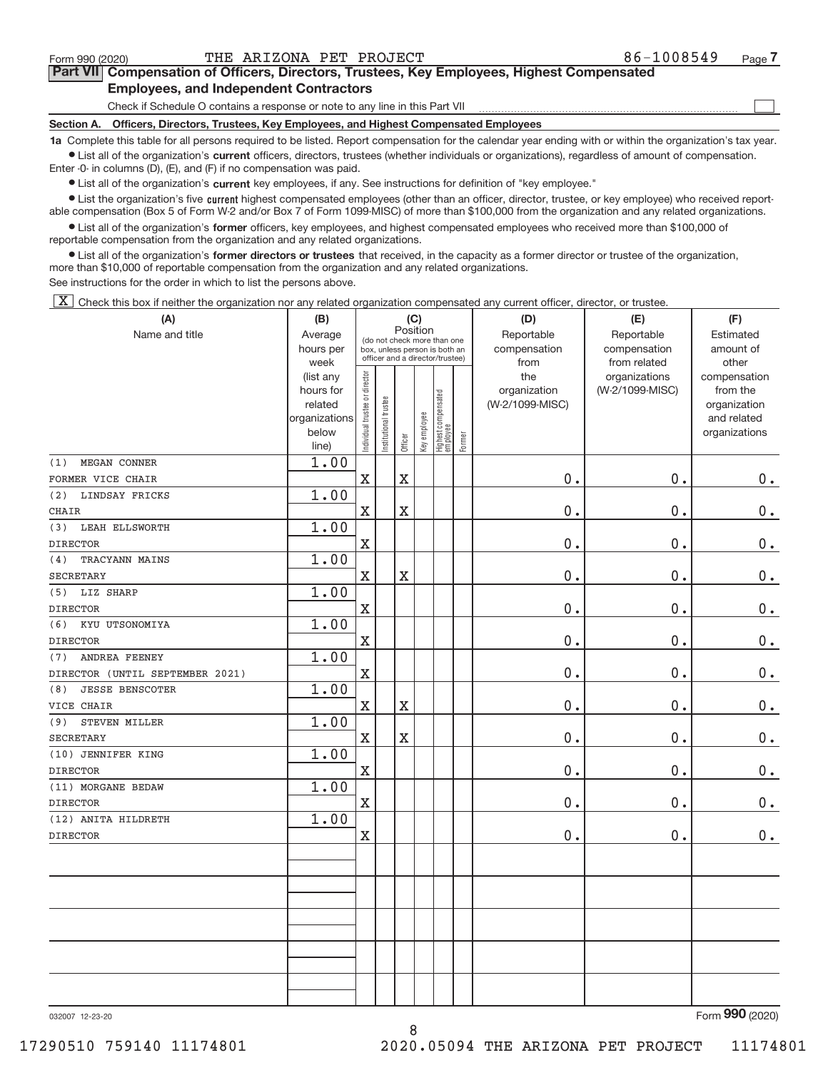$\begin{array}{c} \boxed{1} \\ \boxed{1} \\ \end{array}$ 

| Part VII Compensation of Officers, Directors, Trustees, Key Employees, Highest Compensated |
|--------------------------------------------------------------------------------------------|
| <b>Employees, and Independent Contractors</b>                                              |

Check if Schedule O contains a response or note to any line in this Part VII

**Section A. Officers, Directors, Trustees, Key Employees, and Highest Compensated Employees**

**1a**  Complete this table for all persons required to be listed. Report compensation for the calendar year ending with or within the organization's tax year.  $\bullet$  List all of the organization's current officers, directors, trustees (whether individuals or organizations), regardless of amount of compensation.

Enter -0- in columns (D), (E), and (F) if no compensation was paid.

**•** List all of the organization's current key employees, if any. See instructions for definition of "key employee."

● List the organization's five current highest compensated employees (other than an officer, director, trustee, or key employee) who received report‐ able compensation (Box 5 of Form W‐2 and/or Box 7 of Form 1099‐MISC) of more than \$100,000 from the organization and any related organizations.

 $\bullet$  List all of the organization's former officers, key employees, and highest compensated employees who received more than \$100,000 of reportable compensation from the organization and any related organizations.

**•** List all of the organization's former directors or trustees that received, in the capacity as a former director or trustee of the organization, more than \$10,000 of reportable compensation from the organization and any related organizations.

See instructions for the order in which to list the persons above.

[X] Check this box if neither the organization nor any related organization compensated any current officer, director, or trustee.

| (A)                             | (B)                    | (C)<br>Position                |                                                                  |                         |              |                                 |        | (D)             | (E)                              | (F)                      |  |  |  |  |
|---------------------------------|------------------------|--------------------------------|------------------------------------------------------------------|-------------------------|--------------|---------------------------------|--------|-----------------|----------------------------------|--------------------------|--|--|--|--|
| Name and title                  | Average                |                                | (do not check more than one                                      |                         |              |                                 |        | Reportable      | Reportable                       | Estimated                |  |  |  |  |
|                                 | hours per              |                                | box, unless person is both an<br>officer and a director/trustee) |                         |              |                                 |        | compensation    | compensation                     | amount of                |  |  |  |  |
|                                 | week                   |                                |                                                                  |                         |              |                                 |        | from<br>the     | from related                     | other                    |  |  |  |  |
|                                 | (list any<br>hours for | Individual trustee or director |                                                                  |                         |              |                                 |        | organization    | organizations<br>(W-2/1099-MISC) | compensation<br>from the |  |  |  |  |
|                                 | related                |                                |                                                                  |                         |              |                                 |        | (W-2/1099-MISC) |                                  | organization             |  |  |  |  |
|                                 | organizations          |                                |                                                                  |                         |              |                                 |        |                 |                                  | and related              |  |  |  |  |
|                                 | below                  |                                | Institutional trustee                                            |                         | Key employee |                                 |        |                 |                                  | organizations            |  |  |  |  |
|                                 | line)                  |                                |                                                                  | Officer                 |              | Highest compensated<br>employee | Former |                 |                                  |                          |  |  |  |  |
| MEGAN CONNER<br>(1)             | 1.00                   |                                |                                                                  |                         |              |                                 |        |                 |                                  |                          |  |  |  |  |
| FORMER VICE CHAIR               |                        | $\mathbf X$                    |                                                                  | $\mathbf X$             |              |                                 |        | 0.              | 0.                               | $0$ .                    |  |  |  |  |
| LINDSAY FRICKS<br>(2)           | 1.00                   |                                |                                                                  |                         |              |                                 |        |                 |                                  |                          |  |  |  |  |
| <b>CHAIR</b>                    |                        | $\mathbf X$                    |                                                                  | $\overline{\text{X}}$   |              |                                 |        | 0.              | 0.                               | $0$ .                    |  |  |  |  |
| LEAH ELLSWORTH<br>(3)           | 1.00                   |                                |                                                                  |                         |              |                                 |        |                 |                                  |                          |  |  |  |  |
| <b>DIRECTOR</b>                 |                        | $\mathbf X$                    |                                                                  |                         |              |                                 |        | 0.              | 0.                               | 0.                       |  |  |  |  |
| TRACYANN MAINS<br>(4)           | 1.00                   |                                |                                                                  |                         |              |                                 |        |                 |                                  |                          |  |  |  |  |
| <b>SECRETARY</b>                |                        | $\mathbf X$                    |                                                                  | $\overline{\mathbf{X}}$ |              |                                 |        | 0.              | 0.                               | $0 \cdot$                |  |  |  |  |
| LIZ SHARP<br>(5)                | 1.00                   |                                |                                                                  |                         |              |                                 |        |                 |                                  |                          |  |  |  |  |
| <b>DIRECTOR</b>                 |                        | $\mathbf X$                    |                                                                  |                         |              |                                 |        | 0.              | 0.                               | $0_{.}$                  |  |  |  |  |
| KYU UTSONOMIYA<br>(6)           | 1.00                   |                                |                                                                  |                         |              |                                 |        |                 |                                  |                          |  |  |  |  |
| <b>DIRECTOR</b>                 |                        | $\mathbf X$                    |                                                                  |                         |              |                                 |        | $0$ .           | 0.                               | $0$ .                    |  |  |  |  |
| ANDREA FEENEY<br>(7)            | 1.00                   |                                |                                                                  |                         |              |                                 |        |                 |                                  |                          |  |  |  |  |
| DIRECTOR (UNTIL SEPTEMBER 2021) |                        | $\mathbf X$                    |                                                                  |                         |              |                                 |        | 0.              | 0.                               | 0.                       |  |  |  |  |
| <b>JESSE BENSCOTER</b><br>(8)   | 1.00                   |                                |                                                                  |                         |              |                                 |        |                 |                                  |                          |  |  |  |  |
| VICE CHAIR                      |                        | $\mathbf X$                    |                                                                  | $\overline{\text{X}}$   |              |                                 |        | 0.              | 0.                               | $0 \cdot$                |  |  |  |  |
| STEVEN MILLER<br>(9)            | 1.00                   |                                |                                                                  |                         |              |                                 |        |                 |                                  |                          |  |  |  |  |
| <b>SECRETARY</b>                |                        | $\mathbf X$                    |                                                                  | $\mathbf X$             |              |                                 |        | $0$ .           | 0.                               | $0 \cdot$                |  |  |  |  |
| (10) JENNIFER KING              | 1.00                   |                                |                                                                  |                         |              |                                 |        |                 |                                  |                          |  |  |  |  |
| <b>DIRECTOR</b>                 |                        | $\mathbf X$                    |                                                                  |                         |              |                                 |        | 0.              | 0.                               | $0$ .                    |  |  |  |  |
| (11) MORGANE BEDAW              | 1.00                   |                                |                                                                  |                         |              |                                 |        |                 |                                  |                          |  |  |  |  |
| <b>DIRECTOR</b>                 |                        | $\mathbf X$                    |                                                                  |                         |              |                                 |        | 0.              | 0.                               | $0$ .                    |  |  |  |  |
| (12) ANITA HILDRETH             | 1.00                   |                                |                                                                  |                         |              |                                 |        |                 |                                  |                          |  |  |  |  |
| <b>DIRECTOR</b>                 |                        | $\mathbf X$                    |                                                                  |                         |              |                                 |        | 0.              | 0.                               | 0.                       |  |  |  |  |
|                                 |                        |                                |                                                                  |                         |              |                                 |        |                 |                                  |                          |  |  |  |  |
|                                 |                        |                                |                                                                  |                         |              |                                 |        |                 |                                  |                          |  |  |  |  |
|                                 |                        |                                |                                                                  |                         |              |                                 |        |                 |                                  |                          |  |  |  |  |
|                                 |                        |                                |                                                                  |                         |              |                                 |        |                 |                                  |                          |  |  |  |  |
|                                 |                        |                                |                                                                  |                         |              |                                 |        |                 |                                  |                          |  |  |  |  |
|                                 |                        |                                |                                                                  |                         |              |                                 |        |                 |                                  |                          |  |  |  |  |
|                                 |                        |                                |                                                                  |                         |              |                                 |        |                 |                                  |                          |  |  |  |  |
|                                 |                        |                                |                                                                  |                         |              |                                 |        |                 |                                  |                          |  |  |  |  |
|                                 |                        |                                |                                                                  |                         |              |                                 |        |                 |                                  |                          |  |  |  |  |
|                                 |                        |                                |                                                                  |                         |              |                                 |        |                 |                                  |                          |  |  |  |  |

8

032007 12‐23‐20

Form (2020) **990**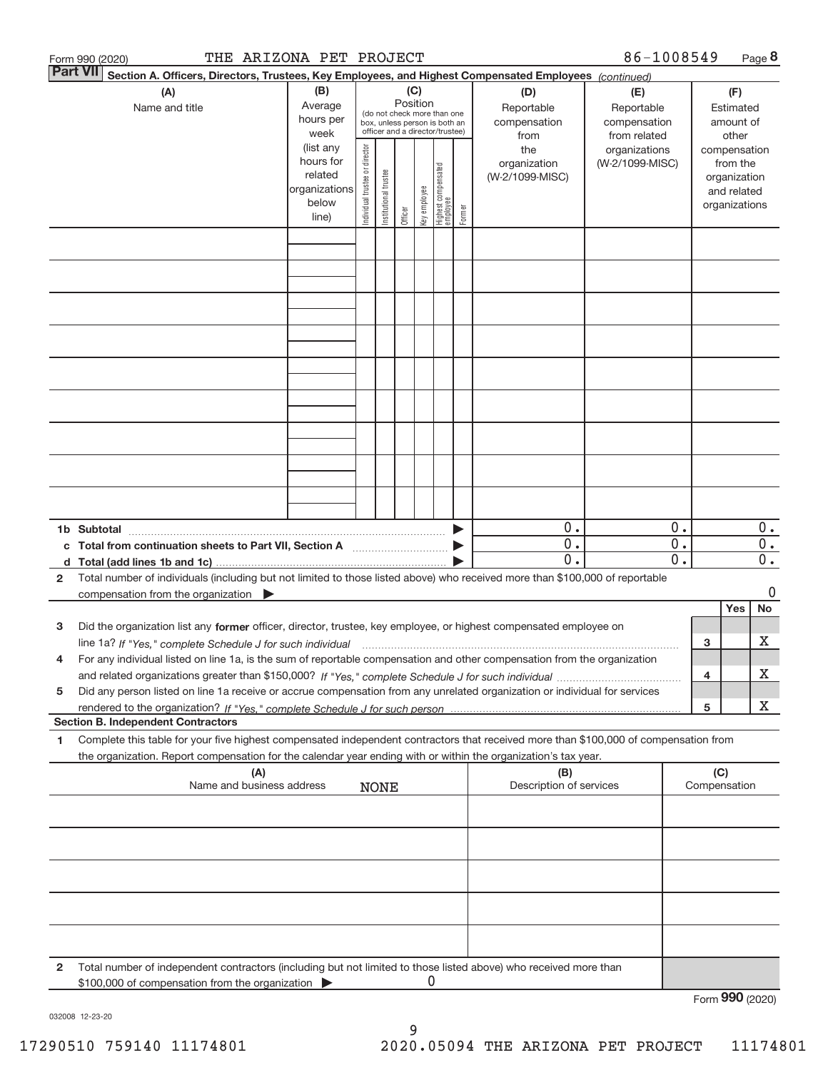| Form 990 (2020) | THE ARIZONA PET PROJECT                                                                                                                                                                                                                                                     |                                                                                           |                                                                                                                                                                               |                       |         |              |                                                                                                     |        |                                                                | 86-1008549                                                       |                                                                                                |     |                  | Page 8                                        |
|-----------------|-----------------------------------------------------------------------------------------------------------------------------------------------------------------------------------------------------------------------------------------------------------------------------|-------------------------------------------------------------------------------------------|-------------------------------------------------------------------------------------------------------------------------------------------------------------------------------|-----------------------|---------|--------------|-----------------------------------------------------------------------------------------------------|--------|----------------------------------------------------------------|------------------------------------------------------------------|------------------------------------------------------------------------------------------------|-----|------------------|-----------------------------------------------|
| <b>Part VII</b> | (A)<br>Name and title                                                                                                                                                                                                                                                       | (B)<br>Average                                                                            | Section A. Officers, Directors, Trustees, Key Employees, and Highest Compensated Employees (continued)<br>(C)<br>(D)<br>Position<br>Reportable<br>(do not check more than one |                       |         |              |                                                                                                     |        |                                                                | (E)<br>Reportable                                                |                                                                                                |     | (F)<br>Estimated |                                               |
|                 |                                                                                                                                                                                                                                                                             | hours per<br>week<br>(list any<br>hours for<br>related<br>organizations<br>below<br>line) | Individual trustee or director                                                                                                                                                | Institutional trustee | Officer | Key employee | box, unless person is both an<br>officer and a director/trustee)<br>Highest compensated<br>employee | Former | compensation<br>from<br>the<br>organization<br>(W-2/1099-MISC) | compensation<br>from related<br>organizations<br>(W-2/1099-MISC) | amount of<br>other<br>compensation<br>from the<br>organization<br>and related<br>organizations |     |                  |                                               |
|                 |                                                                                                                                                                                                                                                                             |                                                                                           |                                                                                                                                                                               |                       |         |              |                                                                                                     |        |                                                                |                                                                  |                                                                                                |     |                  |                                               |
|                 |                                                                                                                                                                                                                                                                             |                                                                                           |                                                                                                                                                                               |                       |         |              |                                                                                                     |        |                                                                |                                                                  |                                                                                                |     |                  |                                               |
|                 |                                                                                                                                                                                                                                                                             |                                                                                           |                                                                                                                                                                               |                       |         |              |                                                                                                     |        |                                                                |                                                                  |                                                                                                |     |                  |                                               |
|                 |                                                                                                                                                                                                                                                                             |                                                                                           |                                                                                                                                                                               |                       |         |              |                                                                                                     |        |                                                                |                                                                  |                                                                                                |     |                  |                                               |
|                 |                                                                                                                                                                                                                                                                             |                                                                                           |                                                                                                                                                                               |                       |         |              |                                                                                                     |        |                                                                |                                                                  |                                                                                                |     |                  |                                               |
|                 |                                                                                                                                                                                                                                                                             |                                                                                           |                                                                                                                                                                               |                       |         |              |                                                                                                     |        |                                                                |                                                                  |                                                                                                |     |                  |                                               |
|                 |                                                                                                                                                                                                                                                                             |                                                                                           |                                                                                                                                                                               |                       |         |              |                                                                                                     |        |                                                                |                                                                  |                                                                                                |     |                  |                                               |
|                 |                                                                                                                                                                                                                                                                             |                                                                                           |                                                                                                                                                                               |                       |         |              |                                                                                                     |        |                                                                |                                                                  |                                                                                                |     |                  |                                               |
| 1b Subtotal     | c Total from continuation sheets to Part VII, Section A <b>Constitution</b> Section A                                                                                                                                                                                       |                                                                                           |                                                                                                                                                                               |                       |         |              |                                                                                                     |        | $0$ .<br>0.<br>$\overline{0}$ .                                |                                                                  | $0$ .<br>$\overline{0}$ .<br>$\overline{0}$ .                                                  |     |                  | $0$ .<br>$\overline{0}$ .<br>$\overline{0}$ . |
| 2               | Total number of individuals (including but not limited to those listed above) who received more than \$100,000 of reportable<br>compensation from the organization $\blacktriangleright$                                                                                    |                                                                                           |                                                                                                                                                                               |                       |         |              |                                                                                                     |        |                                                                |                                                                  |                                                                                                |     |                  | 0                                             |
| з               | Did the organization list any former officer, director, trustee, key employee, or highest compensated employee on                                                                                                                                                           |                                                                                           |                                                                                                                                                                               |                       |         |              |                                                                                                     |        |                                                                |                                                                  |                                                                                                |     | Yes              | No                                            |
| 4               | line 1a? If "Yes," complete Schedule J for such individual manufactured contained and the 1a? If "Yes," complete Schedule J for such individual<br>For any individual listed on line 1a, is the sum of reportable compensation and other compensation from the organization |                                                                                           |                                                                                                                                                                               |                       |         |              |                                                                                                     |        |                                                                |                                                                  |                                                                                                | 3   |                  | х                                             |
| 5               | Did any person listed on line 1a receive or accrue compensation from any unrelated organization or individual for services                                                                                                                                                  |                                                                                           |                                                                                                                                                                               |                       |         |              |                                                                                                     |        |                                                                |                                                                  |                                                                                                | 4   |                  | х                                             |
|                 | <b>Section B. Independent Contractors</b>                                                                                                                                                                                                                                   |                                                                                           |                                                                                                                                                                               |                       |         |              |                                                                                                     |        |                                                                |                                                                  |                                                                                                | 5   |                  | Χ                                             |
| 1               | Complete this table for your five highest compensated independent contractors that received more than \$100,000 of compensation from<br>the organization. Report compensation for the calendar year ending with or within the organization's tax year.                      |                                                                                           |                                                                                                                                                                               |                       |         |              |                                                                                                     |        |                                                                |                                                                  |                                                                                                |     |                  |                                               |
|                 | (A)<br>Name and business address                                                                                                                                                                                                                                            |                                                                                           |                                                                                                                                                                               | <b>NONE</b>           |         |              |                                                                                                     |        | (B)<br>Description of services                                 |                                                                  |                                                                                                | (C) | Compensation     |                                               |
|                 |                                                                                                                                                                                                                                                                             |                                                                                           |                                                                                                                                                                               |                       |         |              |                                                                                                     |        |                                                                |                                                                  |                                                                                                |     |                  |                                               |
|                 |                                                                                                                                                                                                                                                                             |                                                                                           |                                                                                                                                                                               |                       |         |              |                                                                                                     |        |                                                                |                                                                  |                                                                                                |     |                  |                                               |
|                 |                                                                                                                                                                                                                                                                             |                                                                                           |                                                                                                                                                                               |                       |         |              |                                                                                                     |        |                                                                |                                                                  |                                                                                                |     |                  |                                               |
|                 |                                                                                                                                                                                                                                                                             |                                                                                           |                                                                                                                                                                               |                       |         |              |                                                                                                     |        |                                                                |                                                                  |                                                                                                |     |                  |                                               |
| 2               | Total number of independent contractors (including but not limited to those listed above) who received more than<br>\$100,000 of compensation from the organization                                                                                                         |                                                                                           |                                                                                                                                                                               |                       |         | 0            |                                                                                                     |        |                                                                |                                                                  |                                                                                                |     | Form 990 (2020)  |                                               |

032008 12‐23‐20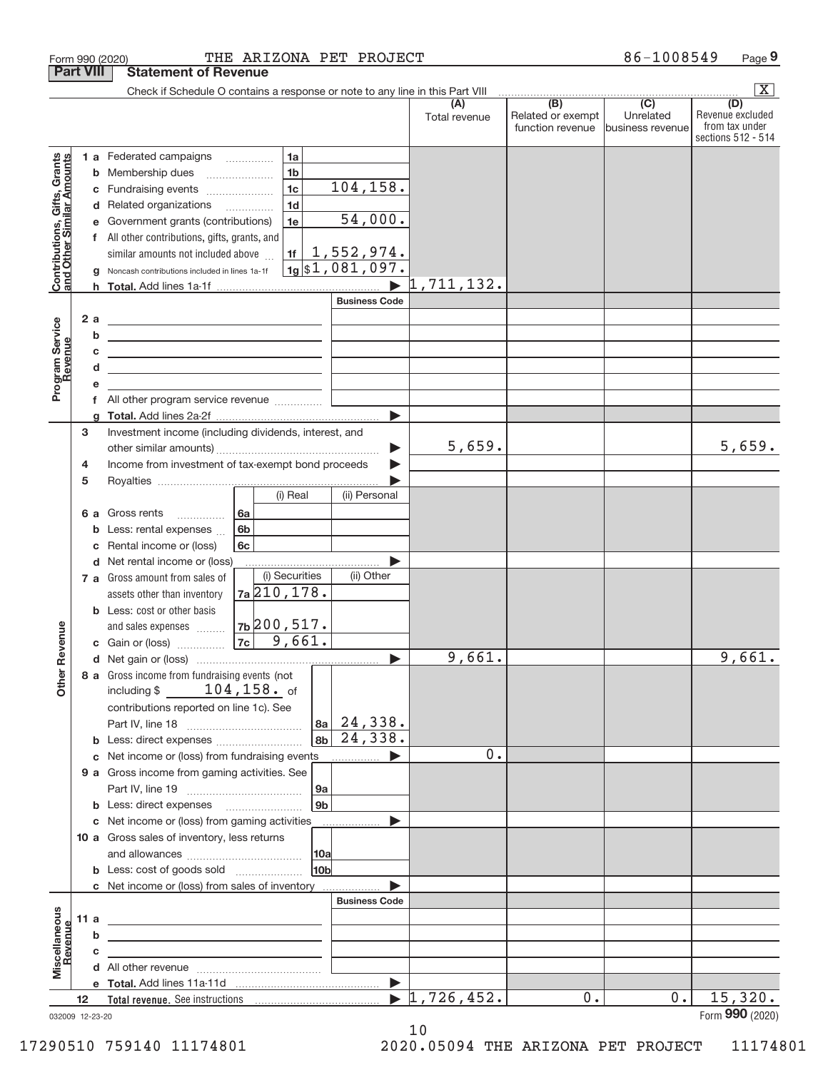|                                                           |                  |        | Form 990 (2020)                                                                                                        | THE ARIZONA PET PROJECT |                 |                       |                                  |                                       | 86-1008549                    | Page 9                             |
|-----------------------------------------------------------|------------------|--------|------------------------------------------------------------------------------------------------------------------------|-------------------------|-----------------|-----------------------|----------------------------------|---------------------------------------|-------------------------------|------------------------------------|
|                                                           | <b>Part VIII</b> |        | <b>Statement of Revenue</b>                                                                                            |                         |                 |                       |                                  |                                       |                               |                                    |
|                                                           |                  |        | Check if Schedule O contains a response or note to any line in this Part VIII                                          |                         |                 |                       | (A)                              | (B)                                   | $\overline{(C)}$              | $\mathbf{X}$<br>(D)                |
|                                                           |                  |        |                                                                                                                        |                         |                 |                       | Total revenue                    | Related or exempt<br>function revenue | Unrelated<br>business revenue | Revenue excluded<br>from tax under |
|                                                           |                  |        |                                                                                                                        |                         |                 |                       |                                  |                                       |                               | sections 512 - 514                 |
|                                                           |                  |        | 1 a Federated campaigns                                                                                                | 1a                      |                 |                       |                                  |                                       |                               |                                    |
| Contributions, Gifts, Grants<br>and Other Similar Amounts |                  |        | <b>b</b> Membership dues                                                                                               | 1 <sub>b</sub>          |                 |                       |                                  |                                       |                               |                                    |
|                                                           |                  | С      | Fundraising events                                                                                                     | 1 <sub>c</sub>          |                 | 104, 158.             |                                  |                                       |                               |                                    |
|                                                           |                  |        | d Related organizations                                                                                                | 1 <sub>d</sub>          |                 |                       |                                  |                                       |                               |                                    |
|                                                           |                  | е      | Government grants (contributions)                                                                                      | 1e                      |                 | 54,000.               |                                  |                                       |                               |                                    |
|                                                           |                  |        | f All other contributions, gifts, grants, and                                                                          |                         |                 |                       |                                  |                                       |                               |                                    |
|                                                           |                  |        | similar amounts not included above                                                                                     | 1f                      |                 | 1,552,974.            |                                  |                                       |                               |                                    |
|                                                           |                  | g      | Noncash contributions included in lines 1a-1f                                                                          |                         |                 | $1g$ \$1,081,097.     |                                  |                                       |                               |                                    |
|                                                           |                  |        |                                                                                                                        |                         |                 |                       | $\blacktriangleright$ 1,711,132. |                                       |                               |                                    |
|                                                           |                  |        |                                                                                                                        |                         |                 | <b>Business Code</b>  |                                  |                                       |                               |                                    |
|                                                           |                  | 2a     |                                                                                                                        |                         |                 |                       |                                  |                                       |                               |                                    |
|                                                           |                  | b      | <u> 1989 - Johann Barn, mars ann an t-Amhain ann an t-Amhain an t-Amhain an t-Amhain an t-Amhain an t-Amhain an t-</u> |                         |                 |                       |                                  |                                       |                               |                                    |
|                                                           |                  | c      | <u> 1989 - Johann Stein, mars et al. (b. 1989)</u>                                                                     |                         |                 |                       |                                  |                                       |                               |                                    |
|                                                           |                  | d      | <u> 1989 - Johann Barn, mars ann an t-Amhain ann an t-Amhain an t-Amhain an t-Amhain an t-Amhain an t-Amhain an t-</u> |                         |                 |                       |                                  |                                       |                               |                                    |
| Program Service<br>Revenue                                |                  | е      |                                                                                                                        |                         |                 |                       |                                  |                                       |                               |                                    |
|                                                           |                  | f.     | All other program service revenue <i>mimimini</i>                                                                      |                         |                 |                       |                                  |                                       |                               |                                    |
|                                                           |                  | a      |                                                                                                                        |                         |                 | $\blacktriangleright$ |                                  |                                       |                               |                                    |
|                                                           | 3                |        | Investment income (including dividends, interest, and                                                                  |                         |                 |                       |                                  |                                       |                               |                                    |
|                                                           |                  |        |                                                                                                                        |                         |                 |                       | 5,659.                           |                                       |                               | 5,659.                             |
|                                                           | 4                |        | Income from investment of tax-exempt bond proceeds                                                                     |                         |                 |                       |                                  |                                       |                               |                                    |
|                                                           | 5                |        |                                                                                                                        | (i) Real                |                 | (ii) Personal         |                                  |                                       |                               |                                    |
|                                                           |                  |        |                                                                                                                        | 6a                      |                 |                       |                                  |                                       |                               |                                    |
|                                                           |                  |        | 6 a Gross rents<br>.                                                                                                   | 6 <sub>b</sub>          |                 |                       |                                  |                                       |                               |                                    |
|                                                           |                  | b<br>c | Less: rental expenses<br>Rental income or (loss)                                                                       | 6c                      |                 |                       |                                  |                                       |                               |                                    |
|                                                           |                  | d      | Net rental income or (loss)                                                                                            |                         |                 |                       |                                  |                                       |                               |                                    |
|                                                           |                  |        | 7 a Gross amount from sales of                                                                                         | (i) Securities          |                 | (ii) Other            |                                  |                                       |                               |                                    |
|                                                           |                  |        | assets other than inventory                                                                                            | $7a$ 210, 178.          |                 |                       |                                  |                                       |                               |                                    |
|                                                           |                  |        | <b>b</b> Less: cost or other basis                                                                                     |                         |                 |                       |                                  |                                       |                               |                                    |
|                                                           |                  |        | and sales expenses                                                                                                     | $7b$ 200, 517.          |                 |                       |                                  |                                       |                               |                                    |
| venue                                                     |                  |        | c Gain or (loss)                                                                                                       | 9,661.<br>7c            |                 |                       |                                  |                                       |                               |                                    |
|                                                           |                  |        |                                                                                                                        |                         |                 |                       | 9,661.                           |                                       |                               | 9,661.                             |
| Other Re                                                  |                  |        | 8 a Gross income from fundraising events (not                                                                          |                         |                 |                       |                                  |                                       |                               |                                    |
|                                                           |                  |        | including \$                                                                                                           | $104,158$ of            |                 |                       |                                  |                                       |                               |                                    |
|                                                           |                  |        | contributions reported on line 1c). See                                                                                |                         |                 |                       |                                  |                                       |                               |                                    |
|                                                           |                  |        |                                                                                                                        |                         |                 | $ a_2 $ 24,338.       |                                  |                                       |                               |                                    |
|                                                           |                  |        | <b>b</b> Less: direct expenses                                                                                         |                         | 8 <sub>b</sub>  | 24,338.               |                                  |                                       |                               |                                    |
|                                                           |                  | c      | Net income or (loss) from fundraising events                                                                           |                         |                 |                       | 0.                               |                                       |                               |                                    |
|                                                           |                  |        | 9 a Gross income from gaming activities. See                                                                           |                         |                 |                       |                                  |                                       |                               |                                    |
|                                                           |                  |        |                                                                                                                        |                         | <b>9a</b>       |                       |                                  |                                       |                               |                                    |
|                                                           |                  |        |                                                                                                                        |                         | 9 <sub>b</sub>  |                       |                                  |                                       |                               |                                    |
|                                                           |                  |        | c Net income or (loss) from gaming activities                                                                          |                         |                 |                       |                                  |                                       |                               |                                    |
|                                                           |                  |        | 10 a Gross sales of inventory, less returns                                                                            |                         |                 |                       |                                  |                                       |                               |                                    |
|                                                           |                  |        |                                                                                                                        |                         | 10a             |                       |                                  |                                       |                               |                                    |
|                                                           |                  |        | <b>b</b> Less: cost of goods sold                                                                                      |                         | 10 <sub>b</sub> |                       |                                  |                                       |                               |                                    |
|                                                           |                  |        | c Net income or (loss) from sales of inventory                                                                         |                         |                 | <b>Business Code</b>  |                                  |                                       |                               |                                    |
|                                                           |                  |        |                                                                                                                        |                         |                 |                       |                                  |                                       |                               |                                    |
|                                                           | 11a              |        |                                                                                                                        |                         |                 |                       |                                  |                                       |                               |                                    |
|                                                           |                  | b      |                                                                                                                        |                         |                 |                       |                                  |                                       |                               |                                    |
| Miscellaneous<br>Revenue                                  |                  | c      |                                                                                                                        |                         |                 |                       |                                  |                                       |                               |                                    |
|                                                           |                  |        |                                                                                                                        |                         |                 |                       |                                  |                                       |                               |                                    |
|                                                           | 12               |        |                                                                                                                        |                         |                 |                       | $\blacktriangleright$ 1,726,452. | $0$ .                                 | 0.                            | 15,320.                            |
| 032009 12-23-20                                           |                  |        |                                                                                                                        |                         |                 |                       |                                  |                                       |                               | Form 990 (2020)                    |

032009 12‐23‐20

17290510 759140 11174801 2020.05094 THE ARIZONA PET PROJECT 11174801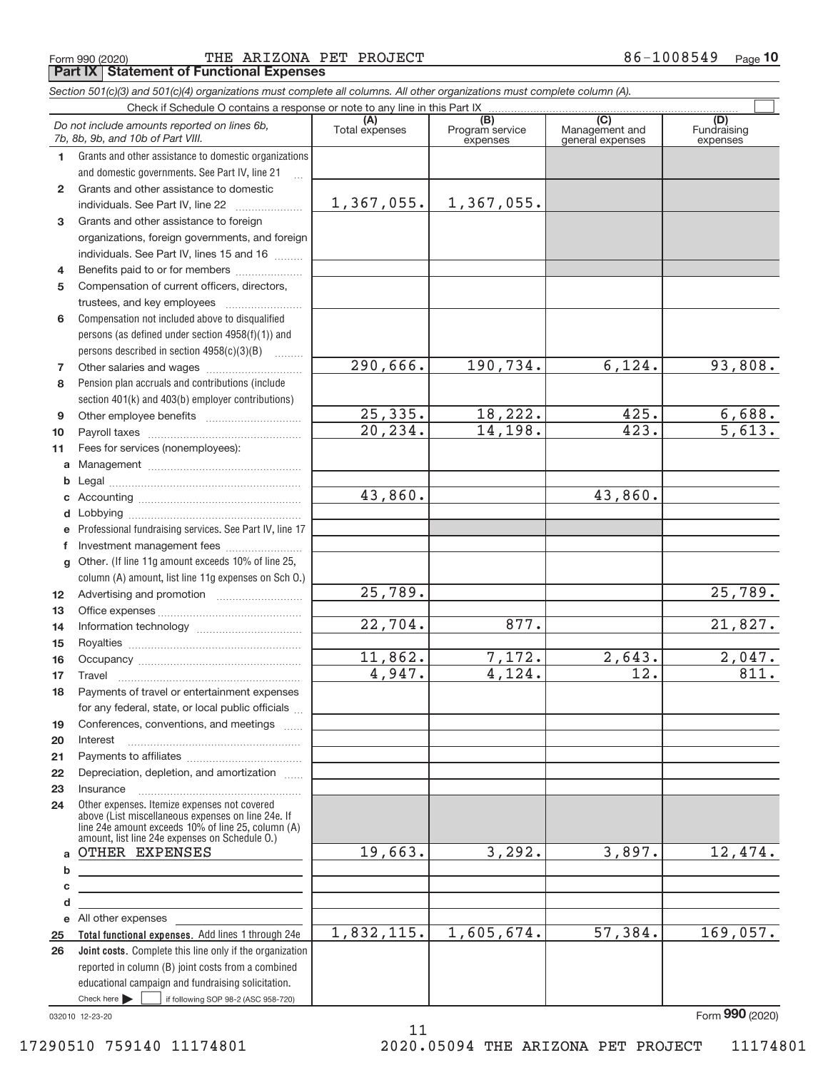$_{\rm Form}$  990 (2020) THE ARIZONA PET PROJECT 86-1008549  $_{\rm Page}$ **Part IX Statement of Functional Expenses**

*Section 501(c)(3) and 501(c)(4) organizations must complete all columns. All other organizations must complete column (A).*

|                 | Do not include amounts reported on lines 6b,<br>7b, 8b, 9b, and 10b of Part VIII.                                                                                                                          | (A)<br>Total expenses | (B)<br>Program service<br>expenses | $\overline{(C)}$<br>Management and<br>general expenses | (D)<br>Fundraising<br>expenses |
|-----------------|------------------------------------------------------------------------------------------------------------------------------------------------------------------------------------------------------------|-----------------------|------------------------------------|--------------------------------------------------------|--------------------------------|
| 1.              | Grants and other assistance to domestic organizations                                                                                                                                                      |                       |                                    |                                                        |                                |
|                 | and domestic governments. See Part IV, line 21                                                                                                                                                             |                       |                                    |                                                        |                                |
| $\mathbf{2}$    | Grants and other assistance to domestic                                                                                                                                                                    |                       |                                    |                                                        |                                |
|                 | individuals. See Part IV, line 22                                                                                                                                                                          | 1,367,055.            | 1,367,055.                         |                                                        |                                |
| 3               | Grants and other assistance to foreign                                                                                                                                                                     |                       |                                    |                                                        |                                |
|                 | organizations, foreign governments, and foreign                                                                                                                                                            |                       |                                    |                                                        |                                |
|                 | individuals. See Part IV, lines 15 and 16                                                                                                                                                                  |                       |                                    |                                                        |                                |
| 4               | Benefits paid to or for members                                                                                                                                                                            |                       |                                    |                                                        |                                |
| 5               | Compensation of current officers, directors,                                                                                                                                                               |                       |                                    |                                                        |                                |
|                 | trustees, and key employees                                                                                                                                                                                |                       |                                    |                                                        |                                |
| 6               | Compensation not included above to disqualified                                                                                                                                                            |                       |                                    |                                                        |                                |
|                 | persons (as defined under section 4958(f)(1)) and                                                                                                                                                          |                       |                                    |                                                        |                                |
|                 | persons described in section 4958(c)(3)(B)<br><b>Barbara</b>                                                                                                                                               |                       |                                    |                                                        |                                |
| 7               |                                                                                                                                                                                                            | 290,666.              | 190,734.                           | 6,124.                                                 | 93,808.                        |
| 8               | Pension plan accruals and contributions (include                                                                                                                                                           |                       |                                    |                                                        |                                |
|                 | section 401(k) and 403(b) employer contributions)                                                                                                                                                          |                       |                                    |                                                        |                                |
| 9               |                                                                                                                                                                                                            | 25, 335.              | 18,222.                            | 425.                                                   | $\frac{6,688.}{5,613.}$        |
| 10              |                                                                                                                                                                                                            | 20,234.               | 14,198.                            | 423.                                                   |                                |
| 11              | Fees for services (nonemployees):                                                                                                                                                                          |                       |                                    |                                                        |                                |
| a               |                                                                                                                                                                                                            |                       |                                    |                                                        |                                |
| b               |                                                                                                                                                                                                            |                       |                                    |                                                        |                                |
| С               |                                                                                                                                                                                                            | 43,860.               |                                    | 43,860.                                                |                                |
| d               |                                                                                                                                                                                                            |                       |                                    |                                                        |                                |
| е               | Professional fundraising services. See Part IV, line 17                                                                                                                                                    |                       |                                    |                                                        |                                |
| f               | Investment management fees                                                                                                                                                                                 |                       |                                    |                                                        |                                |
| g               | Other. (If line 11g amount exceeds 10% of line 25,                                                                                                                                                         |                       |                                    |                                                        |                                |
|                 | column (A) amount, list line 11g expenses on Sch O.)                                                                                                                                                       | $\overline{25,789}$ . |                                    |                                                        | 25,789.                        |
| 12 <sup>°</sup> |                                                                                                                                                                                                            |                       |                                    |                                                        |                                |
| 13<br>14        |                                                                                                                                                                                                            | $\overline{22,704}$ . | 877.                               |                                                        | 21,827.                        |
| 15              |                                                                                                                                                                                                            |                       |                                    |                                                        |                                |
| 16              |                                                                                                                                                                                                            | 11,862.               | 7,172.                             | 2,643.                                                 |                                |
| 17              | Travel                                                                                                                                                                                                     | 4,947.                | 4,124.                             | 12.                                                    | $\frac{2,047.}{811.}$          |
| 18              | Payments of travel or entertainment expenses                                                                                                                                                               |                       |                                    |                                                        |                                |
|                 | for any federal, state, or local public officials                                                                                                                                                          |                       |                                    |                                                        |                                |
| 19              | Conferences, conventions, and meetings                                                                                                                                                                     |                       |                                    |                                                        |                                |
| 20              | Interest                                                                                                                                                                                                   |                       |                                    |                                                        |                                |
| 21              |                                                                                                                                                                                                            |                       |                                    |                                                        |                                |
| 22              | Depreciation, depletion, and amortization                                                                                                                                                                  |                       |                                    |                                                        |                                |
| 23              | Insurance                                                                                                                                                                                                  |                       |                                    |                                                        |                                |
| 24              | Other expenses. Itemize expenses not covered<br>above (List miscellaneous expenses on line 24e. If<br>line 24e amount exceeds 10% of line 25, column (A)<br>amount, list line 24e expenses on Schedule O.) |                       |                                    |                                                        |                                |
| a               | OTHER EXPENSES                                                                                                                                                                                             | 19,663.               | 3,292.                             | 3,897.                                                 | 12,474.                        |
| b               | <u> 1989 - Johann Barn, amerikansk politiker (</u>                                                                                                                                                         |                       |                                    |                                                        |                                |
| c               | the control of the control of the control of the control of the control of                                                                                                                                 |                       |                                    |                                                        |                                |
| d               | the control of the control of the control of the control of the control of                                                                                                                                 |                       |                                    |                                                        |                                |
|                 | e All other expenses                                                                                                                                                                                       |                       |                                    |                                                        |                                |
| 25              | Total functional expenses. Add lines 1 through 24e                                                                                                                                                         | 1,832,115.            | 1,605,674.                         | 57,384.                                                | 169,057.                       |
| 26              | Joint costs. Complete this line only if the organization                                                                                                                                                   |                       |                                    |                                                        |                                |
|                 | reported in column (B) joint costs from a combined                                                                                                                                                         |                       |                                    |                                                        |                                |
|                 | educational campaign and fundraising solicitation.                                                                                                                                                         |                       |                                    |                                                        |                                |
|                 | Check here $\blacktriangleright$<br>if following SOP 98-2 (ASC 958-720)                                                                                                                                    |                       |                                    |                                                        |                                |

11

032010 12‐23‐20

Form (2020) **990**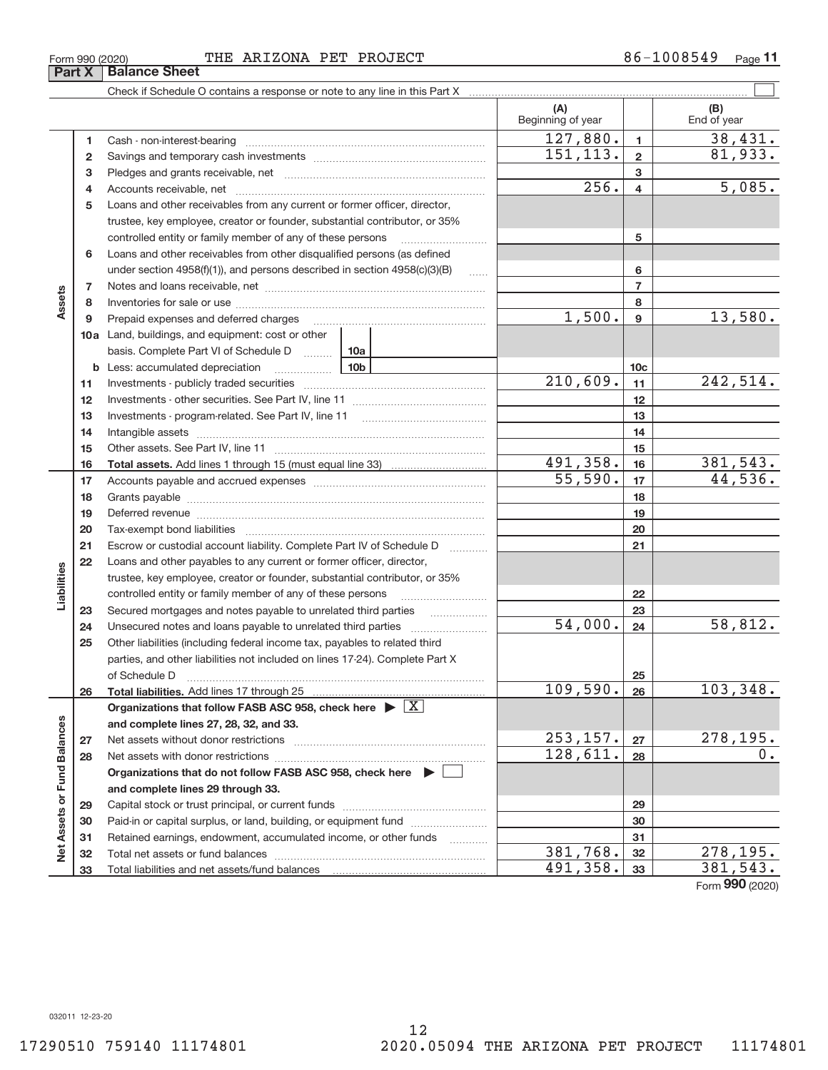**33**

Total liabilities and net assets/fund balances

**Net Assets or Fund Balances**

Net

Assets or Fund Balances

**33**

491,358. 381,543.

Form (2020) **990**

**3** Pledges and grants receivable, net ~~~~~~~~~~~~~~~~~~~~~ **4 5** Loans and other receivables from any current or former officer, director, **6 7 8 9 10 a** Land, buildings, and equipment: cost or other **11 12 13 14 15 16 17 18 19 20 21 22 23 24 25 3 4 5 6 7 8 9 10c 11 12 13 14 15 16 17 18 19 20 21 22 23 24 b 10b** Less: accumulated depreciation ~~~~~~ basis. Complete Part VI of Schedule D ......... 10a **Assets Total assets.**  Add lines 1 through 15 (must equal line 33) **Liabilities** Accounts receivable, net ~~~~~~~~~~~~~~~~~~~~~~~~~~ trustee, key employee, creator or founder, substantial contributor, or 35% controlled entity or family member of any of these persons ............................ Loans and other receivables from other disqualified persons (as defined under section  $4958(f)(1)$ , and persons described in section  $4958(c)(3)(B)$ Notes and loans receivable, net ~~~~~~~~~~~~~~~~~~~~~~~ Inventories for sale or use ~~~~~~~~~~~~~~~~~~~~~~~~~~ Prepaid expenses and deferred charges ~~~~~~~~~~~~~~~~~~ Investments ‐ publicly traded securities ~~~~~~~~~~~~~~~~~~~ Investments ‐ other securities. See Part IV, line 11 ~~~~~~~~~~~~~~ Investments - program-related. See Part IV, line 11 [2010] [2010] [2010] [2010] [2010] [2010] [2010] [2010] [2 Intangible assets ~~~~~~~~~~~~~~~~~~~~~~~~~~~~~~ Other assets. See Part IV, line 11 ~~~~~~~~~~~~~~~~~~~~~~ Accounts payable and accrued expenses ~~~~~~~~~~~~~~~~~~ Grants payable ~~~~~~~~~~~~~~~~~~~~~~~~~~~~~~~ Deferred revenue **communications** contains a construction of the construction of the construction of the construction of the construction of the construction of the construction of the construction of the construction of t Tax‐exempt bond liabilities ~~~~~~~~~~~~~~~~~~~~~~~~~ Escrow or custodial account liability. Complete Part IV of Schedule D [ \\timm\] Loans and other payables to any current or former officer, director, trustee, key employee, creator or founder, substantial contributor, or 35% controlled entity or family member of any of these persons ~~~~~~~~~ Secured mortgages and notes payable to unrelated third parties  $\ldots$ Unsecured notes and loans payable to unrelated third parties  $\ldots$ Other liabilities (including federal income tax, payables to related third

## $_{\rm Form}$  990 (2020) THE ARIZONA PET PROJECT 86-1008549  $_{\rm Page}$ **Part X Balance Sheet**

Cash ‐ non‐interest‐bearing ~~~~~~~~~~~~~~~~~~~~~~~~~ Savings and temporary cash investments ~~~~~~~~~~~~~~~~~~

Check if Schedule O contains a response or note to any line in this Part X

**26 27 28 29 30 31 32 25 26 Total liabilities.**  Add lines 17 through 25 Organizations that follow FASB ASC 958, check here  $\blacktriangleright \boxed{\text{X}}$ **and complete lines 27, 28, 32, and 33. 27 28 Organizations that do not follow FASB ASC 958, check here** | **and complete lines 29 through 33. 29 30 31 32** parties, and other liabilities not included on lines 17‐24). Complete Part X of Schedule D ~~~~~~~~~~~~~~~~~~~~~~~~~~~~~~~ Net assets without donor restrictions ~~~~~~~~~~~~~~~~~~~~ Net assets with donor restrictions ~~~~~~~~~~~~~~~~~~~~~~ Capital stock or trust principal, or current funds ~~~~~~~~~~~~~~~ Paid-in or capital surplus, or land, building, or equipment fund *willerthounder* Retained earnings, endowment, accumulated income, or other funds ~~~~ Total net assets or fund balances ~~~~~~~~~~~~~~~~~~~~~~  $256. |4| 5,085.$  $1,500$ .  $9$   $13,580$ .  $210,609.$  11  $242,514.$ 491,358. 16 381,543.  $55,590.$   $17$   $44,536.$  $109,590. |26| 103,348.$  $253, 157. |27 | 278, 195.$  $128,611. | 28 | 0.$  $381,768.$   $32$  278,195.  $54,000$ .  $24$  58,812.

 $\boxed{\phantom{1}}$ 

**(A) (B)**

Beginning of year  $\vert$  | End of year

**1 2**

 $127,880.$  1 38,431.

 $151, 113. | 2 | 81, 933.$ 

**1 2**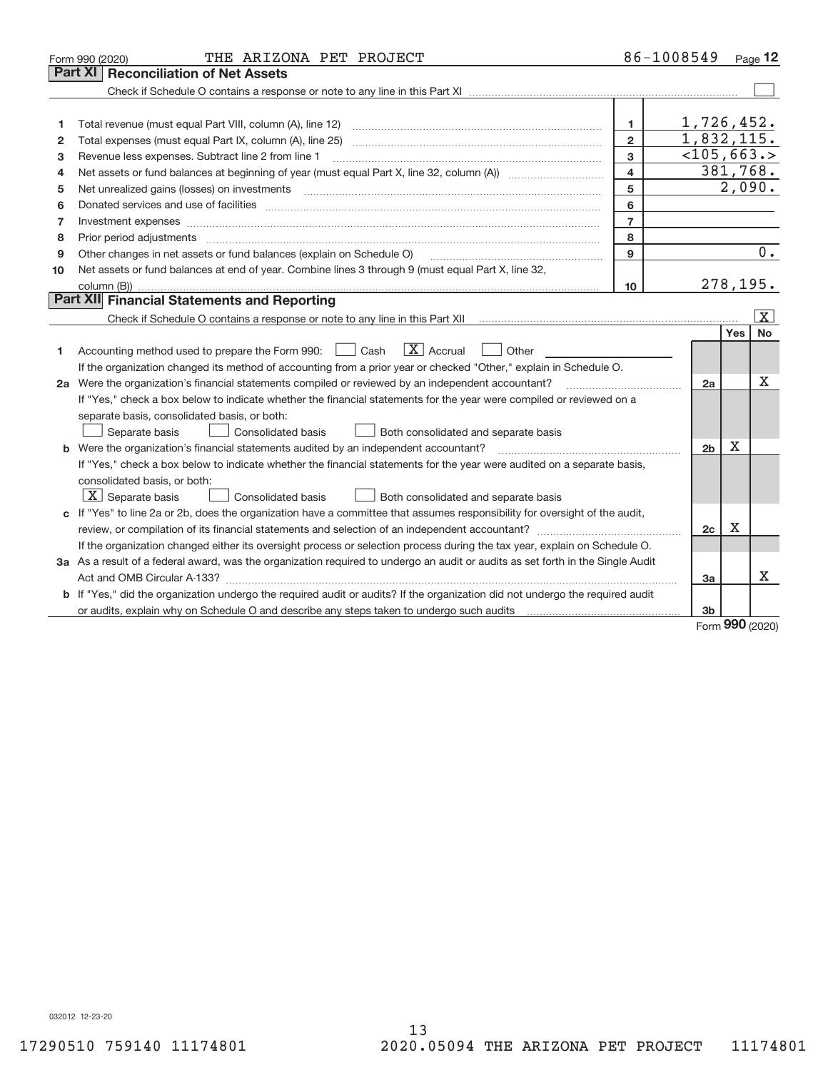|    | THE ARIZONA PET PROJECT<br>Form 990 (2020)                                                                                           |                         | 86-1008549     |             | Page 12           |
|----|--------------------------------------------------------------------------------------------------------------------------------------|-------------------------|----------------|-------------|-------------------|
|    | Part XI<br><b>Reconciliation of Net Assets</b>                                                                                       |                         |                |             |                   |
|    |                                                                                                                                      |                         |                |             |                   |
|    |                                                                                                                                      |                         |                |             |                   |
| 1  |                                                                                                                                      | 1                       | 1,726,452.     |             |                   |
| 2  |                                                                                                                                      | $\overline{2}$          | 1,832,115.     |             |                   |
| з  | Revenue less expenses. Subtract line 2 from line 1                                                                                   | 3                       | $<$ 105,663.>  |             |                   |
| 4  |                                                                                                                                      | $\overline{\mathbf{4}}$ |                | 381,768.    |                   |
| 5  |                                                                                                                                      | 5                       |                | 2,090.      |                   |
| 6  |                                                                                                                                      | 6                       |                |             |                   |
| 7  | Investment expenses www.communication.com/www.communication.com/www.communication.com/www.communication.com                          | $\overline{7}$          |                |             |                   |
| 8  |                                                                                                                                      | 8                       |                |             |                   |
| 9  | Other changes in net assets or fund balances (explain on Schedule O)                                                                 | 9                       |                |             | $\overline{0}$ .  |
| 10 | Net assets or fund balances at end of year. Combine lines 3 through 9 (must equal Part X, line 32,                                   |                         |                |             |                   |
|    |                                                                                                                                      | 10                      |                | 278,195.    |                   |
|    | <b>Part XII</b> Financial Statements and Reporting                                                                                   |                         |                |             |                   |
|    |                                                                                                                                      |                         |                |             | $\vert$ X $\vert$ |
|    |                                                                                                                                      |                         |                | Yes         | <b>No</b>         |
| 1. | $\boxed{\mathbf{X}}$ Accrual<br>Accounting method used to prepare the Form 990: <u>[</u> Cash<br>Other                               |                         |                |             |                   |
|    | If the organization changed its method of accounting from a prior year or checked "Other," explain in Schedule O.                    |                         |                |             |                   |
|    | 2a Were the organization's financial statements compiled or reviewed by an independent accountant?                                   |                         | 2a             |             | Χ                 |
|    | If "Yes," check a box below to indicate whether the financial statements for the year were compiled or reviewed on a                 |                         |                |             |                   |
|    | separate basis, consolidated basis, or both:                                                                                         |                         |                |             |                   |
|    | Separate basis<br><b>Consolidated basis</b><br>Both consolidated and separate basis                                                  |                         |                |             |                   |
|    | b Were the organization's financial statements audited by an independent accountant?                                                 |                         | 2 <sub>b</sub> | $\mathbf X$ |                   |
|    | If "Yes," check a box below to indicate whether the financial statements for the year were audited on a separate basis,              |                         |                |             |                   |
|    | consolidated basis, or both:                                                                                                         |                         |                |             |                   |
|    | $X$ Separate basis<br><b>Consolidated basis</b><br>Both consolidated and separate basis                                              |                         |                |             |                   |
|    | c If "Yes" to line 2a or 2b, does the organization have a committee that assumes responsibility for oversight of the audit,          |                         |                |             |                   |
|    |                                                                                                                                      |                         | 2c             | Х           |                   |
|    | If the organization changed either its oversight process or selection process during the tax year, explain on Schedule O.            |                         |                |             |                   |
|    | 3a As a result of a federal award, was the organization required to undergo an audit or audits as set forth in the Single Audit      |                         |                |             |                   |
|    |                                                                                                                                      |                         | За             |             | X                 |
|    | <b>b</b> If "Yes," did the organization undergo the required audit or audits? If the organization did not undergo the required audit |                         |                |             |                   |
|    |                                                                                                                                      |                         | 3b             | $\sim$      |                   |
|    |                                                                                                                                      |                         |                |             |                   |

Form (2020) **990**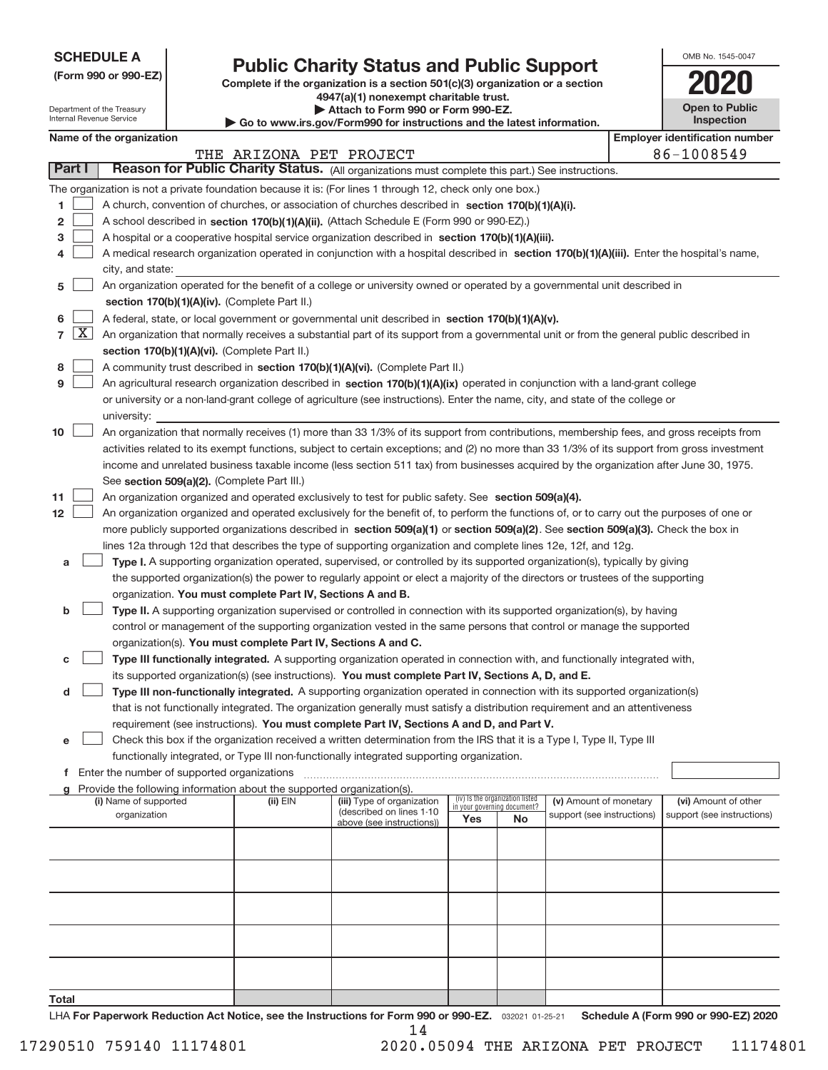| <b>SCHEDULE A</b> |
|-------------------|
|-------------------|

Department of the Treasury Internal Revenue Service

# **Public Charity Status and Public Support**

**(Form 990 or 990‐EZ) Complete if the organization is a section 501(c)(3) organization or a section 4947(a)(1) nonexempt charitable trust.**

| Attach to Form 990 or Form 990-EZ.                                       |
|--------------------------------------------------------------------------|
| ▶ Go to www.irs.gov/Form990 for instructions and the latest information. |

| <b>Open to Public</b><br><b>Inspection</b> |  |
|--------------------------------------------|--|
|                                            |  |

OMB No. 1545‐0047

|                          | $\blacktriangleright$ Go to www.irs.gov/Form990 for instructions and the latest information. |          |                         |
|--------------------------|----------------------------------------------------------------------------------------------|----------|-------------------------|
| Name of the organization |                                                                                              | Employer | r identification number |

|                                              |                                                                                                                                                                                                                                                                                                                                                                                                                                                                                                                                                                                                                                                                                                                                                                                                                                                                                             |                                                                                                                                                                                                                                                                                                                                                                                                                                                                                                                                                                                                                                                                                                       |                                                                                                                                                                                                                                                                                                                                                                                                                                                                                                                                                                                                                                                                                                                                                                    | THE ARIZONA PET PROJECT |                            |                                                                |  |                        |  | 86-1008549           |
|----------------------------------------------|---------------------------------------------------------------------------------------------------------------------------------------------------------------------------------------------------------------------------------------------------------------------------------------------------------------------------------------------------------------------------------------------------------------------------------------------------------------------------------------------------------------------------------------------------------------------------------------------------------------------------------------------------------------------------------------------------------------------------------------------------------------------------------------------------------------------------------------------------------------------------------------------|-------------------------------------------------------------------------------------------------------------------------------------------------------------------------------------------------------------------------------------------------------------------------------------------------------------------------------------------------------------------------------------------------------------------------------------------------------------------------------------------------------------------------------------------------------------------------------------------------------------------------------------------------------------------------------------------------------|--------------------------------------------------------------------------------------------------------------------------------------------------------------------------------------------------------------------------------------------------------------------------------------------------------------------------------------------------------------------------------------------------------------------------------------------------------------------------------------------------------------------------------------------------------------------------------------------------------------------------------------------------------------------------------------------------------------------------------------------------------------------|-------------------------|----------------------------|----------------------------------------------------------------|--|------------------------|--|----------------------|
|                                              | Part I<br>Reason for Public Charity Status. (All organizations must complete this part.) See instructions.                                                                                                                                                                                                                                                                                                                                                                                                                                                                                                                                                                                                                                                                                                                                                                                  |                                                                                                                                                                                                                                                                                                                                                                                                                                                                                                                                                                                                                                                                                                       |                                                                                                                                                                                                                                                                                                                                                                                                                                                                                                                                                                                                                                                                                                                                                                    |                         |                            |                                                                |  |                        |  |                      |
| 1.<br>$\overline{\mathbf{c}}$<br>з<br>4<br>5 | The organization is not a private foundation because it is: (For lines 1 through 12, check only one box.)<br>A church, convention of churches, or association of churches described in section 170(b)(1)(A)(i).<br>A school described in section 170(b)(1)(A)(ii). (Attach Schedule E (Form 990 or 990-EZ).)<br>A hospital or a cooperative hospital service organization described in section $170(b)(1)(A)(iii)$ .<br>A medical research organization operated in conjunction with a hospital described in section 170(b)(1)(A)(iii). Enter the hospital's name,<br>city, and state:<br>An organization operated for the benefit of a college or university owned or operated by a governmental unit described in                                                                                                                                                                         |                                                                                                                                                                                                                                                                                                                                                                                                                                                                                                                                                                                                                                                                                                       |                                                                                                                                                                                                                                                                                                                                                                                                                                                                                                                                                                                                                                                                                                                                                                    |                         |                            |                                                                |  |                        |  |                      |
| 6<br>$\overline{7}$<br>8<br>9                | $\lfloor x \rfloor$                                                                                                                                                                                                                                                                                                                                                                                                                                                                                                                                                                                                                                                                                                                                                                                                                                                                         | section 170(b)(1)(A)(iv). (Complete Part II.)<br>A federal, state, or local government or governmental unit described in section $170(b)(1)(A)(v)$ .<br>An organization that normally receives a substantial part of its support from a governmental unit or from the general public described in<br>section 170(b)(1)(A)(vi). (Complete Part II.)<br>A community trust described in section 170(b)(1)(A)(vi). (Complete Part II.)<br>An agricultural research organization described in section 170(b)(1)(A)(ix) operated in conjunction with a land-grant college<br>or university or a non-land-grant college of agriculture (see instructions). Enter the name, city, and state of the college or |                                                                                                                                                                                                                                                                                                                                                                                                                                                                                                                                                                                                                                                                                                                                                                    |                         |                            |                                                                |  |                        |  |                      |
| 10<br>11<br>12 <sub>2</sub>                  | university:<br>An organization that normally receives (1) more than 33 1/3% of its support from contributions, membership fees, and gross receipts from<br>activities related to its exempt functions, subject to certain exceptions; and (2) no more than 33 1/3% of its support from gross investment<br>income and unrelated business taxable income (less section 511 tax) from businesses acquired by the organization after June 30, 1975.<br>See section 509(a)(2). (Complete Part III.)<br>An organization organized and operated exclusively to test for public safety. See section 509(a)(4).<br>An organization organized and operated exclusively for the benefit of, to perform the functions of, or to carry out the purposes of one or<br>more publicly supported organizations described in section 509(a)(1) or section 509(a)(2). See section 509(a)(3). Check the box in |                                                                                                                                                                                                                                                                                                                                                                                                                                                                                                                                                                                                                                                                                                       |                                                                                                                                                                                                                                                                                                                                                                                                                                                                                                                                                                                                                                                                                                                                                                    |                         |                            |                                                                |  |                        |  |                      |
| а<br>b                                       |                                                                                                                                                                                                                                                                                                                                                                                                                                                                                                                                                                                                                                                                                                                                                                                                                                                                                             |                                                                                                                                                                                                                                                                                                                                                                                                                                                                                                                                                                                                                                                                                                       | lines 12a through 12d that describes the type of supporting organization and complete lines 12e, 12f, and 12g.<br>Type I. A supporting organization operated, supervised, or controlled by its supported organization(s), typically by giving<br>the supported organization(s) the power to regularly appoint or elect a majority of the directors or trustees of the supporting<br>organization. You must complete Part IV, Sections A and B.<br>Type II. A supporting organization supervised or controlled in connection with its supported organization(s), by having<br>control or management of the supporting organization vested in the same persons that control or manage the supported<br>organization(s). You must complete Part IV, Sections A and C. |                         |                            |                                                                |  |                        |  |                      |
|                                              | Type III functionally integrated. A supporting organization operated in connection with, and functionally integrated with,<br>с<br>its supported organization(s) (see instructions). You must complete Part IV, Sections A, D, and E.<br>Type III non-functionally integrated. A supporting organization operated in connection with its supported organization(s)<br>d<br>that is not functionally integrated. The organization generally must satisfy a distribution requirement and an attentiveness<br>requirement (see instructions). You must complete Part IV, Sections A and D, and Part V.<br>Check this box if the organization received a written determination from the IRS that it is a Type I, Type II, Type III<br>е                                                                                                                                                         |                                                                                                                                                                                                                                                                                                                                                                                                                                                                                                                                                                                                                                                                                                       |                                                                                                                                                                                                                                                                                                                                                                                                                                                                                                                                                                                                                                                                                                                                                                    |                         |                            |                                                                |  |                        |  |                      |
| f<br>a                                       |                                                                                                                                                                                                                                                                                                                                                                                                                                                                                                                                                                                                                                                                                                                                                                                                                                                                                             |                                                                                                                                                                                                                                                                                                                                                                                                                                                                                                                                                                                                                                                                                                       | functionally integrated, or Type III non-functionally integrated supporting organization.<br>Enter the number of supported organizations<br>Provide the following information about the supported organization(s).<br>(i) Name of supported                                                                                                                                                                                                                                                                                                                                                                                                                                                                                                                        | (ii) EIN                | (iii) Type of organization | (iv) Is the organization listed<br>in your governing document? |  | (v) Amount of monetary |  | (vi) Amount of other |
|                                              | (described on lines 1-10<br>organization<br>support (see instructions)<br>support (see instructions)<br>Yes<br>No<br>above (see instructions))                                                                                                                                                                                                                                                                                                                                                                                                                                                                                                                                                                                                                                                                                                                                              |                                                                                                                                                                                                                                                                                                                                                                                                                                                                                                                                                                                                                                                                                                       |                                                                                                                                                                                                                                                                                                                                                                                                                                                                                                                                                                                                                                                                                                                                                                    |                         |                            |                                                                |  |                        |  |                      |
|                                              |                                                                                                                                                                                                                                                                                                                                                                                                                                                                                                                                                                                                                                                                                                                                                                                                                                                                                             |                                                                                                                                                                                                                                                                                                                                                                                                                                                                                                                                                                                                                                                                                                       |                                                                                                                                                                                                                                                                                                                                                                                                                                                                                                                                                                                                                                                                                                                                                                    |                         |                            |                                                                |  |                        |  |                      |
|                                              |                                                                                                                                                                                                                                                                                                                                                                                                                                                                                                                                                                                                                                                                                                                                                                                                                                                                                             |                                                                                                                                                                                                                                                                                                                                                                                                                                                                                                                                                                                                                                                                                                       |                                                                                                                                                                                                                                                                                                                                                                                                                                                                                                                                                                                                                                                                                                                                                                    |                         |                            |                                                                |  |                        |  |                      |
| Total                                        |                                                                                                                                                                                                                                                                                                                                                                                                                                                                                                                                                                                                                                                                                                                                                                                                                                                                                             |                                                                                                                                                                                                                                                                                                                                                                                                                                                                                                                                                                                                                                                                                                       |                                                                                                                                                                                                                                                                                                                                                                                                                                                                                                                                                                                                                                                                                                                                                                    |                         |                            |                                                                |  |                        |  |                      |

032021 01‐25‐21 **For Paperwork Reduction Act Notice, see the Instructions for Form 990 or 990‐EZ. Schedule A (Form 990 or 990‐EZ) 2020** LHA 14

**Total**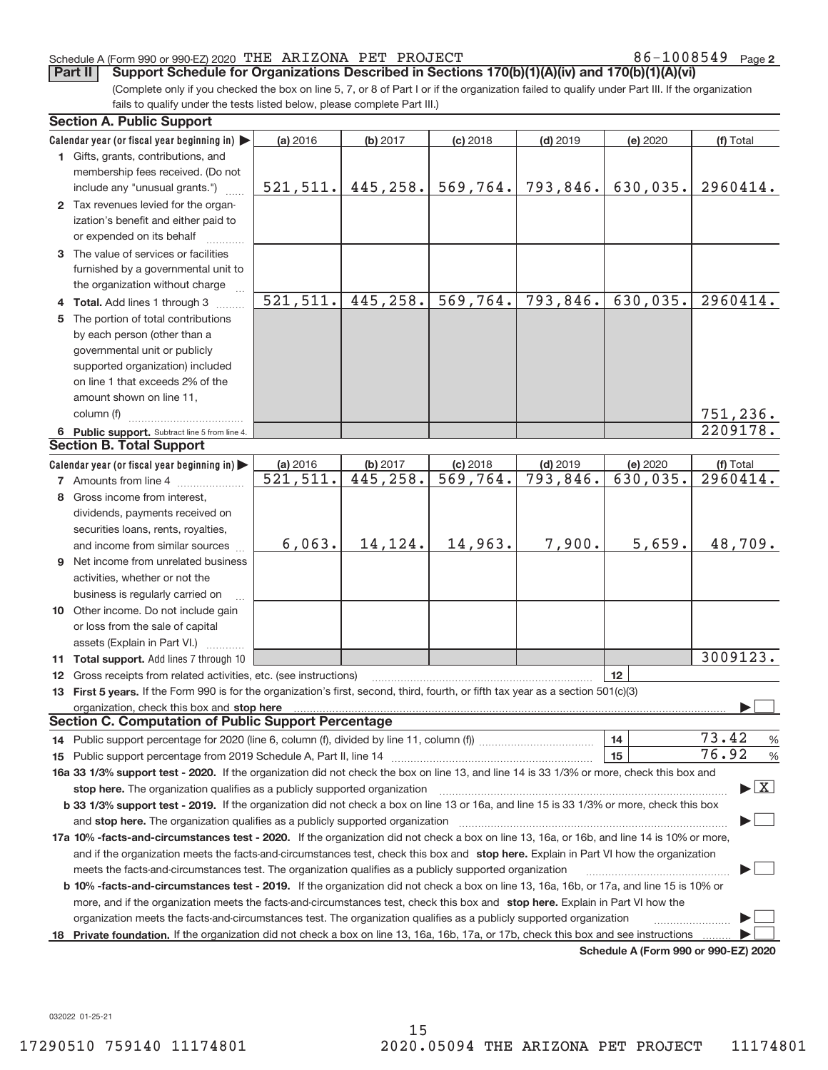86-1008549 Page 2

(Complete only if you checked the box on line 5, 7, or 8 of Part I or if the organization failed to qualify under Part III. If the organization fails to qualify under the tests listed below, please complete Part III.) **Part II** Support Schedule for Organizations Described in Sections 170(b)(1)(A)(iv) and 170(b)(1)(A)(vi)

|    | <b>Section A. Public Support</b>                                                                                                                                                                                               |                        |                      |                                       |                        |                                      |                                          |
|----|--------------------------------------------------------------------------------------------------------------------------------------------------------------------------------------------------------------------------------|------------------------|----------------------|---------------------------------------|------------------------|--------------------------------------|------------------------------------------|
|    | Calendar year (or fiscal year beginning in)                                                                                                                                                                                    | (a) 2016               | (b) 2017             | $(c)$ 2018                            | $(d)$ 2019             | (e) 2020                             | (f) Total                                |
|    | 1 Gifts, grants, contributions, and                                                                                                                                                                                            |                        |                      |                                       |                        |                                      |                                          |
|    | membership fees received. (Do not                                                                                                                                                                                              |                        |                      |                                       |                        |                                      |                                          |
|    | include any "unusual grants.")                                                                                                                                                                                                 | 521, 511.              | 445, 258.            | 569,764.                              | 793,846.               | 630,035.                             | 2960414.                                 |
|    | 2 Tax revenues levied for the organ-                                                                                                                                                                                           |                        |                      |                                       |                        |                                      |                                          |
|    | ization's benefit and either paid to                                                                                                                                                                                           |                        |                      |                                       |                        |                                      |                                          |
|    | or expended on its behalf                                                                                                                                                                                                      |                        |                      |                                       |                        |                                      |                                          |
|    | 3 The value of services or facilities                                                                                                                                                                                          |                        |                      |                                       |                        |                                      |                                          |
|    | furnished by a governmental unit to                                                                                                                                                                                            |                        |                      |                                       |                        |                                      |                                          |
|    | the organization without charge                                                                                                                                                                                                |                        |                      |                                       |                        |                                      |                                          |
|    | 4 Total. Add lines 1 through 3                                                                                                                                                                                                 | 521, 511.              | 445,258.             | 569,764.                              | 793,846.               | 630,035.                             | 2960414.                                 |
| 5. | The portion of total contributions                                                                                                                                                                                             |                        |                      |                                       |                        |                                      |                                          |
|    | by each person (other than a                                                                                                                                                                                                   |                        |                      |                                       |                        |                                      |                                          |
|    | governmental unit or publicly                                                                                                                                                                                                  |                        |                      |                                       |                        |                                      |                                          |
|    | supported organization) included                                                                                                                                                                                               |                        |                      |                                       |                        |                                      |                                          |
|    | on line 1 that exceeds 2% of the                                                                                                                                                                                               |                        |                      |                                       |                        |                                      |                                          |
|    | amount shown on line 11,                                                                                                                                                                                                       |                        |                      |                                       |                        |                                      |                                          |
|    | column (f)                                                                                                                                                                                                                     |                        |                      |                                       |                        |                                      | 751,236.                                 |
|    | 6 Public support. Subtract line 5 from line 4.                                                                                                                                                                                 |                        |                      |                                       |                        |                                      | 2209178.                                 |
|    | <b>Section B. Total Support</b>                                                                                                                                                                                                |                        |                      |                                       |                        |                                      |                                          |
|    | Calendar year (or fiscal year beginning in)                                                                                                                                                                                    | (a) 2016               |                      |                                       |                        |                                      |                                          |
|    | <b>7</b> Amounts from line 4                                                                                                                                                                                                   | $\overline{521,511}$ . | (b) 2017<br>445,258. | $(c)$ 2018<br>$\overline{569, 764}$ . | $(d)$ 2019<br>793,846. | (e) 2020<br>630,035.                 | (f) Total<br>2960414.                    |
|    | 8 Gross income from interest.                                                                                                                                                                                                  |                        |                      |                                       |                        |                                      |                                          |
|    |                                                                                                                                                                                                                                |                        |                      |                                       |                        |                                      |                                          |
|    | dividends, payments received on                                                                                                                                                                                                |                        |                      |                                       |                        |                                      |                                          |
|    | securities loans, rents, royalties,                                                                                                                                                                                            | 6,063.                 | 14,124.              | 14,963.                               | 7,900.                 | 5,659.                               | 48,709.                                  |
|    | and income from similar sources                                                                                                                                                                                                |                        |                      |                                       |                        |                                      |                                          |
|    | <b>9</b> Net income from unrelated business                                                                                                                                                                                    |                        |                      |                                       |                        |                                      |                                          |
|    | activities, whether or not the                                                                                                                                                                                                 |                        |                      |                                       |                        |                                      |                                          |
|    | business is regularly carried on                                                                                                                                                                                               |                        |                      |                                       |                        |                                      |                                          |
|    | 10 Other income. Do not include gain                                                                                                                                                                                           |                        |                      |                                       |                        |                                      |                                          |
|    | or loss from the sale of capital                                                                                                                                                                                               |                        |                      |                                       |                        |                                      |                                          |
|    | assets (Explain in Part VI.)                                                                                                                                                                                                   |                        |                      |                                       |                        |                                      |                                          |
|    | 11 Total support. Add lines 7 through 10                                                                                                                                                                                       |                        |                      |                                       |                        |                                      | 3009123.                                 |
|    | 12 Gross receipts from related activities, etc. (see instructions)                                                                                                                                                             |                        |                      |                                       |                        | 12                                   |                                          |
|    | 13 First 5 years. If the Form 990 is for the organization's first, second, third, fourth, or fifth tax year as a section 501(c)(3)                                                                                             |                        |                      |                                       |                        |                                      |                                          |
|    | organization, check this box and stop here manufactured and according to the state of the state of the state of the state of the state of the state of the state of the state of the state of the state of the state of the st |                        |                      |                                       |                        |                                      |                                          |
|    | <b>Section C. Computation of Public Support Percentage</b>                                                                                                                                                                     |                        |                      |                                       |                        |                                      |                                          |
|    |                                                                                                                                                                                                                                |                        |                      |                                       |                        | 14                                   | 73.42<br>$\frac{0}{6}$                   |
|    |                                                                                                                                                                                                                                |                        |                      |                                       |                        | 15                                   | 76.92<br>$\frac{9}{6}$                   |
|    | 16a 33 1/3% support test - 2020. If the organization did not check the box on line 13, and line 14 is 33 1/3% or more, check this box and                                                                                      |                        |                      |                                       |                        |                                      |                                          |
|    | stop here. The organization qualifies as a publicly supported organization                                                                                                                                                     |                        |                      |                                       |                        |                                      | $\blacktriangleright$ $\boxed{\text{X}}$ |
|    | b 33 1/3% support test - 2019. If the organization did not check a box on line 13 or 16a, and line 15 is 33 1/3% or more, check this box                                                                                       |                        |                      |                                       |                        |                                      |                                          |
|    | and stop here. The organization qualifies as a publicly supported organization                                                                                                                                                 |                        |                      |                                       |                        |                                      |                                          |
|    | 17a 10% -facts-and-circumstances test - 2020. If the organization did not check a box on line 13, 16a, or 16b, and line 14 is 10% or more,                                                                                     |                        |                      |                                       |                        |                                      |                                          |
|    | and if the organization meets the facts-and-circumstances test, check this box and stop here. Explain in Part VI how the organization                                                                                          |                        |                      |                                       |                        |                                      |                                          |
|    | meets the facts-and-circumstances test. The organization qualifies as a publicly supported organization                                                                                                                        |                        |                      |                                       |                        |                                      |                                          |
|    | b 10% -facts-and-circumstances test - 2019. If the organization did not check a box on line 13, 16a, 16b, or 17a, and line 15 is 10% or                                                                                        |                        |                      |                                       |                        |                                      |                                          |
|    | more, and if the organization meets the facts-and-circumstances test, check this box and stop here. Explain in Part VI how the                                                                                                 |                        |                      |                                       |                        |                                      |                                          |
|    | organization meets the facts-and-circumstances test. The organization qualifies as a publicly supported organization                                                                                                           |                        |                      |                                       |                        |                                      |                                          |
| 18 | Private foundation. If the organization did not check a box on line 13, 16a, 16b, 17a, or 17b, check this box and see instructions                                                                                             |                        |                      |                                       |                        |                                      |                                          |
|    |                                                                                                                                                                                                                                |                        |                      |                                       |                        | Schedule A (Form 990 or 990-F7) 2020 |                                          |

**Schedule A (Form 990 or 990‐EZ) 2020**

032022 01‐25‐21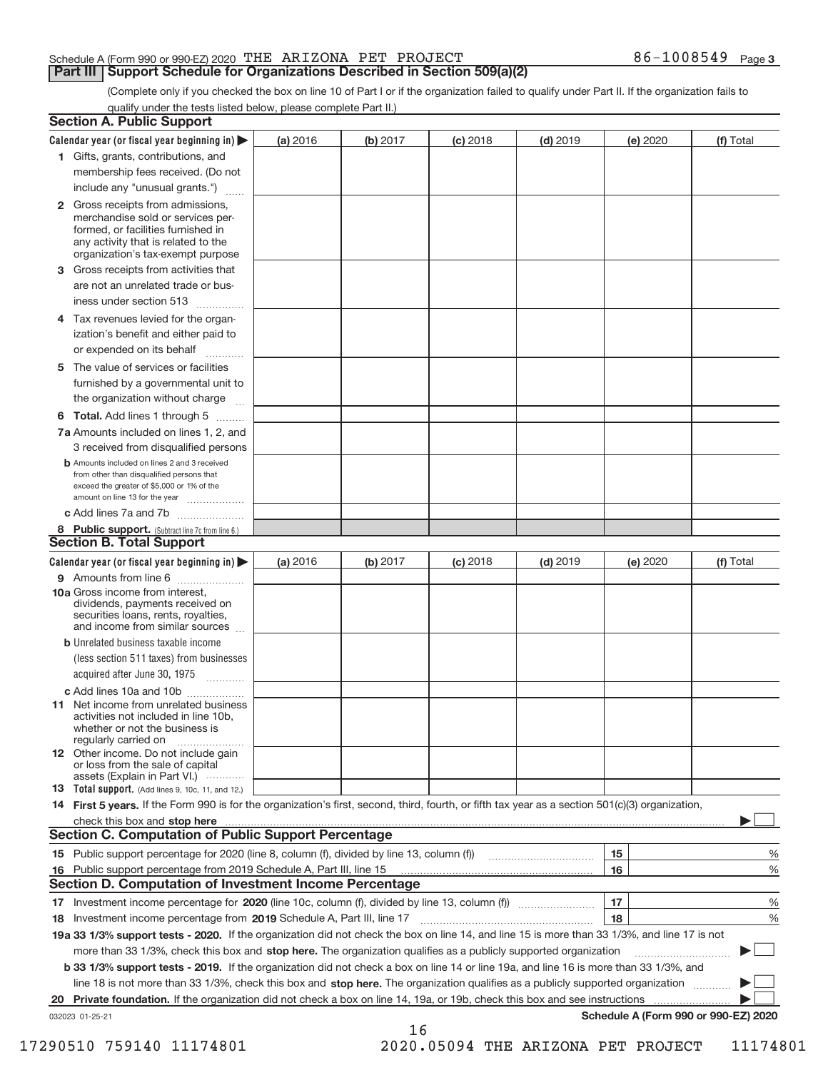# **Part III | Support Schedule for Organizations Described in Section 509(a)(2)**

(Complete only if you checked the box on line 10 of Part I or if the organization failed to qualify under Part II. If the organization fails to qualify under the tests listed below, please complete Part II.)

|    | <b>Section A. Public Support</b>                                                                                                                                                                                               |          |          |            |            |          |                                      |
|----|--------------------------------------------------------------------------------------------------------------------------------------------------------------------------------------------------------------------------------|----------|----------|------------|------------|----------|--------------------------------------|
|    | Calendar year (or fiscal year beginning in) $\blacktriangleright$                                                                                                                                                              | (a) 2016 | (b) 2017 | $(c)$ 2018 | $(d)$ 2019 | (e) 2020 | (f) Total                            |
|    | 1 Gifts, grants, contributions, and                                                                                                                                                                                            |          |          |            |            |          |                                      |
|    | membership fees received. (Do not                                                                                                                                                                                              |          |          |            |            |          |                                      |
|    | include any "unusual grants.")                                                                                                                                                                                                 |          |          |            |            |          |                                      |
|    | 2 Gross receipts from admissions,<br>merchandise sold or services per-<br>formed, or facilities furnished in<br>any activity that is related to the<br>organization's tax-exempt purpose                                       |          |          |            |            |          |                                      |
|    | 3 Gross receipts from activities that                                                                                                                                                                                          |          |          |            |            |          |                                      |
|    | are not an unrelated trade or bus-                                                                                                                                                                                             |          |          |            |            |          |                                      |
|    | iness under section 513                                                                                                                                                                                                        |          |          |            |            |          |                                      |
|    | 4 Tax revenues levied for the organ-<br>ization's benefit and either paid to                                                                                                                                                   |          |          |            |            |          |                                      |
|    | or expended on its behalf                                                                                                                                                                                                      |          |          |            |            |          |                                      |
|    | 5 The value of services or facilities                                                                                                                                                                                          |          |          |            |            |          |                                      |
|    | furnished by a governmental unit to                                                                                                                                                                                            |          |          |            |            |          |                                      |
|    | the organization without charge                                                                                                                                                                                                |          |          |            |            |          |                                      |
|    | <b>6 Total.</b> Add lines 1 through 5                                                                                                                                                                                          |          |          |            |            |          |                                      |
|    | 7a Amounts included on lines 1, 2, and<br>3 received from disqualified persons                                                                                                                                                 |          |          |            |            |          |                                      |
|    | <b>b</b> Amounts included on lines 2 and 3 received<br>from other than disqualified persons that<br>exceed the greater of \$5,000 or 1% of the<br>amount on line 13 for the year                                               |          |          |            |            |          |                                      |
|    | c Add lines 7a and 7b                                                                                                                                                                                                          |          |          |            |            |          |                                      |
|    | 8 Public support. (Subtract line 7c from line 6.)                                                                                                                                                                              |          |          |            |            |          |                                      |
|    | <b>Section B. Total Support</b>                                                                                                                                                                                                |          |          |            |            |          |                                      |
|    | Calendar year (or fiscal year beginning in)                                                                                                                                                                                    | (a) 2016 | (b) 2017 | $(c)$ 2018 | $(d)$ 2019 | (e) 2020 | (f) Total                            |
|    | <b>9</b> Amounts from line 6                                                                                                                                                                                                   |          |          |            |            |          |                                      |
|    | <b>10a</b> Gross income from interest,<br>dividends, payments received on<br>securities loans, rents, royalties,<br>and income from similar sources                                                                            |          |          |            |            |          |                                      |
|    | <b>b</b> Unrelated business taxable income                                                                                                                                                                                     |          |          |            |            |          |                                      |
|    | (less section 511 taxes) from businesses                                                                                                                                                                                       |          |          |            |            |          |                                      |
|    | acquired after June 30, 1975                                                                                                                                                                                                   |          |          |            |            |          |                                      |
|    | c Add lines 10a and 10b                                                                                                                                                                                                        |          |          |            |            |          |                                      |
|    | <b>11</b> Net income from unrelated business<br>activities not included in line 10b,<br>whether or not the business is<br>regularly carried on                                                                                 |          |          |            |            |          |                                      |
|    | <b>12</b> Other income. Do not include gain<br>or loss from the sale of capital                                                                                                                                                |          |          |            |            |          |                                      |
|    | assets (Explain in Part VI.)<br><b>13</b> Total support. (Add lines 9, 10c, 11, and 12.)                                                                                                                                       |          |          |            |            |          |                                      |
|    | 14 First 5 years. If the Form 990 is for the organization's first, second, third, fourth, or fifth tax year as a section 501(c)(3) organization,                                                                               |          |          |            |            |          |                                      |
|    | check this box and stop here manufactured contracts and stop here may be check this box and stop here manufactured and stop here manufactured and stop here manufactured and stop here may be a state of the state of the stat |          |          |            |            |          |                                      |
|    | <b>Section C. Computation of Public Support Percentage</b>                                                                                                                                                                     |          |          |            |            |          |                                      |
|    |                                                                                                                                                                                                                                |          |          |            |            | 15       | %                                    |
|    | 16 Public support percentage from 2019 Schedule A, Part III, line 15                                                                                                                                                           |          |          |            |            | 16       | %                                    |
|    | <b>Section D. Computation of Investment Income Percentage</b>                                                                                                                                                                  |          |          |            |            |          |                                      |
|    |                                                                                                                                                                                                                                |          |          |            |            | 17       | %                                    |
|    | 18 Investment income percentage from 2019 Schedule A, Part III, line 17                                                                                                                                                        |          |          |            |            | 18       | %                                    |
|    | 19a 33 1/3% support tests - 2020. If the organization did not check the box on line 14, and line 15 is more than 33 1/3%, and line 17 is not                                                                                   |          |          |            |            |          |                                      |
|    | more than 33 1/3%, check this box and stop here. The organization qualifies as a publicly supported organization                                                                                                               |          |          |            |            |          |                                      |
|    | b 33 1/3% support tests - 2019. If the organization did not check a box on line 14 or line 19a, and line 16 is more than 33 1/3%, and                                                                                          |          |          |            |            |          |                                      |
|    | line 18 is not more than 33 1/3%, check this box and stop here. The organization qualifies as a publicly supported organization                                                                                                |          |          |            |            |          |                                      |
| 20 | Private foundation. If the organization did not check a box on line 14, 19a, or 19b, check this box and see instructions                                                                                                       |          |          |            |            |          |                                      |
|    | 032023 01-25-21                                                                                                                                                                                                                |          |          |            |            |          | Schedule A (Form 990 or 990-EZ) 2020 |
|    |                                                                                                                                                                                                                                |          | 16       |            |            |          |                                      |

 <sup>17290510 759140 11174801 2020.05094</sup> THE ARIZONA PET PROJECT 11174801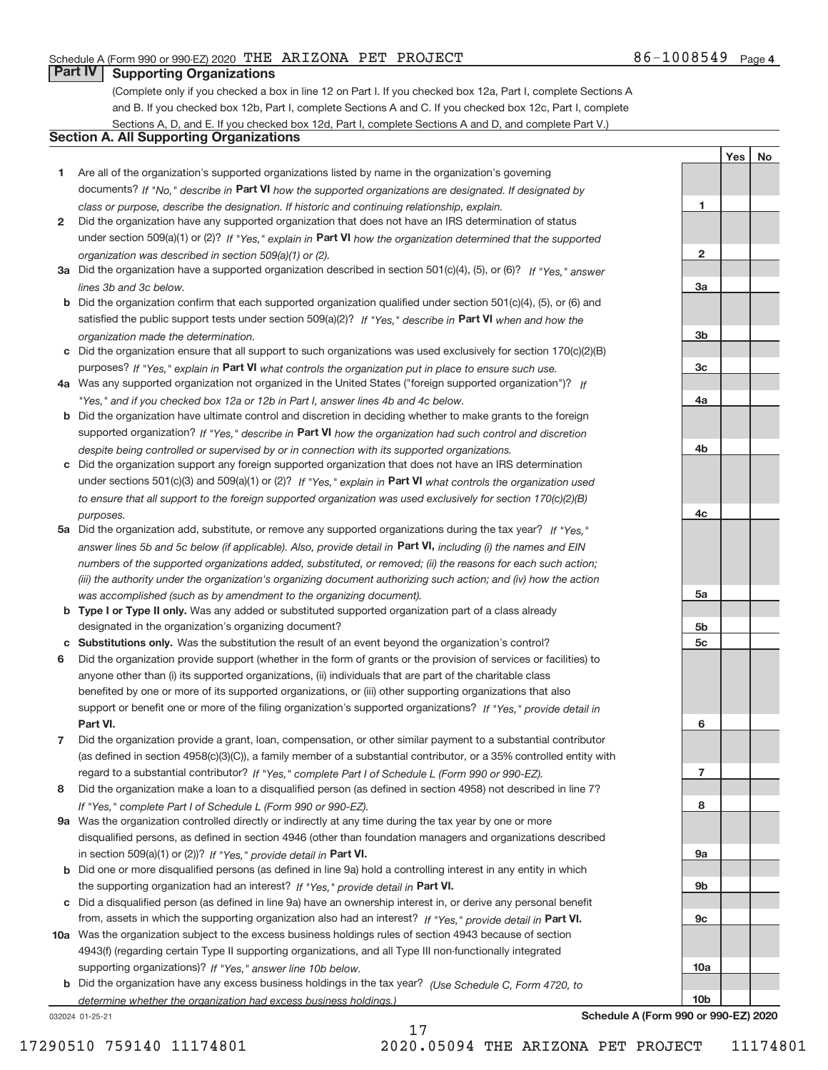# **Part IV Supporting Organizations**

(Complete only if you checked a box in line 12 on Part I. If you checked box 12a, Part I, complete Sections A and B. If you checked box 12b, Part I, complete Sections A and C. If you checked box 12c, Part I, complete Sections A, D, and E. If you checked box 12d, Part I, complete Sections A and D, and complete Part V.)

# **Section A. All Supporting Organizations**

- **1** Are all of the organization's supported organizations listed by name in the organization's governing documents? If "No," describe in Part VI how the supported organizations are designated. If designated by *class or purpose, describe the designation. If historic and continuing relationship, explain.*
- **2** Did the organization have any supported organization that does not have an IRS determination of status under section 509(a)(1) or (2)? If "Yes," explain in Part VI how the organization determined that the supported *organization was described in section 509(a)(1) or (2).*
- **3a** Did the organization have a supported organization described in section 501(c)(4), (5), or (6)? If "Yes," answer *lines 3b and 3c below.*
- **b** Did the organization confirm that each supported organization qualified under section 501(c)(4), (5), or (6) and satisfied the public support tests under section 509(a)(2)? If "Yes," describe in Part VI when and how the *organization made the determination.*
- **c** Did the organization ensure that all support to such organizations was used exclusively for section 170(c)(2)(B) purposes? If "Yes," explain in Part VI what controls the organization put in place to ensure such use.
- **4 a** *If* Was any supported organization not organized in the United States ("foreign supported organization")? *"Yes," and if you checked box 12a or 12b in Part I, answer lines 4b and 4c below.*
- **b** Did the organization have ultimate control and discretion in deciding whether to make grants to the foreign supported organization? If "Yes," describe in Part VI how the organization had such control and discretion *despite being controlled or supervised by or in connection with its supported organizations.*
- **c** Did the organization support any foreign supported organization that does not have an IRS determination under sections 501(c)(3) and 509(a)(1) or (2)? If "Yes," explain in Part VI what controls the organization used *to ensure that all support to the foreign supported organization was used exclusively for section 170(c)(2)(B) purposes.*
- **5a** Did the organization add, substitute, or remove any supported organizations during the tax year? If "Yes," answer lines 5b and 5c below (if applicable). Also, provide detail in Part VI, including (i) the names and EIN *numbers of the supported organizations added, substituted, or removed; (ii) the reasons for each such action; (iii) the authority under the organization's organizing document authorizing such action; and (iv) how the action was accomplished (such as by amendment to the organizing document).*
- **b** Type I or Type II only. Was any added or substituted supported organization part of a class already designated in the organization's organizing document?
- **c Substitutions only.**  Was the substitution the result of an event beyond the organization's control?
- **6** Did the organization provide support (whether in the form of grants or the provision of services or facilities) to **Part VI.** *If "Yes," provide detail in* support or benefit one or more of the filing organization's supported organizations? anyone other than (i) its supported organizations, (ii) individuals that are part of the charitable class benefited by one or more of its supported organizations, or (iii) other supporting organizations that also
- **7** Did the organization provide a grant, loan, compensation, or other similar payment to a substantial contributor regard to a substantial contributor? If "Yes," complete Part I of Schedule L (Form 990 or 990-EZ). (as defined in section 4958(c)(3)(C)), a family member of a substantial contributor, or a 35% controlled entity with
- **8** Did the organization make a loan to a disqualified person (as defined in section 4958) not described in line 7? *If "Yes," complete Part I of Schedule L (Form 990 or 990-EZ).*
- **9 a** Was the organization controlled directly or indirectly at any time during the tax year by one or more in section 509(a)(1) or (2))? If "Yes," provide detail in Part VI. disqualified persons, as defined in section 4946 (other than foundation managers and organizations described
- **b** the supporting organization had an interest? If "Yes," provide detail in Part VI. Did one or more disqualified persons (as defined in line 9a) hold a controlling interest in any entity in which
- **c** Did a disqualified person (as defined in line 9a) have an ownership interest in, or derive any personal benefit from, assets in which the supporting organization also had an interest? If "Yes," provide detail in Part VI.
- **10 a** Was the organization subject to the excess business holdings rules of section 4943 because of section supporting organizations)? If "Yes," answer line 10b below. 4943(f) (regarding certain Type II supporting organizations, and all Type III non-functionally integrated
- **b** Did the organization have any excess business holdings in the tax year? (Use Schedule C, Form 4720, to *determine whether the organization had excess business holdings.)*

17

032024 01‐25‐21

**Schedule A (Form 990 or 990‐EZ) 2020**

**1**

**2**

**3a**

**3b**

**3c**

**4a**

**4b**

**4c**

**5a**

**5b 5c**

**6**

**7**

**8**

**9a**

**9b**

**9c**

**10a**

**10b**

Yes | No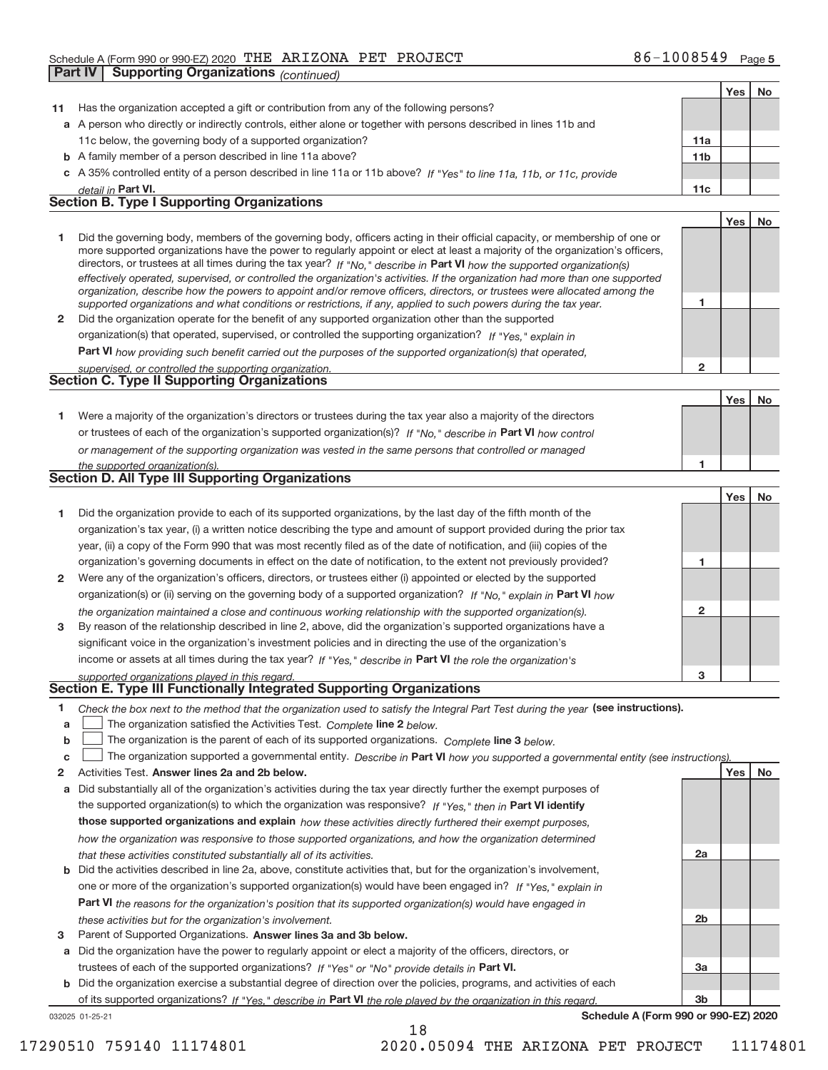|              | <b>Supporting Organizations (continued)</b><br>Part IV                                                                                                                                                                                                   |                 |     |    |
|--------------|----------------------------------------------------------------------------------------------------------------------------------------------------------------------------------------------------------------------------------------------------------|-----------------|-----|----|
|              |                                                                                                                                                                                                                                                          |                 | Yes | No |
| 11           | Has the organization accepted a gift or contribution from any of the following persons?                                                                                                                                                                  |                 |     |    |
|              | a A person who directly or indirectly controls, either alone or together with persons described in lines 11b and                                                                                                                                         |                 |     |    |
|              | 11c below, the governing body of a supported organization?                                                                                                                                                                                               | 11a             |     |    |
|              | <b>b</b> A family member of a person described in line 11a above?                                                                                                                                                                                        | 11 <sub>b</sub> |     |    |
|              | c A 35% controlled entity of a person described in line 11a or 11b above? If "Yes" to line 11a, 11b, or 11c, provide                                                                                                                                     |                 |     |    |
|              | detail in Part VI.                                                                                                                                                                                                                                       | 11c             |     |    |
|              | <b>Section B. Type I Supporting Organizations</b>                                                                                                                                                                                                        |                 |     |    |
|              |                                                                                                                                                                                                                                                          |                 | Yes | No |
| 1            | Did the governing body, members of the governing body, officers acting in their official capacity, or membership of one or                                                                                                                               |                 |     |    |
|              | more supported organizations have the power to regularly appoint or elect at least a majority of the organization's officers,<br>directors, or trustees at all times during the tax year? If "No," describe in Part VI how the supported organization(s) |                 |     |    |
|              | effectively operated, supervised, or controlled the organization's activities. If the organization had more than one supported                                                                                                                           |                 |     |    |
|              | organization, describe how the powers to appoint and/or remove officers, directors, or trustees were allocated among the                                                                                                                                 |                 |     |    |
|              | supported organizations and what conditions or restrictions, if any, applied to such powers during the tax year.                                                                                                                                         | 1               |     |    |
| $\mathbf{2}$ | Did the organization operate for the benefit of any supported organization other than the supported                                                                                                                                                      |                 |     |    |
|              | organization(s) that operated, supervised, or controlled the supporting organization? If "Yes," explain in                                                                                                                                               |                 |     |    |
|              | Part VI how providing such benefit carried out the purposes of the supported organization(s) that operated,                                                                                                                                              |                 |     |    |
|              | supervised, or controlled the supporting organization.<br><b>Section C. Type II Supporting Organizations</b>                                                                                                                                             | $\mathbf{2}$    |     |    |
|              |                                                                                                                                                                                                                                                          |                 |     |    |
|              |                                                                                                                                                                                                                                                          |                 | Yes | No |
| 1.           | Were a majority of the organization's directors or trustees during the tax year also a majority of the directors                                                                                                                                         |                 |     |    |
|              | or trustees of each of the organization's supported organization(s)? If "No," describe in Part VI how control                                                                                                                                            |                 |     |    |
|              | or management of the supporting organization was vested in the same persons that controlled or managed                                                                                                                                                   | 1               |     |    |
|              | the supported organization(s).<br><b>Section D. All Type III Supporting Organizations</b>                                                                                                                                                                |                 |     |    |
|              |                                                                                                                                                                                                                                                          |                 | Yes | No |
| 1            | Did the organization provide to each of its supported organizations, by the last day of the fifth month of the                                                                                                                                           |                 |     |    |
|              | organization's tax year, (i) a written notice describing the type and amount of support provided during the prior tax                                                                                                                                    |                 |     |    |
|              | year, (ii) a copy of the Form 990 that was most recently filed as of the date of notification, and (iii) copies of the                                                                                                                                   |                 |     |    |
|              | organization's governing documents in effect on the date of notification, to the extent not previously provided?                                                                                                                                         | 1               |     |    |
| 2            | Were any of the organization's officers, directors, or trustees either (i) appointed or elected by the supported                                                                                                                                         |                 |     |    |
|              | organization(s) or (ii) serving on the governing body of a supported organization? If "No." explain in Part VI how                                                                                                                                       |                 |     |    |
|              | the organization maintained a close and continuous working relationship with the supported organization(s).                                                                                                                                              | $\mathbf{2}$    |     |    |
| 3            | By reason of the relationship described in line 2, above, did the organization's supported organizations have a                                                                                                                                          |                 |     |    |
|              | significant voice in the organization's investment policies and in directing the use of the organization's                                                                                                                                               |                 |     |    |
|              | income or assets at all times during the tax year? If "Yes," describe in Part VI the role the organization's                                                                                                                                             |                 |     |    |
|              | supported organizations played in this regard.                                                                                                                                                                                                           | з               |     |    |
|              | Section E. Type III Functionally Integrated Supporting Organizations                                                                                                                                                                                     |                 |     |    |
| 1            | Check the box next to the method that the organization used to satisfy the Integral Part Test during the year (see instructions).                                                                                                                        |                 |     |    |
| a            | The organization satisfied the Activities Test. Complete line 2 below.                                                                                                                                                                                   |                 |     |    |
| b            | The organization is the parent of each of its supported organizations. Complete line 3 below.                                                                                                                                                            |                 |     |    |
| c            | The organization supported a governmental entity. Describe in Part VI how you supported a governmental entity (see instructions).                                                                                                                        |                 |     |    |
| 2            | Activities Test. Answer lines 2a and 2b below.                                                                                                                                                                                                           |                 | Yes | No |
| а            | Did substantially all of the organization's activities during the tax year directly further the exempt purposes of                                                                                                                                       |                 |     |    |
|              | the supported organization(s) to which the organization was responsive? If "Yes." then in Part VI identify                                                                                                                                               |                 |     |    |
|              | those supported organizations and explain how these activities directly furthered their exempt purposes,                                                                                                                                                 |                 |     |    |
|              | how the organization was responsive to those supported organizations, and how the organization determined                                                                                                                                                |                 |     |    |
|              | that these activities constituted substantially all of its activities.                                                                                                                                                                                   | 2a              |     |    |
|              | <b>b</b> Did the activities described in line 2a, above, constitute activities that, but for the organization's involvement,                                                                                                                             |                 |     |    |
|              | one or more of the organization's supported organization(s) would have been engaged in? If "Yes," explain in                                                                                                                                             |                 |     |    |
|              | <b>Part VI</b> the reasons for the organization's position that its supported organization(s) would have engaged in                                                                                                                                      |                 |     |    |
| з            | these activities but for the organization's involvement.<br>Parent of Supported Organizations. Answer lines 3a and 3b below.                                                                                                                             | 2b              |     |    |
|              |                                                                                                                                                                                                                                                          |                 |     |    |

**a** Did the organization have the power to regularly appoint or elect a majority of the officers, directors, or trustees of each of the supported organizations? If "Yes" or "No" provide details in Part VI.

**b** Did the organization exercise a substantial degree of direction over the policies, programs, and activities of each of its supported organizations? If "Yes," describe in Part VI the role played by the organization in this regard.

18

032025 01‐25‐21

**Schedule A (Form 990 or 990‐EZ) 2020**

**3a**

**3b**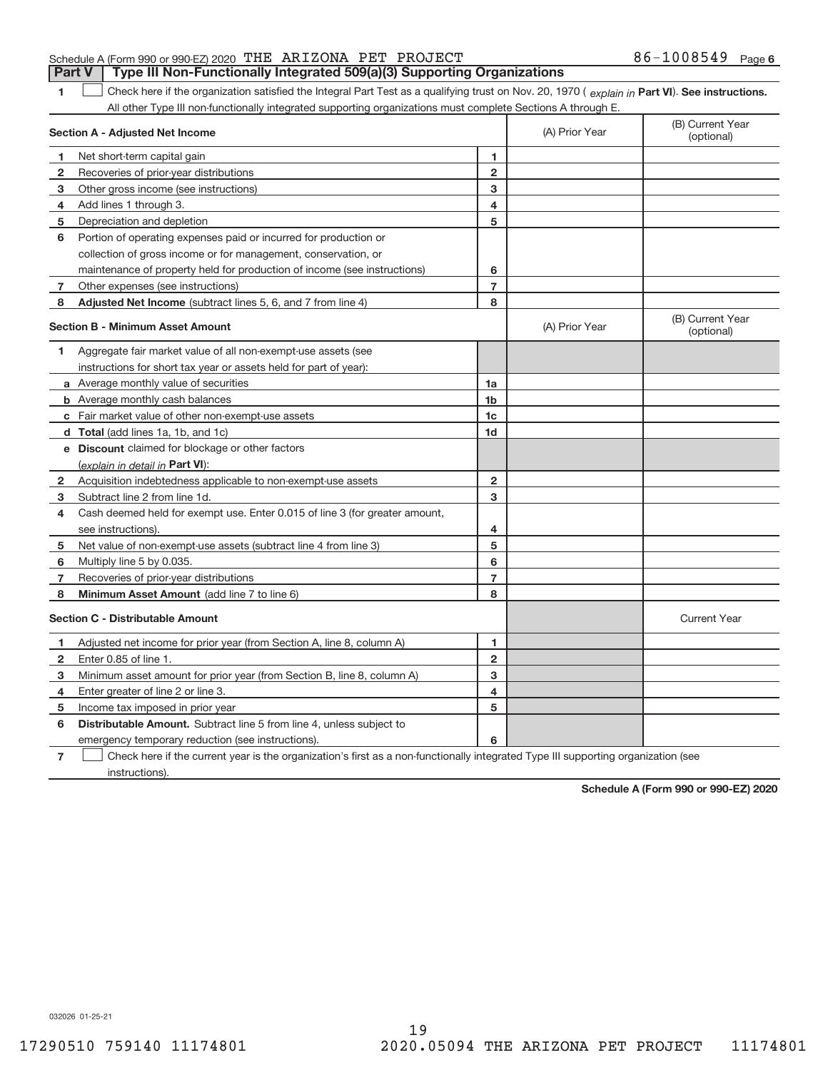#### Schedule A (Form 990 or 990‐EZ) 2020 「THE ARIZONA PET PROJECT  $86-1008549$  Page **Part V** | Type III Non-Functionally Integrated 509(a)(3) Supporting Organizations

**1 Part VI** Check here if the organization satisfied the Integral Part Test as a qualifying trust on Nov. 20, 1970 ( explain in Part VI). See instructions. All other Type III non-functionally integrated supporting organizations must complete Sections A through E.

|    | Section A - Adjusted Net Income                                                                                                   | (A) Prior Year          | (B) Current Year<br>(optional) |                                |
|----|-----------------------------------------------------------------------------------------------------------------------------------|-------------------------|--------------------------------|--------------------------------|
| 1  | Net short-term capital gain                                                                                                       | 1                       |                                |                                |
| 2  | Recoveries of prior-year distributions                                                                                            | $\overline{2}$          |                                |                                |
| 3  | Other gross income (see instructions)                                                                                             | 3                       |                                |                                |
| 4  | Add lines 1 through 3.                                                                                                            | 4                       |                                |                                |
| 5  | Depreciation and depletion                                                                                                        | 5                       |                                |                                |
| 6  | Portion of operating expenses paid or incurred for production or                                                                  |                         |                                |                                |
|    | collection of gross income or for management, conservation, or                                                                    |                         |                                |                                |
|    | maintenance of property held for production of income (see instructions)                                                          | 6                       |                                |                                |
| 7  | Other expenses (see instructions)                                                                                                 | $\overline{7}$          |                                |                                |
| 8  | Adjusted Net Income (subtract lines 5, 6, and 7 from line 4)                                                                      | 8                       |                                |                                |
|    | <b>Section B - Minimum Asset Amount</b>                                                                                           |                         | (A) Prior Year                 | (B) Current Year<br>(optional) |
| 1  | Aggregate fair market value of all non-exempt-use assets (see                                                                     |                         |                                |                                |
|    | instructions for short tax year or assets held for part of year):                                                                 |                         |                                |                                |
|    | <b>a</b> Average monthly value of securities                                                                                      | 1a                      |                                |                                |
|    | <b>b</b> Average monthly cash balances                                                                                            | 1 <sub>b</sub>          |                                |                                |
|    | c Fair market value of other non-exempt-use assets                                                                                | 1c                      |                                |                                |
|    | d Total (add lines 1a, 1b, and 1c)                                                                                                | 1 <sub>d</sub>          |                                |                                |
|    | e Discount claimed for blockage or other factors                                                                                  |                         |                                |                                |
|    | (explain in detail in Part VI):                                                                                                   |                         |                                |                                |
| 2  | Acquisition indebtedness applicable to non-exempt-use assets                                                                      | $\overline{\mathbf{c}}$ |                                |                                |
| 3  | Subtract line 2 from line 1d.                                                                                                     | 3                       |                                |                                |
| 4  | Cash deemed held for exempt use. Enter 0.015 of line 3 (for greater amount,                                                       |                         |                                |                                |
|    | see instructions).                                                                                                                | 4                       |                                |                                |
| 5  | Net value of non-exempt-use assets (subtract line 4 from line 3)                                                                  | 5                       |                                |                                |
| 6  | Multiply line 5 by 0.035.                                                                                                         | 6                       |                                |                                |
| 7  | Recoveries of prior-year distributions                                                                                            | $\overline{7}$          |                                |                                |
| 8  | Minimum Asset Amount (add line 7 to line 6)                                                                                       | 8                       |                                |                                |
|    | <b>Section C - Distributable Amount</b>                                                                                           |                         |                                | <b>Current Year</b>            |
| 1. | Adjusted net income for prior year (from Section A, line 8, column A)                                                             | 1                       |                                |                                |
| 2  | Enter 0.85 of line 1.                                                                                                             | $\overline{2}$          |                                |                                |
| з  | Minimum asset amount for prior year (from Section B, line 8, column A)                                                            | 3                       |                                |                                |
| 4  | Enter greater of line 2 or line 3.                                                                                                | 4                       |                                |                                |
| 5  | Income tax imposed in prior year                                                                                                  | 5                       |                                |                                |
| 6  | <b>Distributable Amount.</b> Subtract line 5 from line 4, unless subject to                                                       |                         |                                |                                |
|    | emergency temporary reduction (see instructions).                                                                                 | 6                       |                                |                                |
| 7  | Check here if the current year is the organization's first as a non-functionally integrated Type III supporting organization (see |                         |                                |                                |

instructions).

**Schedule A (Form 990 or 990‐EZ) 2020**

032026 01‐25‐21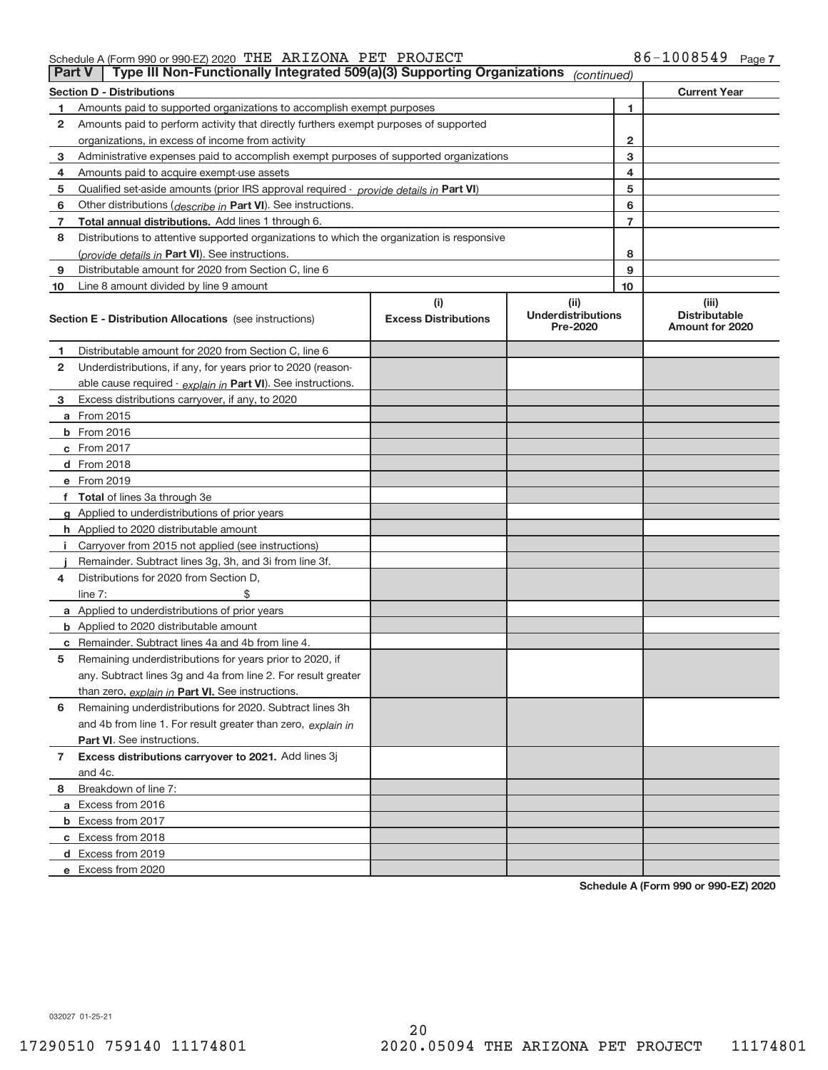|    | Type III Non-Functionally Integrated 509(a)(3) Supporting Organizations<br><b>Part V</b><br>(continued) |                                    |                                               |                                                  |  |  |
|----|---------------------------------------------------------------------------------------------------------|------------------------------------|-----------------------------------------------|--------------------------------------------------|--|--|
|    | <b>Section D - Distributions</b>                                                                        |                                    |                                               | <b>Current Year</b>                              |  |  |
| 1  | Amounts paid to supported organizations to accomplish exempt purposes                                   |                                    | 1                                             |                                                  |  |  |
| 2  | Amounts paid to perform activity that directly furthers exempt purposes of supported                    |                                    |                                               |                                                  |  |  |
|    | organizations, in excess of income from activity                                                        |                                    | 2                                             |                                                  |  |  |
| 3  | Administrative expenses paid to accomplish exempt purposes of supported organizations                   |                                    | 3                                             |                                                  |  |  |
| 4  | Amounts paid to acquire exempt-use assets                                                               |                                    | 4                                             |                                                  |  |  |
| 5  | Qualified set-aside amounts (prior IRS approval required - provide details in Part VI)                  |                                    |                                               | 5                                                |  |  |
| 6  | Other distributions ( <i>describe in</i> Part VI). See instructions.                                    |                                    |                                               | 6                                                |  |  |
| 7  | Total annual distributions. Add lines 1 through 6.                                                      |                                    | $\overline{7}$                                |                                                  |  |  |
| 8  | Distributions to attentive supported organizations to which the organization is responsive              |                                    |                                               |                                                  |  |  |
|    | (provide details in Part VI). See instructions.                                                         |                                    | 8                                             |                                                  |  |  |
| 9  | Distributable amount for 2020 from Section C, line 6                                                    |                                    | 9                                             |                                                  |  |  |
| 10 | Line 8 amount divided by line 9 amount                                                                  |                                    | 10                                            |                                                  |  |  |
|    | <b>Section E - Distribution Allocations</b> (see instructions)                                          | (i)<br><b>Excess Distributions</b> | (ii)<br><b>Underdistributions</b><br>Pre-2020 | (iii)<br><b>Distributable</b><br>Amount for 2020 |  |  |
| 1  | Distributable amount for 2020 from Section C, line 6                                                    |                                    |                                               |                                                  |  |  |
| 2  | Underdistributions, if any, for years prior to 2020 (reason-                                            |                                    |                                               |                                                  |  |  |
|    | able cause required - explain in Part VI). See instructions.                                            |                                    |                                               |                                                  |  |  |
| з  | Excess distributions carryover, if any, to 2020                                                         |                                    |                                               |                                                  |  |  |
|    | <b>a</b> From 2015                                                                                      |                                    |                                               |                                                  |  |  |
|    | <b>b</b> From 2016                                                                                      |                                    |                                               |                                                  |  |  |
|    | c From 2017                                                                                             |                                    |                                               |                                                  |  |  |
|    | <b>d</b> From 2018                                                                                      |                                    |                                               |                                                  |  |  |
|    | e From 2019                                                                                             |                                    |                                               |                                                  |  |  |
| f  | <b>Total</b> of lines 3a through 3e                                                                     |                                    |                                               |                                                  |  |  |
|    | <b>g</b> Applied to underdistributions of prior years                                                   |                                    |                                               |                                                  |  |  |
|    | <b>h</b> Applied to 2020 distributable amount                                                           |                                    |                                               |                                                  |  |  |
|    | Carryover from 2015 not applied (see instructions)                                                      |                                    |                                               |                                                  |  |  |
|    | Remainder. Subtract lines 3g, 3h, and 3i from line 3f.                                                  |                                    |                                               |                                                  |  |  |
| 4  | Distributions for 2020 from Section D,                                                                  |                                    |                                               |                                                  |  |  |
|    | line $7:$                                                                                               |                                    |                                               |                                                  |  |  |
|    | <b>a</b> Applied to underdistributions of prior years                                                   |                                    |                                               |                                                  |  |  |
|    | <b>b</b> Applied to 2020 distributable amount                                                           |                                    |                                               |                                                  |  |  |
|    | <b>c</b> Remainder. Subtract lines 4a and 4b from line 4.                                               |                                    |                                               |                                                  |  |  |
| 5  | Remaining underdistributions for years prior to 2020, if                                                |                                    |                                               |                                                  |  |  |
|    | any. Subtract lines 3g and 4a from line 2. For result greater                                           |                                    |                                               |                                                  |  |  |
|    | than zero, explain in Part VI. See instructions.                                                        |                                    |                                               |                                                  |  |  |
| 6  | Remaining underdistributions for 2020. Subtract lines 3h                                                |                                    |                                               |                                                  |  |  |
|    | and 4b from line 1. For result greater than zero, explain in                                            |                                    |                                               |                                                  |  |  |
|    | Part VI. See instructions.                                                                              |                                    |                                               |                                                  |  |  |
| 7  | Excess distributions carryover to 2021. Add lines 3j                                                    |                                    |                                               |                                                  |  |  |
|    | and 4c.                                                                                                 |                                    |                                               |                                                  |  |  |
| 8  | Breakdown of line 7:                                                                                    |                                    |                                               |                                                  |  |  |
|    | a Excess from 2016                                                                                      |                                    |                                               |                                                  |  |  |
|    | <b>b</b> Excess from 2017                                                                               |                                    |                                               |                                                  |  |  |
|    | c Excess from 2018                                                                                      |                                    |                                               |                                                  |  |  |
|    | d Excess from 2019                                                                                      |                                    |                                               |                                                  |  |  |
|    | e Excess from 2020                                                                                      |                                    |                                               |                                                  |  |  |

**Schedule A (Form 990 or 990‐EZ) 2020**

032027 01‐25‐21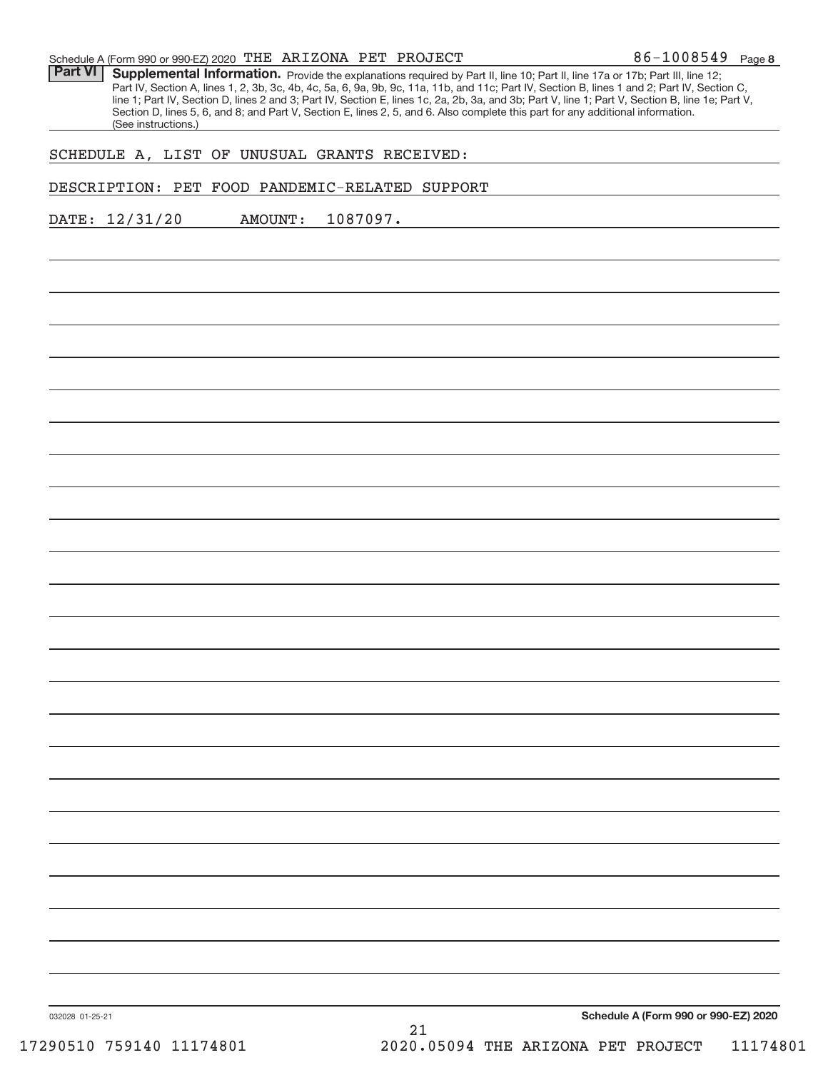| $86 - 1008549$ Page 8<br>Schedule A (Form 990 or 990-EZ) 2020 THE ARIZONA PET PROJECT |  |
|---------------------------------------------------------------------------------------|--|
|---------------------------------------------------------------------------------------|--|

Part VI | Supplemental Information. Provide the explanations required by Part II, line 10; Part II, line 17a or 17b; Part III, line 12; Part IV, Section A, lines 1, 2, 3b, 3c, 4b, 4c, 5a, 6, 9a, 9b, 9c, 11a, 11b, and 11c; Part IV, Section B, lines 1 and 2; Part IV, Section C, line 1; Part IV, Section D, lines 2 and 3; Part IV, Section E, lines 1c, 2a, 2b, 3a, and 3b; Part V, line 1; Part V, Section B, line 1e; Part V, Section D, lines 5, 6, and 8; and Part V, Section E, lines 2, 5, and 6. Also complete this part for any additional information. (See instructions.)

# SCHEDULE A, LIST OF UNUSUAL GRANTS RECEIVED:

DESCRIPTION: PET FOOD PANDEMIC‐RELATED SUPPORT

DATE: 12/31/20 AMOUNT: 1087097.

**Schedule A (Form 990 or 990‐EZ) 2020**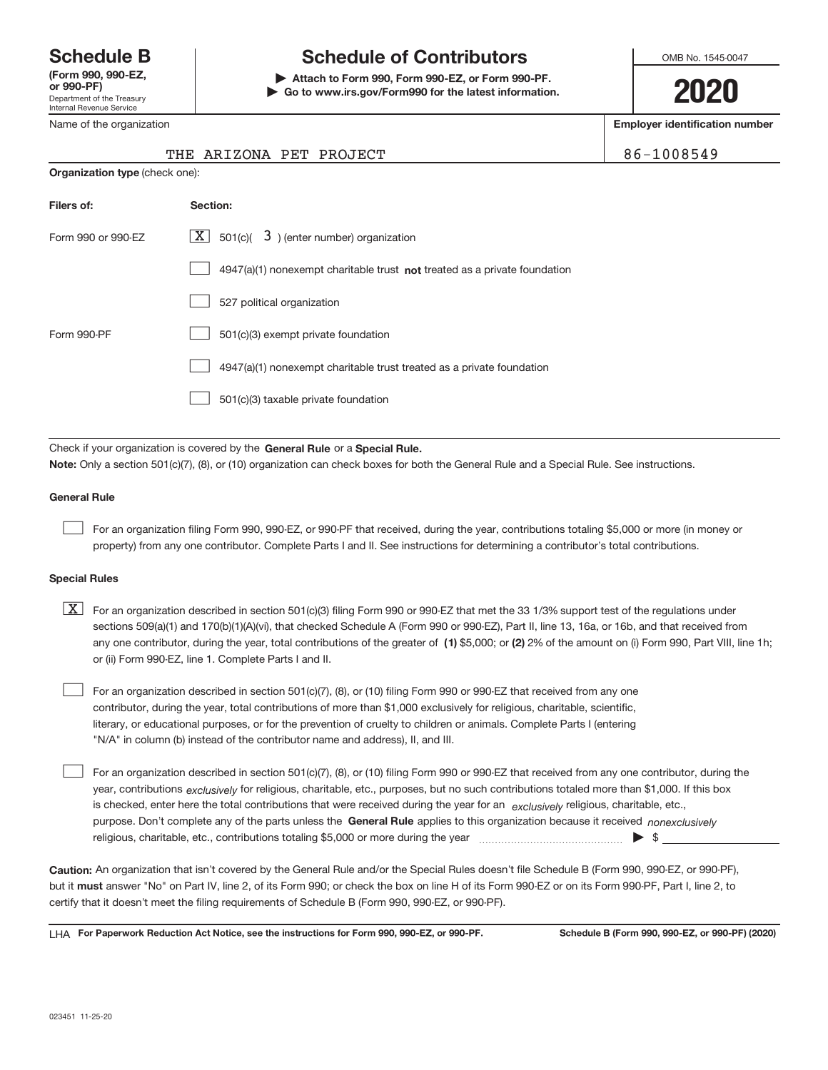Department of the Treasury Internal Revenue Service **(Form 990, 990‐EZ,**

Name of the organization

# **Schedule B Schedule of Contributors**

**or 990‐PF) | Attach to Form 990, Form 990‐EZ, or Form 990‐PF. | Go to www.irs.gov/Form990 for the latest information.** OMB No. 1545-0047

**2020**

**Employer identification number**

THE ARIZONA PET PROJECT 86‐1008549

| THE ARTZONA PET PROJ |  |
|----------------------|--|

| <b>Organization type (check one):</b> |                                                                           |
|---------------------------------------|---------------------------------------------------------------------------|
| Filers of:                            | Section:                                                                  |
| Form 990 or 990-EZ                    | $\lfloor x \rfloor$ 501(c)( 3) (enter number) organization                |
|                                       | 4947(a)(1) nonexempt charitable trust not treated as a private foundation |
|                                       | 527 political organization                                                |
| Form 990-PF                           | 501(c)(3) exempt private foundation                                       |
|                                       | 4947(a)(1) nonexempt charitable trust treated as a private foundation     |
|                                       | 501(c)(3) taxable private foundation                                      |

Check if your organization is covered by the General Rule or a Special Rule. **Note:**  Only a section 501(c)(7), (8), or (10) organization can check boxes for both the General Rule and a Special Rule. See instructions.

#### **General Rule**

 $\begin{array}{c} \hline \end{array}$ 

For an organization filing Form 990, 990‐EZ, or 990‐PF that received, during the year, contributions totaling \$5,000 or more (in money or property) from any one contributor. Complete Parts I and II. See instructions for determining a contributor's total contributions.

#### **Special Rules**

any one contributor, during the year, total contributions of the greater of  $\,$  (1) \$5,000; or (2) 2% of the amount on (i) Form 990, Part VIII, line 1h;  $\boxed{\text{X}}$  For an organization described in section 501(c)(3) filing Form 990 or 990-EZ that met the 33 1/3% support test of the regulations under sections 509(a)(1) and 170(b)(1)(A)(vi), that checked Schedule A (Form 990 or 990‐EZ), Part II, line 13, 16a, or 16b, and that received from or (ii) Form 990‐EZ, line 1. Complete Parts I and II.

For an organization described in section 501(c)(7), (8), or (10) filing Form 990 or 990‐EZ that received from any one contributor, during the year, total contributions of more than \$1,000 exclusively for religious, charitable, scientific, literary, or educational purposes, or for the prevention of cruelty to children or animals. Complete Parts I (entering "N/A" in column (b) instead of the contributor name and address), II, and III.  $\begin{array}{c} \hline \end{array}$ 

purpose. Don't complete any of the parts unless the General Rule applies to this organization because it received nonexclusively year, contributions <sub>exclusively</sub> for religious, charitable, etc., purposes, but no such contributions totaled more than \$1,000. If this box is checked, enter here the total contributions that were received during the year for an *exclusively* religious, charitable, etc., For an organization described in section 501(c)(7), (8), or (10) filing Form 990 or 990‐EZ that received from any one contributor, during the religious, charitable, etc., contributions totaling \$5,000 or more during the year  $\Box$ — $\Box$   $\Box$  $\begin{array}{c} \hline \end{array}$ 

**Caution:**  An organization that isn't covered by the General Rule and/or the Special Rules doesn't file Schedule B (Form 990, 990‐EZ, or 990‐PF),  **must** but it answer "No" on Part IV, line 2, of its Form 990; or check the box on line H of its Form 990‐EZ or on its Form 990‐PF, Part I, line 2, to certify that it doesn't meet the filing requirements of Schedule B (Form 990, 990‐EZ, or 990‐PF).

**For Paperwork Reduction Act Notice, see the instructions for Form 990, 990-EZ, or 990-PF. Schedule B (Form 990, 990-EZ, or 990-PF) (2020)** LHA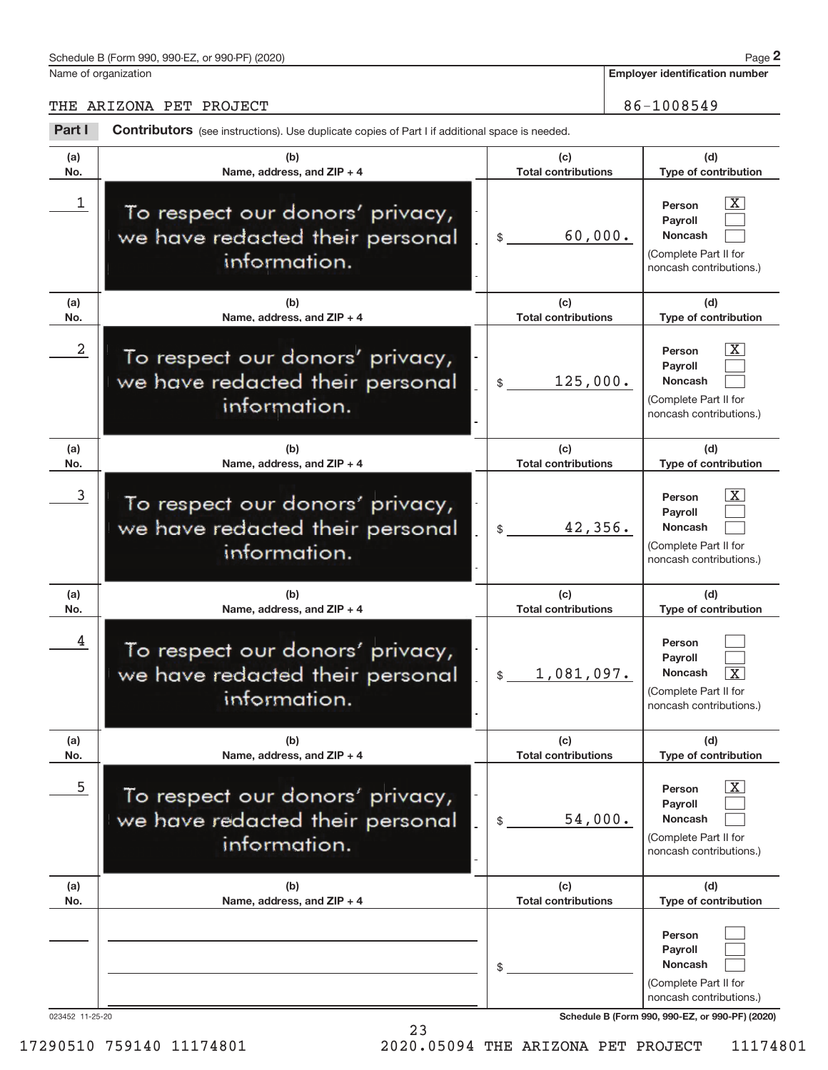Name of organization

**Employer identification number**

THE ARIZONA PET PROJECT 86-1008549

| Part I          | <b>Contributors</b> (see instructions). Use duplicate copies of Part I if additional space is needed. |                                   |                                                                                                                                                   |
|-----------------|-------------------------------------------------------------------------------------------------------|-----------------------------------|---------------------------------------------------------------------------------------------------------------------------------------------------|
| (a)<br>No.      | (b)<br>Name, address, and ZIP + 4                                                                     | (c)<br><b>Total contributions</b> | (d)<br>Type of contribution                                                                                                                       |
| 1               | To respect our donors' privacy,<br>we have redacted their personal<br>information.                    | 60,000.<br>$\mathsf{\$}$          | X.<br>Person<br>Payroll<br><b>Noncash</b><br>(Complete Part II for<br>noncash contributions.)                                                     |
| (a)<br>No.      | (b)<br>Name, address, and $ZIP + 4$                                                                   | (c)<br><b>Total contributions</b> | (d)<br>Type of contribution                                                                                                                       |
| 2               | To respect our donors' privacy,<br>we have redacted their personal<br>information.                    | 125,000.<br>$\frac{1}{2}$         | x<br>Person<br>Payroll<br><b>Noncash</b><br>(Complete Part II for<br>noncash contributions.)                                                      |
| (a)<br>No.      | (b)<br>Name, address, and $ZIP + 4$                                                                   | (c)<br><b>Total contributions</b> | (d)<br>Type of contribution                                                                                                                       |
| 3               | To respect our donors' privacy,<br>we have redacted their personal<br>information.                    | 42,356.<br>$\mathcal{S}$          | x<br>Person<br><b>Payroll</b><br><b>Noncash</b><br>(Complete Part II for<br>noncash contributions.)                                               |
| (a)<br>No.      | (b)<br>Name, address, and ZIP + 4                                                                     | (c)<br><b>Total contributions</b> | (d)<br>Type of contribution                                                                                                                       |
| 4               | To respect our donors' privacy,<br>we have redacted their personal<br>information.                    | 1,081,097.<br>$\frac{1}{2}$       | Person<br><b>Pavroll</b><br>Noncash<br>x<br>(Complete Part II for<br>noncash contributions.)                                                      |
| (a)<br>No.      | (b)<br>Name, address, and ZIP + 4                                                                     | (c)<br><b>Total contributions</b> | (d)<br>Type of contribution                                                                                                                       |
| 5               | To respect our donors' privacy,<br>we have redacted their personal<br>information.                    | 54,000.<br>\$                     | X.<br>Person<br><b>Payroll</b><br><b>Noncash</b><br>(Complete Part II for<br>noncash contributions.)                                              |
| (a)<br>No.      | (b)<br>Name, address, and $ZIP + 4$                                                                   | (c)<br><b>Total contributions</b> | (d)<br>Type of contribution                                                                                                                       |
| 023452 11-25-20 |                                                                                                       | \$                                | Person<br><b>Payroll</b><br><b>Noncash</b><br>(Complete Part II for<br>noncash contributions.)<br>Schedule B (Form 990, 990-EZ, or 990-PF) (2020) |

23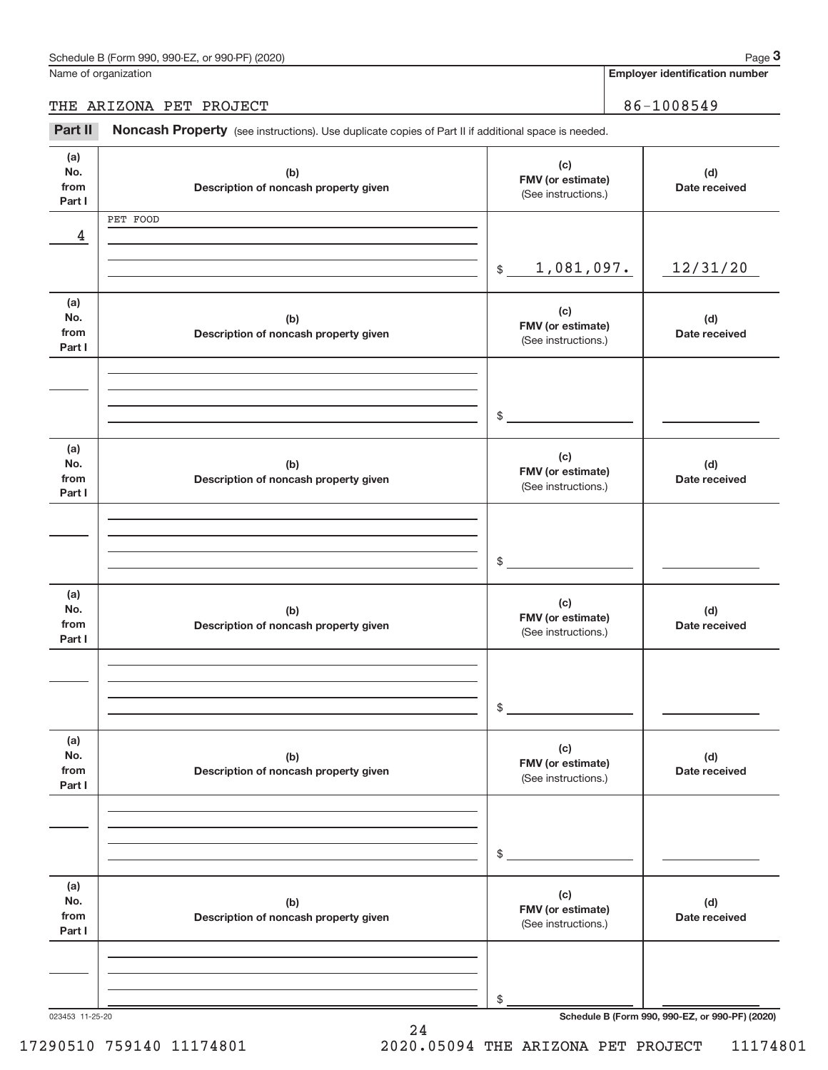**Employer identification number**

# THE ARIZONA PET PROJECT 86-1008549

Part II Noncash Property (see instructions). Use duplicate copies of Part II if additional space is needed.

| (a)<br>No.<br>from | (b)<br>Description of noncash property given | (c)<br>FMV (or estimate)<br>(See instructions.) | (d)<br>Date received                            |
|--------------------|----------------------------------------------|-------------------------------------------------|-------------------------------------------------|
| Part I             |                                              |                                                 |                                                 |
|                    | PET FOOD                                     |                                                 |                                                 |
| 4                  |                                              |                                                 |                                                 |
|                    |                                              |                                                 |                                                 |
|                    |                                              | 1,081,097.<br>$\frac{1}{2}$                     | 12/31/20                                        |
|                    |                                              |                                                 |                                                 |
| (a)                |                                              | (c)                                             |                                                 |
| No.                | (b)                                          | FMV (or estimate)                               | (d)                                             |
| from<br>Part I     | Description of noncash property given        | (See instructions.)                             | Date received                                   |
|                    |                                              |                                                 |                                                 |
|                    |                                              |                                                 |                                                 |
|                    |                                              |                                                 |                                                 |
|                    |                                              |                                                 |                                                 |
|                    |                                              | $\mathfrak{S}$                                  |                                                 |
|                    |                                              |                                                 |                                                 |
| (a)<br>No.         |                                              | (c)                                             |                                                 |
| from               | (b)<br>Description of noncash property given | FMV (or estimate)                               | (d)<br>Date received                            |
| Part I             |                                              | (See instructions.)                             |                                                 |
|                    |                                              |                                                 |                                                 |
|                    |                                              |                                                 |                                                 |
|                    |                                              |                                                 |                                                 |
|                    |                                              | $\sim$                                          |                                                 |
|                    |                                              |                                                 |                                                 |
| (a)                |                                              |                                                 |                                                 |
| No.                | (b)                                          | (c)                                             | (d)                                             |
| from               | Description of noncash property given        | FMV (or estimate)                               | Date received                                   |
| Part I             |                                              | (See instructions.)                             |                                                 |
|                    |                                              |                                                 |                                                 |
|                    |                                              |                                                 |                                                 |
|                    |                                              |                                                 |                                                 |
|                    |                                              | $\frac{1}{2}$                                   |                                                 |
|                    |                                              |                                                 |                                                 |
| (a)                |                                              | (c)                                             |                                                 |
| No.                | (b)                                          | FMV (or estimate)                               | (d)                                             |
| from               | Description of noncash property given        | (See instructions.)                             | Date received                                   |
| Part I             |                                              |                                                 |                                                 |
|                    |                                              |                                                 |                                                 |
|                    |                                              |                                                 |                                                 |
|                    |                                              |                                                 |                                                 |
|                    |                                              | \$                                              |                                                 |
|                    |                                              |                                                 |                                                 |
| (a)                |                                              | (c)                                             |                                                 |
| No.<br>from        | (b)                                          | FMV (or estimate)                               | (d)                                             |
| Part I             | Description of noncash property given        | (See instructions.)                             | Date received                                   |
|                    |                                              |                                                 |                                                 |
|                    |                                              |                                                 |                                                 |
|                    |                                              |                                                 |                                                 |
|                    |                                              | \$                                              |                                                 |
| 023453 11-25-20    |                                              |                                                 | Schedule B (Form 990, 990-EZ, or 990-PF) (2020) |

24

17290510 759140 11174801 2020.05094 THE ARIZONA PET PROJECT 11174801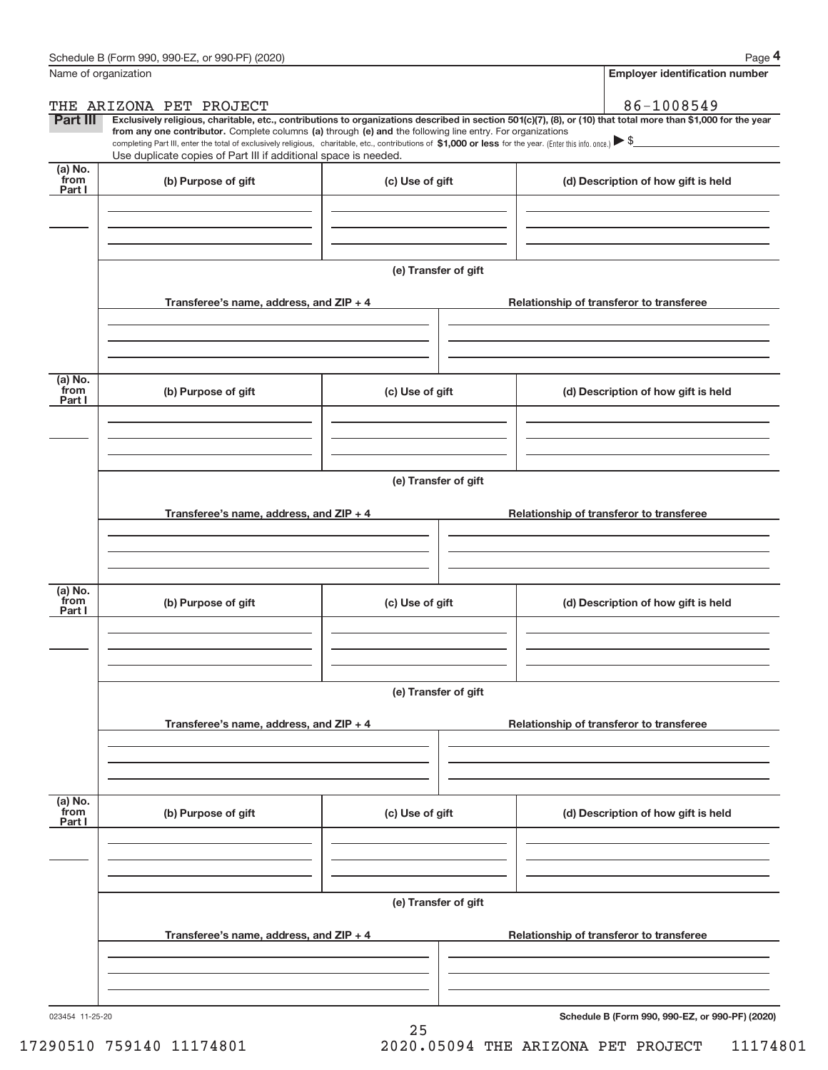| Name of organization      |                                                                                                                                                                               |                      | <b>Employer identification number</b>                                                                                                                                                                                                                                                                                                          |
|---------------------------|-------------------------------------------------------------------------------------------------------------------------------------------------------------------------------|----------------------|------------------------------------------------------------------------------------------------------------------------------------------------------------------------------------------------------------------------------------------------------------------------------------------------------------------------------------------------|
|                           | THE ARIZONA PET PROJECT                                                                                                                                                       |                      | 86-1008549                                                                                                                                                                                                                                                                                                                                     |
| Part III                  | from any one contributor. Complete columns (a) through (e) and the following line entry. For organizations<br>Use duplicate copies of Part III if additional space is needed. |                      | Exclusively religious, charitable, etc., contributions to organizations described in section 501(c)(7), (8), or (10) that total more than \$1,000 for the year<br>completing Part III, enter the total of exclusively religious, charitable, etc., contributions of \$1,000 or less for the year. (Enter this info. once.) $\triangleright$ \$ |
| (a) No.<br>from<br>Part I | (b) Purpose of gift                                                                                                                                                           | (c) Use of gift      | (d) Description of how gift is held                                                                                                                                                                                                                                                                                                            |
|                           |                                                                                                                                                                               |                      |                                                                                                                                                                                                                                                                                                                                                |
|                           |                                                                                                                                                                               | (e) Transfer of gift |                                                                                                                                                                                                                                                                                                                                                |
|                           | Transferee's name, address, and ZIP + 4                                                                                                                                       |                      | Relationship of transferor to transferee                                                                                                                                                                                                                                                                                                       |
|                           |                                                                                                                                                                               |                      |                                                                                                                                                                                                                                                                                                                                                |
| (a) No.<br>from<br>Part I | (b) Purpose of gift                                                                                                                                                           | (c) Use of gift      | (d) Description of how gift is held                                                                                                                                                                                                                                                                                                            |
|                           |                                                                                                                                                                               |                      |                                                                                                                                                                                                                                                                                                                                                |
|                           |                                                                                                                                                                               | (e) Transfer of gift |                                                                                                                                                                                                                                                                                                                                                |
|                           | Transferee's name, address, and ZIP + 4                                                                                                                                       |                      | Relationship of transferor to transferee                                                                                                                                                                                                                                                                                                       |
|                           |                                                                                                                                                                               |                      |                                                                                                                                                                                                                                                                                                                                                |
| (a) No.<br>from<br>Part I | (b) Purpose of gift                                                                                                                                                           | (c) Use of gift      | (d) Description of how gift is held                                                                                                                                                                                                                                                                                                            |
|                           |                                                                                                                                                                               |                      |                                                                                                                                                                                                                                                                                                                                                |
|                           |                                                                                                                                                                               | (e) Transfer of gift |                                                                                                                                                                                                                                                                                                                                                |
|                           | Transferee's name, address, and ZIP + 4                                                                                                                                       |                      | Relationship of transferor to transferee                                                                                                                                                                                                                                                                                                       |
|                           |                                                                                                                                                                               |                      |                                                                                                                                                                                                                                                                                                                                                |
| (a) No.<br>from<br>Part I | (b) Purpose of gift                                                                                                                                                           | (c) Use of gift      | (d) Description of how gift is held                                                                                                                                                                                                                                                                                                            |
|                           |                                                                                                                                                                               |                      |                                                                                                                                                                                                                                                                                                                                                |
|                           |                                                                                                                                                                               | (e) Transfer of gift |                                                                                                                                                                                                                                                                                                                                                |
|                           | Transferee's name, address, and ZIP + 4                                                                                                                                       |                      | Relationship of transferor to transferee                                                                                                                                                                                                                                                                                                       |
|                           |                                                                                                                                                                               |                      |                                                                                                                                                                                                                                                                                                                                                |
|                           |                                                                                                                                                                               |                      |                                                                                                                                                                                                                                                                                                                                                |

25

**Schedule B (Form 990, 990-EZ, or 990-PF) (2020)**

17290510 759140 11174801 2020.05094 THE ARIZONA PET PROJECT 11174801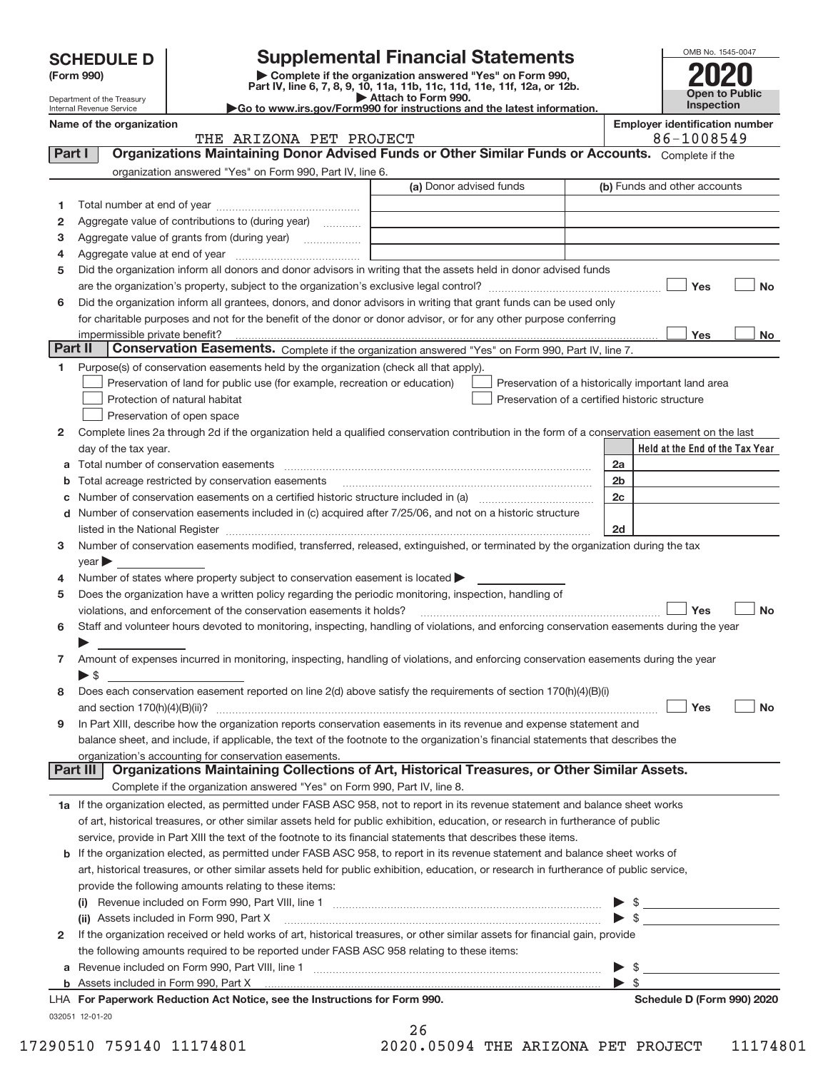| <b>Supplemental Financial Statements</b><br><b>SCHEDULE D</b>                                                                    |                          |                                                                                                   |                                                                                                                                                                                                                                                                                                                                                                                                                            |                |                                       | OMB No. 1545-0047               |           |
|----------------------------------------------------------------------------------------------------------------------------------|--------------------------|---------------------------------------------------------------------------------------------------|----------------------------------------------------------------------------------------------------------------------------------------------------------------------------------------------------------------------------------------------------------------------------------------------------------------------------------------------------------------------------------------------------------------------------|----------------|---------------------------------------|---------------------------------|-----------|
|                                                                                                                                  | (Form 990)               |                                                                                                   | Complete if the organization answered "Yes" on Form 990,                                                                                                                                                                                                                                                                                                                                                                   |                |                                       |                                 |           |
|                                                                                                                                  |                          |                                                                                                   | Part IV, line 6, 7, 8, 9, 10, 11a, 11b, 11c, 11d, 11e, 11f, 12a, or 12b.<br>Attach to Form 990.                                                                                                                                                                                                                                                                                                                            |                |                                       | Open to Public                  |           |
| Department of the Treasury<br>Go to www.irs.gov/Form990 for instructions and the latest information.<br>Internal Revenue Service |                          |                                                                                                   |                                                                                                                                                                                                                                                                                                                                                                                                                            | Inspection     |                                       |                                 |           |
|                                                                                                                                  | Name of the organization | THE ARIZONA PET PROJECT                                                                           |                                                                                                                                                                                                                                                                                                                                                                                                                            |                | <b>Employer identification number</b> | 86-1008549                      |           |
| Part I                                                                                                                           |                          |                                                                                                   | Organizations Maintaining Donor Advised Funds or Other Similar Funds or Accounts. Complete if the                                                                                                                                                                                                                                                                                                                          |                |                                       |                                 |           |
|                                                                                                                                  |                          | organization answered "Yes" on Form 990, Part IV, line 6.                                         |                                                                                                                                                                                                                                                                                                                                                                                                                            |                |                                       |                                 |           |
|                                                                                                                                  |                          |                                                                                                   | (a) Donor advised funds                                                                                                                                                                                                                                                                                                                                                                                                    |                | (b) Funds and other accounts          |                                 |           |
| 1                                                                                                                                |                          |                                                                                                   |                                                                                                                                                                                                                                                                                                                                                                                                                            |                |                                       |                                 |           |
| 2                                                                                                                                |                          | Aggregate value of contributions to (during year)                                                 |                                                                                                                                                                                                                                                                                                                                                                                                                            |                |                                       |                                 |           |
| з                                                                                                                                |                          |                                                                                                   | the control of the control of the control of the control of the control of the control of                                                                                                                                                                                                                                                                                                                                  |                |                                       |                                 |           |
| 4                                                                                                                                |                          |                                                                                                   |                                                                                                                                                                                                                                                                                                                                                                                                                            |                |                                       |                                 |           |
| 5                                                                                                                                |                          |                                                                                                   | Did the organization inform all donors and donor advisors in writing that the assets held in donor advised funds                                                                                                                                                                                                                                                                                                           |                |                                       |                                 |           |
|                                                                                                                                  |                          |                                                                                                   |                                                                                                                                                                                                                                                                                                                                                                                                                            |                |                                       | Yes                             | <b>No</b> |
| 6                                                                                                                                |                          |                                                                                                   | Did the organization inform all grantees, donors, and donor advisors in writing that grant funds can be used only                                                                                                                                                                                                                                                                                                          |                |                                       |                                 |           |
|                                                                                                                                  |                          |                                                                                                   |                                                                                                                                                                                                                                                                                                                                                                                                                            |                |                                       |                                 |           |
|                                                                                                                                  |                          |                                                                                                   |                                                                                                                                                                                                                                                                                                                                                                                                                            |                |                                       |                                 |           |
|                                                                                                                                  |                          |                                                                                                   | for charitable purposes and not for the benefit of the donor or donor advisor, or for any other purpose conferring                                                                                                                                                                                                                                                                                                         |                |                                       | Yes                             |           |
|                                                                                                                                  |                          |                                                                                                   | Conservation Easements. Complete if the organization answered "Yes" on Form 990, Part IV, line 7.                                                                                                                                                                                                                                                                                                                          |                |                                       |                                 | No        |
| Part II<br>1                                                                                                                     |                          | Purpose(s) of conservation easements held by the organization (check all that apply).             |                                                                                                                                                                                                                                                                                                                                                                                                                            |                |                                       |                                 |           |
|                                                                                                                                  |                          | Preservation of land for public use (for example, recreation or education)                        | Preservation of a historically important land area                                                                                                                                                                                                                                                                                                                                                                         |                |                                       |                                 |           |
|                                                                                                                                  |                          | Protection of natural habitat                                                                     | Preservation of a certified historic structure                                                                                                                                                                                                                                                                                                                                                                             |                |                                       |                                 |           |
|                                                                                                                                  |                          | Preservation of open space                                                                        |                                                                                                                                                                                                                                                                                                                                                                                                                            |                |                                       |                                 |           |
| $\mathbf{2}$                                                                                                                     |                          |                                                                                                   |                                                                                                                                                                                                                                                                                                                                                                                                                            |                |                                       |                                 |           |
|                                                                                                                                  |                          |                                                                                                   | Complete lines 2a through 2d if the organization held a qualified conservation contribution in the form of a conservation easement on the last                                                                                                                                                                                                                                                                             |                |                                       | Held at the End of the Tax Year |           |
|                                                                                                                                  | day of the tax year.     |                                                                                                   |                                                                                                                                                                                                                                                                                                                                                                                                                            | 2a             |                                       |                                 |           |
| b                                                                                                                                |                          | a Total number of conservation easements                                                          | $\overline{a_1, \ldots, a_n, \ldots, a_n, \ldots, a_n, \ldots, a_n, \ldots, a_n, \ldots, a_n, \ldots, a_n, \ldots, a_n, \ldots, a_n, \ldots, a_n, \ldots, a_n, \ldots, a_n, \ldots, a_n, \ldots, a_n, \ldots, a_n, \ldots, a_n, \ldots, a_n, \ldots, a_n, \ldots, a_n, \ldots, a_n, \ldots, a_n, \ldots, a_n, \ldots, a_n, \ldots, a_n, \ldots, a_n, \ldots, a_n, \ldots, a_n, \ldots, a_n, \ldots, a_n, \ldots, a_n, \ld$ | 2 <sub>b</sub> |                                       |                                 |           |
|                                                                                                                                  |                          | Total acreage restricted by conservation easements                                                |                                                                                                                                                                                                                                                                                                                                                                                                                            |                |                                       |                                 |           |
| c                                                                                                                                |                          |                                                                                                   | Number of conservation easements on a certified historic structure included in (a) manufacture included in (a)                                                                                                                                                                                                                                                                                                             | 2c             |                                       |                                 |           |
|                                                                                                                                  |                          |                                                                                                   | d Number of conservation easements included in (c) acquired after 7/25/06, and not on a historic structure                                                                                                                                                                                                                                                                                                                 |                |                                       |                                 |           |
|                                                                                                                                  |                          |                                                                                                   | listed in the National Register [111] [12] non-matter in the National Property of the National Register [11] [1                                                                                                                                                                                                                                                                                                            | 2d             |                                       |                                 |           |
|                                                                                                                                  |                          |                                                                                                   | Number of conservation easements modified, transferred, released, extinguished, or terminated by the organization during the tax                                                                                                                                                                                                                                                                                           |                |                                       |                                 |           |
|                                                                                                                                  | year                     |                                                                                                   |                                                                                                                                                                                                                                                                                                                                                                                                                            |                |                                       |                                 |           |
| 3<br>4                                                                                                                           |                          | Number of states where property subject to conservation easement is located $\blacktriangleright$ |                                                                                                                                                                                                                                                                                                                                                                                                                            |                |                                       |                                 |           |
| 5                                                                                                                                |                          | violations, and enforcement of the conservation easements it holds?                               | Does the organization have a written policy regarding the periodic monitoring, inspection, handling of                                                                                                                                                                                                                                                                                                                     |                |                                       | Yes                             | <b>No</b> |

| Amount of expenses incurred in monitoring, inspecting, handling of violations, and enforcing conservation easements during the year |
|-------------------------------------------------------------------------------------------------------------------------------------|
|                                                                                                                                     |
| 8 Does each conservation easement reported on line 2(d) above satisfy the requirements of section 170(h)(4)(B)(i)                   |

| ∣ Yes<br>and section $170(h)(4)(B)(ii)?$                                                                                          | No |
|-----------------------------------------------------------------------------------------------------------------------------------|----|
| 9 In Part XIII, describe how the organization reports conservation easements in its revenue and expense statement and             |    |
| balance sheet, and include, if applicable, the text of the footnote to the organization's financial statements that describes the |    |
| organization's accounting for conservation easements.                                                                             |    |

| <b>Part III   Organizations Maintaining Collections of Art, Historical Treasures, or Other Similar Assets.</b> |  |
|----------------------------------------------------------------------------------------------------------------|--|
| Complete if the organization answered "Yes" on Form 990, Part IV. line 8.                                      |  |
|                                                                                                                |  |

**1 a** If the organization elected, as permitted under FASB ASC 958, not to report in its revenue statement and balance sheet works of art, historical treasures, or other similar assets held for public exhibition, education, or research in furtherance of public service, provide in Part XIII the text of the footnote to its financial statements that describes these items.

| <b>b</b> If the organization elected, as permitted under FASB ASC 958, to report in its revenue statement and balance sheet works of                                                                                                                                                                        |  |  |
|-------------------------------------------------------------------------------------------------------------------------------------------------------------------------------------------------------------------------------------------------------------------------------------------------------------|--|--|
| art, historical treasures, or other similar assets held for public exhibition, education, or research in furtherance of public service,                                                                                                                                                                     |  |  |
| provide the following amounts relating to these items:                                                                                                                                                                                                                                                      |  |  |
| $\mathbf{r}$ , $\mathbf{r}$ , $\mathbf{r}$ , $\mathbf{r}$ , $\mathbf{r}$ , $\mathbf{r}$ , $\mathbf{r}$ , $\mathbf{r}$ , $\mathbf{r}$ , $\mathbf{r}$ , $\mathbf{r}$ , $\mathbf{r}$ , $\mathbf{r}$ , $\mathbf{r}$ , $\mathbf{r}$ , $\mathbf{r}$ , $\mathbf{r}$ , $\mathbf{r}$ , $\mathbf{r}$ , $\mathbf{r}$ , |  |  |

| Revenue included on Form 990, Part VIII, line 1<br>(i)                                                                         |  |
|--------------------------------------------------------------------------------------------------------------------------------|--|
| (ii) Assets included in Form 990, Part X                                                                                       |  |
| 2 If the organization received or held works of art, historical treasures, or other similar assets for financial gain, provide |  |
| the following amounts required to be reported under FASB ASC 958 relating to these items:                                      |  |
| a Revenue included on Form 990, Part VIII, line 1                                                                              |  |
| <b>b</b> Assets included in Form 990, Part X                                                                                   |  |

## 032051 12‐01‐20 LHA For Paperwork Reduction Act Notice, see the Instructions for Form 990. National **Schedule D** (Form 990) 2020

26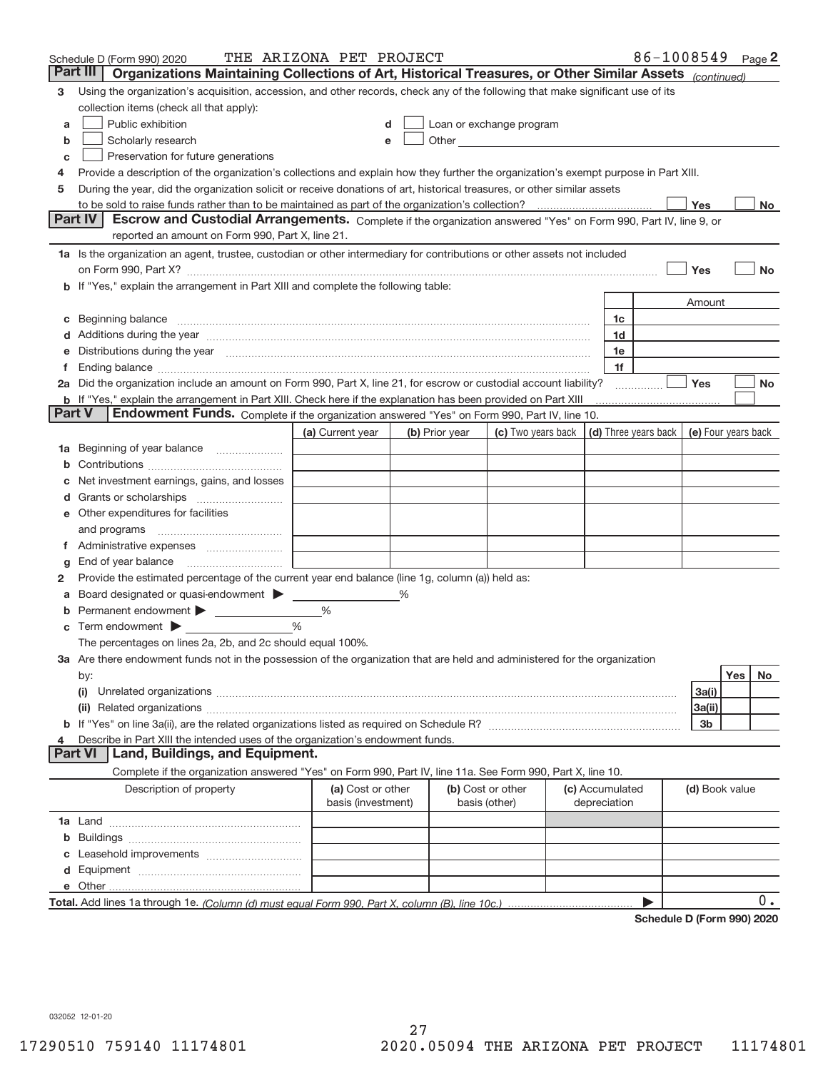|        | Schedule D (Form 990) 2020                                                                                                                                                                                                     | THE ARIZONA PET PROJECT                 |   |                |                                                                                                                                                                                                                                |                                 | 86-1008549                           |                     |     | Page $2$  |
|--------|--------------------------------------------------------------------------------------------------------------------------------------------------------------------------------------------------------------------------------|-----------------------------------------|---|----------------|--------------------------------------------------------------------------------------------------------------------------------------------------------------------------------------------------------------------------------|---------------------------------|--------------------------------------|---------------------|-----|-----------|
|        | Organizations Maintaining Collections of Art, Historical Treasures, or Other Similar Assets (continued)<br>Part III                                                                                                            |                                         |   |                |                                                                                                                                                                                                                                |                                 |                                      |                     |     |           |
| 3      | Using the organization's acquisition, accession, and other records, check any of the following that make significant use of its                                                                                                |                                         |   |                |                                                                                                                                                                                                                                |                                 |                                      |                     |     |           |
|        | collection items (check all that apply):                                                                                                                                                                                       |                                         |   |                |                                                                                                                                                                                                                                |                                 |                                      |                     |     |           |
| a      | Public exhibition                                                                                                                                                                                                              |                                         |   |                | Loan or exchange program                                                                                                                                                                                                       |                                 |                                      |                     |     |           |
| b      | Scholarly research                                                                                                                                                                                                             |                                         |   |                | Other the contract of the contract of the contract of the contract of the contract of the contract of the contract of the contract of the contract of the contract of the contract of the contract of the contract of the cont |                                 |                                      |                     |     |           |
| C      | Preservation for future generations                                                                                                                                                                                            |                                         |   |                |                                                                                                                                                                                                                                |                                 |                                      |                     |     |           |
| 4      | Provide a description of the organization's collections and explain how they further the organization's exempt purpose in Part XIII.                                                                                           |                                         |   |                |                                                                                                                                                                                                                                |                                 |                                      |                     |     |           |
| 5      | During the year, did the organization solicit or receive donations of art, historical treasures, or other similar assets                                                                                                       |                                         |   |                |                                                                                                                                                                                                                                |                                 |                                      |                     |     |           |
|        |                                                                                                                                                                                                                                |                                         |   |                |                                                                                                                                                                                                                                |                                 |                                      | Yes                 |     | No.       |
|        | Escrow and Custodial Arrangements. Complete if the organization answered "Yes" on Form 990, Part IV, line 9, or<br><b>Part IV</b><br>reported an amount on Form 990, Part X, line 21.                                          |                                         |   |                |                                                                                                                                                                                                                                |                                 |                                      |                     |     |           |
|        | 1a Is the organization an agent, trustee, custodian or other intermediary for contributions or other assets not included                                                                                                       |                                         |   |                |                                                                                                                                                                                                                                |                                 |                                      |                     |     |           |
|        | on Form 990, Part X? [11] matter contracts and contracts and contracts are contracted as a function of the set of the set of the set of the set of the set of the set of the set of the set of the set of the set of the set o |                                         |   |                |                                                                                                                                                                                                                                |                                 |                                      | Yes                 |     | <b>No</b> |
|        | b If "Yes," explain the arrangement in Part XIII and complete the following table:                                                                                                                                             |                                         |   |                |                                                                                                                                                                                                                                |                                 |                                      |                     |     |           |
|        |                                                                                                                                                                                                                                |                                         |   |                |                                                                                                                                                                                                                                |                                 |                                      | Amount              |     |           |
|        |                                                                                                                                                                                                                                |                                         |   |                |                                                                                                                                                                                                                                | 1c                              |                                      |                     |     |           |
|        | Additions during the year manufactured and an annual contract of the year manufactured and a set of the year manufactured and a set of the year manufactured and a set of the year manufactured and a set of the year manufact |                                         |   |                |                                                                                                                                                                                                                                | 1d                              |                                      |                     |     |           |
|        | Distributions during the year manufactured and continuum control of the year manufactured and the year manufactured and the year manufactured and the year manufactured and the year manufactured and the year manufactured an |                                         |   |                |                                                                                                                                                                                                                                | 1e                              |                                      |                     |     |           |
|        |                                                                                                                                                                                                                                |                                         |   |                |                                                                                                                                                                                                                                | 1f                              |                                      |                     |     |           |
|        | 2a Did the organization include an amount on Form 990, Part X, line 21, for escrow or custodial account liability?                                                                                                             |                                         |   |                |                                                                                                                                                                                                                                |                                 |                                      | Yes                 |     | No        |
|        | <b>b</b> If "Yes," explain the arrangement in Part XIII. Check here if the explanation has been provided on Part XIII                                                                                                          |                                         |   |                |                                                                                                                                                                                                                                |                                 |                                      |                     |     |           |
| Part V | Endowment Funds. Complete if the organization answered "Yes" on Form 990, Part IV, line 10.                                                                                                                                    |                                         |   |                |                                                                                                                                                                                                                                |                                 |                                      |                     |     |           |
|        |                                                                                                                                                                                                                                | (a) Current year                        |   | (b) Prior year | (c) Two years back                                                                                                                                                                                                             |                                 | $\vert$ (d) Three years back $\vert$ | (e) Four years back |     |           |
| 1a     | Beginning of year balance                                                                                                                                                                                                      |                                         |   |                |                                                                                                                                                                                                                                |                                 |                                      |                     |     |           |
|        |                                                                                                                                                                                                                                |                                         |   |                |                                                                                                                                                                                                                                |                                 |                                      |                     |     |           |
|        | Net investment earnings, gains, and losses                                                                                                                                                                                     |                                         |   |                |                                                                                                                                                                                                                                |                                 |                                      |                     |     |           |
|        |                                                                                                                                                                                                                                |                                         |   |                |                                                                                                                                                                                                                                |                                 |                                      |                     |     |           |
| е      | Other expenditures for facilities                                                                                                                                                                                              |                                         |   |                |                                                                                                                                                                                                                                |                                 |                                      |                     |     |           |
|        | and programs                                                                                                                                                                                                                   |                                         |   |                |                                                                                                                                                                                                                                |                                 |                                      |                     |     |           |
|        |                                                                                                                                                                                                                                |                                         |   |                |                                                                                                                                                                                                                                |                                 |                                      |                     |     |           |
| g      | End of year balance                                                                                                                                                                                                            |                                         |   |                |                                                                                                                                                                                                                                |                                 |                                      |                     |     |           |
| 2      | Provide the estimated percentage of the current year end balance (line 1g, column (a)) held as:                                                                                                                                |                                         |   |                |                                                                                                                                                                                                                                |                                 |                                      |                     |     |           |
|        | Board designated or quasi-endowment                                                                                                                                                                                            |                                         | % |                |                                                                                                                                                                                                                                |                                 |                                      |                     |     |           |
| b      | Permanent endowment                                                                                                                                                                                                            | %                                       |   |                |                                                                                                                                                                                                                                |                                 |                                      |                     |     |           |
| С      | Term endowment                                                                                                                                                                                                                 | %                                       |   |                |                                                                                                                                                                                                                                |                                 |                                      |                     |     |           |
|        | The percentages on lines 2a, 2b, and 2c should equal 100%.                                                                                                                                                                     |                                         |   |                |                                                                                                                                                                                                                                |                                 |                                      |                     |     |           |
|        | 3a Are there endowment funds not in the possession of the organization that are held and administered for the organization                                                                                                     |                                         |   |                |                                                                                                                                                                                                                                |                                 |                                      |                     |     |           |
|        | by:                                                                                                                                                                                                                            |                                         |   |                |                                                                                                                                                                                                                                |                                 |                                      |                     | Yes | No        |
|        | (i)                                                                                                                                                                                                                            |                                         |   |                |                                                                                                                                                                                                                                |                                 |                                      | 3a(i)               |     |           |
|        |                                                                                                                                                                                                                                |                                         |   |                |                                                                                                                                                                                                                                |                                 |                                      | 3a(ii)              |     |           |
|        |                                                                                                                                                                                                                                |                                         |   |                |                                                                                                                                                                                                                                |                                 |                                      | 3b                  |     |           |
|        | Describe in Part XIII the intended uses of the organization's endowment funds.                                                                                                                                                 |                                         |   |                |                                                                                                                                                                                                                                |                                 |                                      |                     |     |           |
|        | Land, Buildings, and Equipment.<br>Part VI                                                                                                                                                                                     |                                         |   |                |                                                                                                                                                                                                                                |                                 |                                      |                     |     |           |
|        | Complete if the organization answered "Yes" on Form 990, Part IV, line 11a. See Form 990, Part X, line 10.                                                                                                                     |                                         |   |                |                                                                                                                                                                                                                                |                                 |                                      |                     |     |           |
|        | Description of property                                                                                                                                                                                                        | (a) Cost or other<br>basis (investment) |   |                | (b) Cost or other<br>basis (other)                                                                                                                                                                                             | (c) Accumulated<br>depreciation |                                      | (d) Book value      |     |           |
|        |                                                                                                                                                                                                                                |                                         |   |                |                                                                                                                                                                                                                                |                                 |                                      |                     |     |           |
| b      |                                                                                                                                                                                                                                |                                         |   |                |                                                                                                                                                                                                                                |                                 |                                      |                     |     |           |
|        |                                                                                                                                                                                                                                |                                         |   |                |                                                                                                                                                                                                                                |                                 |                                      |                     |     |           |
| d      |                                                                                                                                                                                                                                |                                         |   |                |                                                                                                                                                                                                                                |                                 |                                      |                     |     |           |
|        |                                                                                                                                                                                                                                |                                         |   |                |                                                                                                                                                                                                                                |                                 |                                      |                     |     |           |
|        |                                                                                                                                                                                                                                |                                         |   |                |                                                                                                                                                                                                                                |                                 |                                      |                     |     | 0.        |
|        |                                                                                                                                                                                                                                |                                         |   |                |                                                                                                                                                                                                                                |                                 | Schedule D (Form 990) 2020           |                     |     |           |

**Schedule D (Form 990) 2020**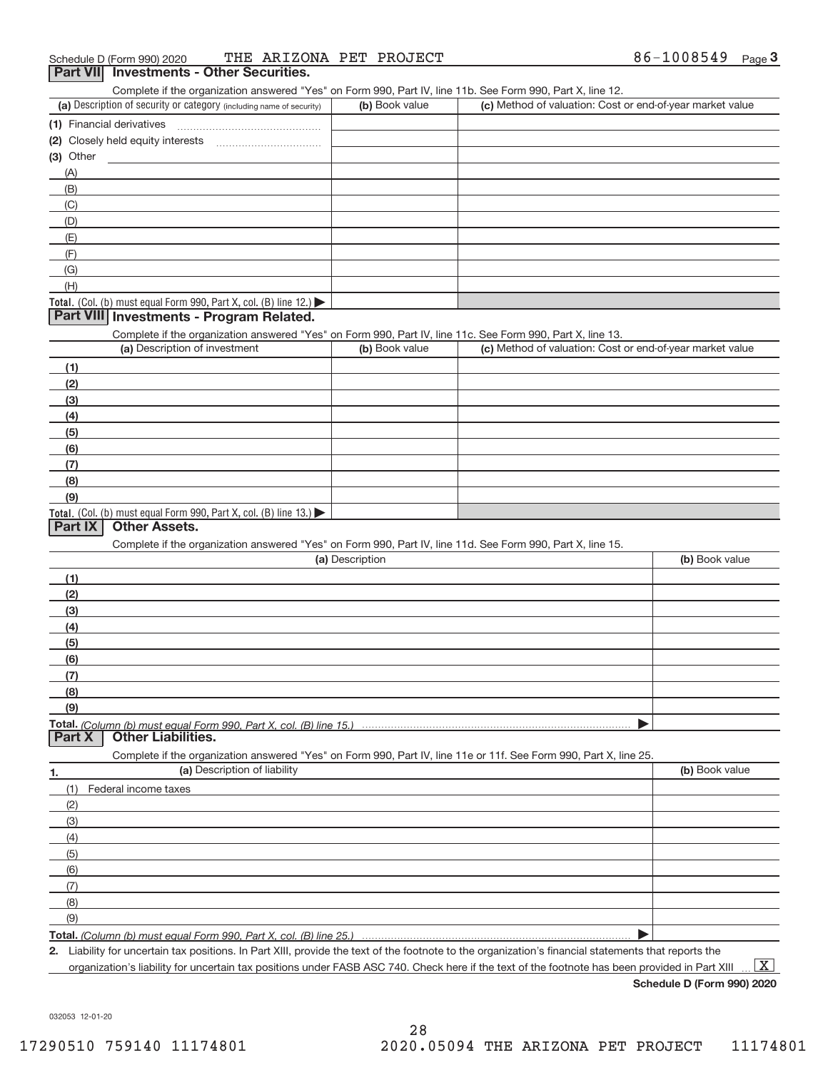|                                               | Complete if the organization answered "Yes" on Form 990, Part IV, line 11b. See Form 990, Part X, line 12.                                  |                 |                                                           |                |
|-----------------------------------------------|---------------------------------------------------------------------------------------------------------------------------------------------|-----------------|-----------------------------------------------------------|----------------|
|                                               | (a) Description of security or category (including name of security)                                                                        | (b) Book value  | (c) Method of valuation: Cost or end-of-year market value |                |
| (1) Financial derivatives                     |                                                                                                                                             |                 |                                                           |                |
|                                               |                                                                                                                                             |                 |                                                           |                |
| $(3)$ Other                                   |                                                                                                                                             |                 |                                                           |                |
| (A)                                           |                                                                                                                                             |                 |                                                           |                |
| (B)                                           |                                                                                                                                             |                 |                                                           |                |
| (C)                                           |                                                                                                                                             |                 |                                                           |                |
| (D)                                           |                                                                                                                                             |                 |                                                           |                |
| (E)                                           |                                                                                                                                             |                 |                                                           |                |
| (F)                                           |                                                                                                                                             |                 |                                                           |                |
| (G)                                           |                                                                                                                                             |                 |                                                           |                |
| (H)                                           |                                                                                                                                             |                 |                                                           |                |
|                                               | Total. (Col. (b) must equal Form 990, Part X, col. (B) line 12.)<br>Part VIII Investments - Program Related.                                |                 |                                                           |                |
|                                               |                                                                                                                                             |                 |                                                           |                |
|                                               | Complete if the organization answered "Yes" on Form 990, Part IV, line 11c. See Form 990, Part X, line 13.<br>(a) Description of investment | (b) Book value  | (c) Method of valuation: Cost or end-of-year market value |                |
| (1)                                           |                                                                                                                                             |                 |                                                           |                |
| (2)                                           |                                                                                                                                             |                 |                                                           |                |
| (3)                                           |                                                                                                                                             |                 |                                                           |                |
| (4)                                           |                                                                                                                                             |                 |                                                           |                |
| (5)                                           |                                                                                                                                             |                 |                                                           |                |
| (6)                                           |                                                                                                                                             |                 |                                                           |                |
| (7)                                           |                                                                                                                                             |                 |                                                           |                |
| (8)                                           |                                                                                                                                             |                 |                                                           |                |
| (9)                                           |                                                                                                                                             |                 |                                                           |                |
|                                               | Total. (Col. (b) must equal Form 990, Part X, col. (B) line 13.)                                                                            |                 |                                                           |                |
| Part IX                                       | <b>Other Assets.</b>                                                                                                                        |                 |                                                           |                |
|                                               | Complete if the organization answered "Yes" on Form 990, Part IV, line 11d. See Form 990, Part X, line 15.                                  |                 |                                                           |                |
|                                               |                                                                                                                                             | (a) Description |                                                           | (b) Book value |
| (1)                                           |                                                                                                                                             |                 |                                                           |                |
| (2)                                           |                                                                                                                                             |                 |                                                           |                |
| (3)                                           |                                                                                                                                             |                 |                                                           |                |
| (4)                                           |                                                                                                                                             |                 |                                                           |                |
| (5)                                           |                                                                                                                                             |                 |                                                           |                |
| (6)                                           |                                                                                                                                             |                 |                                                           |                |
| (7)                                           |                                                                                                                                             |                 |                                                           |                |
|                                               |                                                                                                                                             |                 |                                                           |                |
|                                               |                                                                                                                                             |                 |                                                           |                |
|                                               |                                                                                                                                             |                 |                                                           |                |
|                                               |                                                                                                                                             |                 |                                                           |                |
| (8)<br>(9)<br>Part X                          | <b>Other Liabilities.</b>                                                                                                                   |                 |                                                           |                |
|                                               | Complete if the organization answered "Yes" on Form 990, Part IV, line 11e or 11f. See Form 990, Part X, line 25.                           |                 |                                                           |                |
|                                               | (a) Description of liability                                                                                                                |                 |                                                           | (b) Book value |
|                                               | Federal income taxes                                                                                                                        |                 |                                                           |                |
|                                               |                                                                                                                                             |                 |                                                           |                |
|                                               |                                                                                                                                             |                 |                                                           |                |
|                                               |                                                                                                                                             |                 |                                                           |                |
|                                               |                                                                                                                                             |                 |                                                           |                |
|                                               |                                                                                                                                             |                 |                                                           |                |
| (1)<br>(2)<br>(3)<br>(4)<br>(5)<br>(6)<br>(7) |                                                                                                                                             |                 |                                                           |                |
| (8)<br>(9)                                    |                                                                                                                                             |                 |                                                           |                |

organization's liability for uncertain tax positions under FASB ASC 740. Check here if the text of the footnote has been provided in Part XIII  $\;\ldots\;$   $\bar{\rm X}$ 

**Schedule D (Form 990) 2020**

032053 12‐01‐20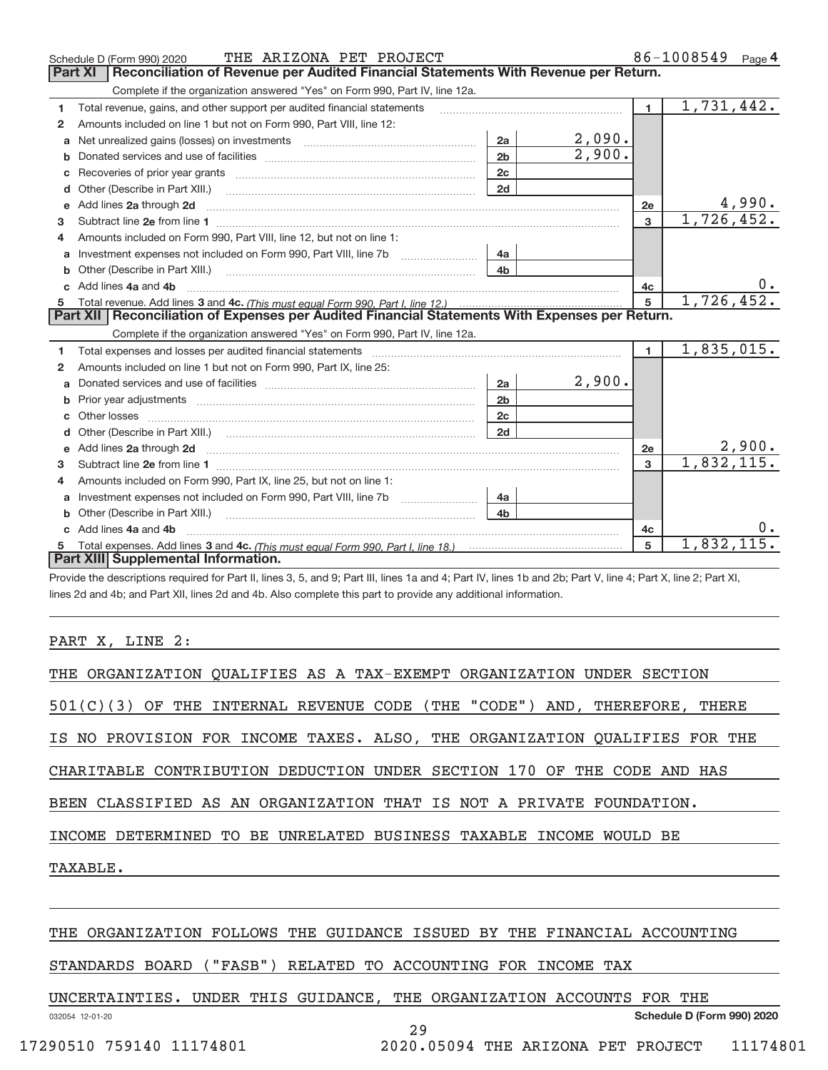|              | THE ARIZONA PET PROJECT<br>Schedule D (Form 990) 2020                                                                                                                                                |                |        |                | 86-1008549<br>Page 4 |
|--------------|------------------------------------------------------------------------------------------------------------------------------------------------------------------------------------------------------|----------------|--------|----------------|----------------------|
|              | Reconciliation of Revenue per Audited Financial Statements With Revenue per Return.<br>Part XI                                                                                                       |                |        |                |                      |
|              | Complete if the organization answered "Yes" on Form 990, Part IV, line 12a.                                                                                                                          |                |        |                |                      |
| 1            | Total revenue, gains, and other support per audited financial statements                                                                                                                             |                |        | $\blacksquare$ | 1,731,442.           |
| 2            | Amounts included on line 1 but not on Form 990, Part VIII, line 12:                                                                                                                                  |                |        |                |                      |
| a            |                                                                                                                                                                                                      | 2a             | 2,090. |                |                      |
|              |                                                                                                                                                                                                      | 2 <sub>b</sub> | 2,900. |                |                      |
| c            |                                                                                                                                                                                                      | 2c             |        |                |                      |
| d            |                                                                                                                                                                                                      | 2d             |        |                |                      |
| e            | Add lines 2a through 2d                                                                                                                                                                              |                |        | 2e             | 4,990.               |
| 3            |                                                                                                                                                                                                      |                |        | $\overline{3}$ | 1,726,452.           |
| 4            | Amounts included on Form 990, Part VIII, line 12, but not on line 1:                                                                                                                                 |                |        |                |                      |
|              |                                                                                                                                                                                                      | 4a             |        |                |                      |
| b.           | Other (Describe in Part XIII.) <b>Construction Contract Construction</b> Chemistry Chemistry Chemistry Chemistry Chemistry                                                                           | 4 <sub>b</sub> |        |                |                      |
|              | c Add lines 4a and 4b                                                                                                                                                                                |                |        | 4c             |                      |
|              |                                                                                                                                                                                                      |                |        | 5              | 1,726,452.           |
|              |                                                                                                                                                                                                      |                |        |                |                      |
|              | Part XII   Reconciliation of Expenses per Audited Financial Statements With Expenses per Return.                                                                                                     |                |        |                |                      |
|              | Complete if the organization answered "Yes" on Form 990, Part IV, line 12a.                                                                                                                          |                |        |                |                      |
| 1            | Total expenses and losses per audited financial statements [11] [11] Total expenses and losses per audited financial statements [11] [11] Total expenses and losses per audited financial statements |                |        | $\blacksquare$ | 1,835,015.           |
| 2            | Amounts included on line 1 but not on Form 990, Part IX, line 25:                                                                                                                                    |                |        |                |                      |
| $\mathbf{a}$ |                                                                                                                                                                                                      | 2a             | 2,900. |                |                      |
|              | Prior year adjustments [111] Prior year adjustments [11] Prior year adjustments [11] Prior year adjustments [1                                                                                       | 2 <sub>b</sub> |        |                |                      |
| C.           |                                                                                                                                                                                                      | 2c             |        |                |                      |
|              |                                                                                                                                                                                                      | 2d             |        |                |                      |
|              |                                                                                                                                                                                                      |                |        | 2e             | 2,900.               |
| 3            |                                                                                                                                                                                                      |                |        | $\overline{3}$ | 1,832,115.           |
| 4            | Amounts included on Form 990, Part IX, line 25, but not on line 1:                                                                                                                                   |                |        |                |                      |
| a            | Investment expenses not included on Form 990, Part VIII, line 7b [11, 111, 111, 111]                                                                                                                 | 4a             |        |                |                      |
|              |                                                                                                                                                                                                      | 4b             |        |                |                      |
|              | Add lines 4a and 4b                                                                                                                                                                                  |                |        | 4c             |                      |
|              | Part XIII Supplemental Information.                                                                                                                                                                  |                |        | 5              | 1,832,115.           |

Provide the descriptions required for Part II, lines 3, 5, and 9; Part III, lines 1a and 4; Part IV, lines 1b and 2b; Part V, line 4; Part X, line 2; Part XI, lines 2d and 4b; and Part XII, lines 2d and 4b. Also complete this part to provide any additional information.

## PART X, LINE 2:

| THE ORGANIZATION QUALIFIES AS A TAX-EXEMPT ORGANIZATION UNDER SECTION       |
|-----------------------------------------------------------------------------|
| $501(C)(3)$ OF THE INTERNAL REVENUE CODE (THE "CODE") AND, THEREFORE, THERE |
| IS NO PROVISION FOR INCOME TAXES. ALSO, THE ORGANIZATION QUALIFIES FOR THE  |
| CHARITABLE CONTRIBUTION DEDUCTION UNDER SECTION 170 OF THE CODE AND HAS     |
| BEEN CLASSIFIED AS AN ORGANIZATION THAT IS NOT A PRIVATE FOUNDATION.        |
| INCOME DETERMINED TO BE UNRELATED BUSINESS TAXABLE INCOME WOULD BE          |
| TAXABLE.                                                                    |
|                                                                             |
| THE ORGANIZATION FOLLOWS THE GUIDANCE ISSUED BY THE FINANCIAL ACCOUNTING    |

STANDARDS BOARD ("FASB") RELATED TO ACCOUNTING FOR INCOME TAX

UNCERTAINTIES. UNDER THIS GUIDANCE, THE ORGANIZATION ACCOUNTS FOR THE

032054 12‐01‐20

29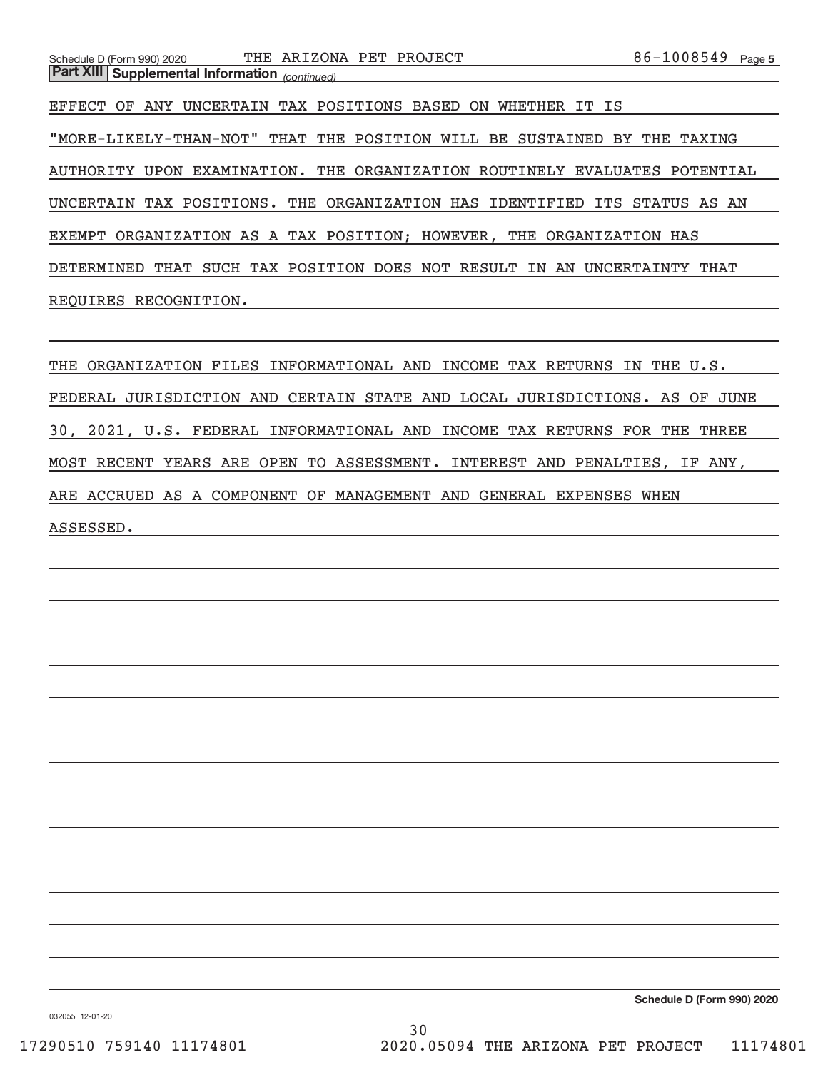EFFECT OF ANY UNCERTAIN TAX POSITIONS BASED ON WHETHER IT IS "MORE‐LIKELY‐THAN‐NOT" THAT THE POSITION WILL BE SUSTAINED BY THE TAXING AUTHORITY UPON EXAMINATION. THE ORGANIZATION ROUTINELY EVALUATES POTENTIAL UNCERTAIN TAX POSITIONS. THE ORGANIZATION HAS IDENTIFIED ITS STATUS AS AN EXEMPT ORGANIZATION AS A TAX POSITION; HOWEVER, THE ORGANIZATION HAS DETERMINED THAT SUCH TAX POSITION DOES NOT RESULT IN AN UNCERTAINTY THAT REQUIRES RECOGNITION.

THE ORGANIZATION FILES INFORMATIONAL AND INCOME TAX RETURNS IN THE U.S. FEDERAL JURISDICTION AND CERTAIN STATE AND LOCAL JURISDICTIONS. AS OF JUNE 30, 2021, U.S. FEDERAL INFORMATIONAL AND INCOME TAX RETURNS FOR THE THREE MOST RECENT YEARS ARE OPEN TO ASSESSMENT. INTEREST AND PENALTIES, IF ANY, ARE ACCRUED AS A COMPONENT OF MANAGEMENT AND GENERAL EXPENSES WHEN ASSESSED.

**Schedule D (Form 990) 2020**

032055 12‐01‐20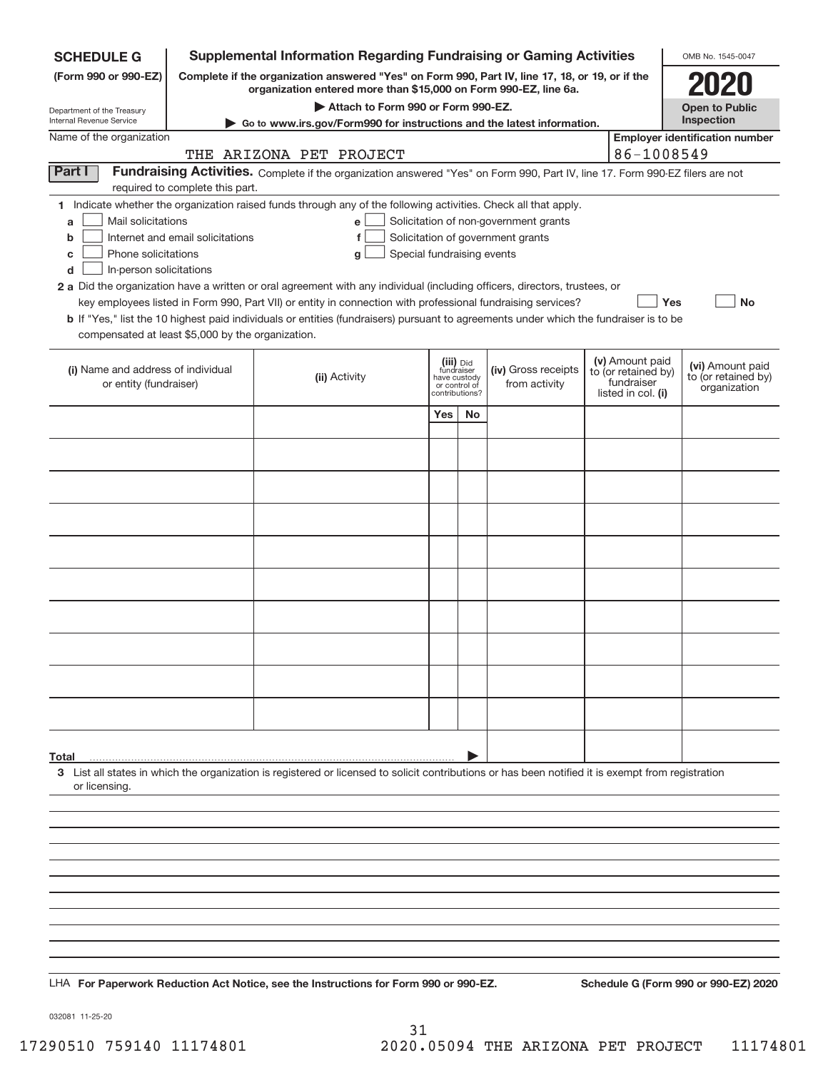| <b>SCHEDULE G</b>                                            |                                  | <b>Supplemental Information Regarding Fundraising or Gaming Activities</b>                                                                                                                                                                |                                         |    |                                       |                                   | OMB No. 1545-0047                       |
|--------------------------------------------------------------|----------------------------------|-------------------------------------------------------------------------------------------------------------------------------------------------------------------------------------------------------------------------------------------|-----------------------------------------|----|---------------------------------------|-----------------------------------|-----------------------------------------|
| (Form 990 or 990-EZ)                                         |                                  | Complete if the organization answered "Yes" on Form 990, Part IV, line 17, 18, or 19, or if the<br>organization entered more than \$15,000 on Form 990-EZ, line 6a.                                                                       |                                         |    |                                       |                                   |                                         |
| Department of the Treasury                                   |                                  | Attach to Form 990 or Form 990-EZ.                                                                                                                                                                                                        |                                         |    |                                       |                                   | <b>Open to Public</b><br>Inspection     |
| Internal Revenue Service<br>Name of the organization         |                                  | Go to www.irs.gov/Form990 for instructions and the latest information.                                                                                                                                                                    |                                         |    |                                       |                                   | <b>Employer identification number</b>   |
|                                                              |                                  | THE ARIZONA PET PROJECT                                                                                                                                                                                                                   |                                         |    |                                       | 86-1008549                        |                                         |
| Part I                                                       |                                  | Fundraising Activities. Complete if the organization answered "Yes" on Form 990, Part IV, line 17. Form 990-EZ filers are not                                                                                                             |                                         |    |                                       |                                   |                                         |
|                                                              | required to complete this part.  |                                                                                                                                                                                                                                           |                                         |    |                                       |                                   |                                         |
| Mail solicitations<br>a                                      |                                  | 1 Indicate whether the organization raised funds through any of the following activities. Check all that apply.<br>e                                                                                                                      |                                         |    | Solicitation of non-government grants |                                   |                                         |
| b                                                            | Internet and email solicitations | f                                                                                                                                                                                                                                         |                                         |    | Solicitation of government grants     |                                   |                                         |
| Phone solicitations<br>c                                     |                                  | Special fundraising events<br>g                                                                                                                                                                                                           |                                         |    |                                       |                                   |                                         |
| In-person solicitations<br>d                                 |                                  |                                                                                                                                                                                                                                           |                                         |    |                                       |                                   |                                         |
|                                                              |                                  | 2 a Did the organization have a written or oral agreement with any individual (including officers, directors, trustees, or<br>key employees listed in Form 990, Part VII) or entity in connection with professional fundraising services? |                                         |    |                                       | Yes                               | <b>No</b>                               |
|                                                              |                                  | <b>b</b> If "Yes," list the 10 highest paid individuals or entities (fundraisers) pursuant to agreements under which the fundraiser is to be                                                                                              |                                         |    |                                       |                                   |                                         |
| compensated at least \$5,000 by the organization.            |                                  |                                                                                                                                                                                                                                           |                                         |    |                                       |                                   |                                         |
|                                                              |                                  |                                                                                                                                                                                                                                           |                                         |    |                                       | (v) Amount paid                   |                                         |
| (i) Name and address of individual<br>or entity (fundraiser) |                                  | (ii) Activity                                                                                                                                                                                                                             | (iii) Did<br>fundraiser<br>have custody |    | (iv) Gross receipts<br>from activity  | to (or retained by)<br>fundraiser | (vi) Amount paid<br>to (or retained by) |
|                                                              |                                  |                                                                                                                                                                                                                                           | or control of<br>contributions?         |    |                                       | listed in col. (i)                | organization                            |
|                                                              |                                  |                                                                                                                                                                                                                                           | Yes                                     | No |                                       |                                   |                                         |
|                                                              |                                  |                                                                                                                                                                                                                                           |                                         |    |                                       |                                   |                                         |
|                                                              |                                  |                                                                                                                                                                                                                                           |                                         |    |                                       |                                   |                                         |
|                                                              |                                  |                                                                                                                                                                                                                                           |                                         |    |                                       |                                   |                                         |
|                                                              |                                  |                                                                                                                                                                                                                                           |                                         |    |                                       |                                   |                                         |
|                                                              |                                  |                                                                                                                                                                                                                                           |                                         |    |                                       |                                   |                                         |
|                                                              |                                  |                                                                                                                                                                                                                                           |                                         |    |                                       |                                   |                                         |
|                                                              |                                  |                                                                                                                                                                                                                                           |                                         |    |                                       |                                   |                                         |
|                                                              |                                  |                                                                                                                                                                                                                                           |                                         |    |                                       |                                   |                                         |
|                                                              |                                  |                                                                                                                                                                                                                                           |                                         |    |                                       |                                   |                                         |
|                                                              |                                  |                                                                                                                                                                                                                                           |                                         |    |                                       |                                   |                                         |
|                                                              |                                  |                                                                                                                                                                                                                                           |                                         |    |                                       |                                   |                                         |
|                                                              |                                  |                                                                                                                                                                                                                                           |                                         |    |                                       |                                   |                                         |
|                                                              |                                  |                                                                                                                                                                                                                                           |                                         |    |                                       |                                   |                                         |
|                                                              |                                  |                                                                                                                                                                                                                                           |                                         |    |                                       |                                   |                                         |
|                                                              |                                  |                                                                                                                                                                                                                                           |                                         |    |                                       |                                   |                                         |
| Total                                                        |                                  |                                                                                                                                                                                                                                           |                                         |    |                                       |                                   |                                         |
|                                                              |                                  | 3 List all states in which the organization is registered or licensed to solicit contributions or has been notified it is exempt from registration                                                                                        |                                         |    |                                       |                                   |                                         |
| or licensing.                                                |                                  |                                                                                                                                                                                                                                           |                                         |    |                                       |                                   |                                         |
|                                                              |                                  |                                                                                                                                                                                                                                           |                                         |    |                                       |                                   |                                         |
|                                                              |                                  |                                                                                                                                                                                                                                           |                                         |    |                                       |                                   |                                         |
|                                                              |                                  |                                                                                                                                                                                                                                           |                                         |    |                                       |                                   |                                         |
|                                                              |                                  |                                                                                                                                                                                                                                           |                                         |    |                                       |                                   |                                         |
|                                                              |                                  |                                                                                                                                                                                                                                           |                                         |    |                                       |                                   |                                         |
|                                                              |                                  |                                                                                                                                                                                                                                           |                                         |    |                                       |                                   |                                         |
|                                                              |                                  |                                                                                                                                                                                                                                           |                                         |    |                                       |                                   |                                         |
|                                                              |                                  |                                                                                                                                                                                                                                           |                                         |    |                                       |                                   |                                         |
|                                                              |                                  | LHA For Paperwork Reduction Act Notice, see the Instructions for Form 990 or 990-EZ.                                                                                                                                                      |                                         |    |                                       |                                   | Schedule G (Form 990 or 990-EZ) 2020    |

032081 11‐25‐20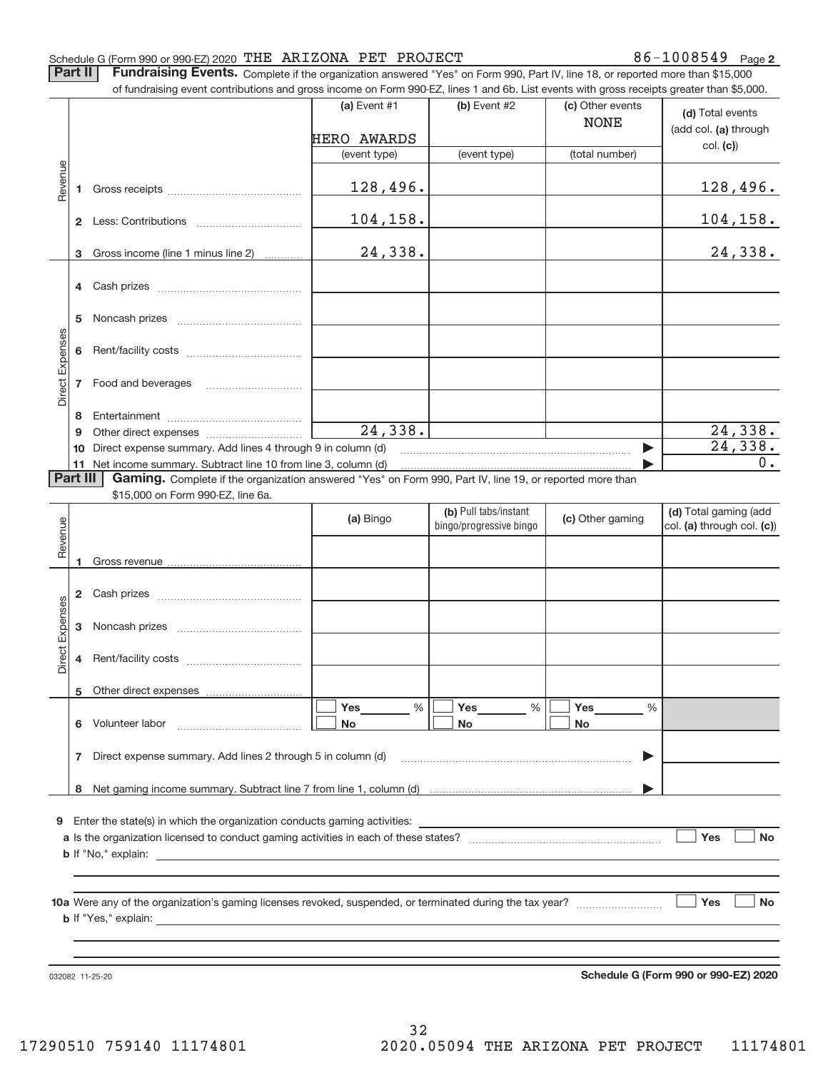86-1008549 Page 2

Part II | Fundraising Events. Complete if the organization answered "Yes" on Form 990, Part IV, line 18, or reported more than \$15,000 of fundraising event contributions and gross income on Form 990‐EZ, lines 1 and 6b. List events with gross receipts greater than \$5,000.

|                 |                | of fundraising event contributions and gross income on Form 990-EZ, lines T and 6D. List events with gross receipts greater than \$5,000. | (a) Event $#1$       | $(b)$ Event #2                                   | (c) Other events<br><b>NONE</b> | (d) Total events                                    |
|-----------------|----------------|-------------------------------------------------------------------------------------------------------------------------------------------|----------------------|--------------------------------------------------|---------------------------------|-----------------------------------------------------|
|                 |                |                                                                                                                                           | HERO AWARDS          |                                                  |                                 | (add col. (a) through                               |
|                 |                |                                                                                                                                           | (event type)         | (event type)                                     | (total number)                  | col. (c)                                            |
| Revenue         | 1.             |                                                                                                                                           | 128,496.             |                                                  |                                 | 128,496.                                            |
|                 |                |                                                                                                                                           | 104,158.             |                                                  |                                 | <u>104,158.</u>                                     |
|                 | 3              | Gross income (line 1 minus line 2)                                                                                                        | 24,338.              |                                                  |                                 | 24,338.                                             |
|                 | 4              |                                                                                                                                           |                      |                                                  |                                 |                                                     |
|                 | 5              |                                                                                                                                           |                      |                                                  |                                 |                                                     |
| Direct Expenses | 6              |                                                                                                                                           |                      |                                                  |                                 |                                                     |
|                 | $\overline{7}$ |                                                                                                                                           |                      |                                                  |                                 |                                                     |
|                 |                |                                                                                                                                           |                      |                                                  |                                 |                                                     |
|                 | 8<br>9         |                                                                                                                                           | 24,338.              |                                                  |                                 | 24,338.                                             |
|                 | 10             | Direct expense summary. Add lines 4 through 9 in column (d)                                                                               |                      |                                                  | ▶                               | 24,338.                                             |
|                 |                | 11 Net income summary. Subtract line 10 from line 3, column (d)                                                                           |                      |                                                  |                                 | 0.                                                  |
|                 | Part III       | Gaming. Complete if the organization answered "Yes" on Form 990, Part IV, line 19, or reported more than                                  |                      |                                                  |                                 |                                                     |
|                 |                | \$15,000 on Form 990-EZ, line 6a.                                                                                                         |                      |                                                  |                                 |                                                     |
| Revenue         |                |                                                                                                                                           | (a) Bingo            | (b) Pull tabs/instant<br>bingo/progressive bingo | (c) Other gaming                | (d) Total gaming (add<br>col. (a) through col. (c)) |
|                 | 1              |                                                                                                                                           |                      |                                                  |                                 |                                                     |
|                 | $\mathbf{2}$   |                                                                                                                                           |                      |                                                  |                                 |                                                     |
|                 | 3              |                                                                                                                                           |                      |                                                  |                                 |                                                     |
| Direct Expenses | 4              |                                                                                                                                           |                      |                                                  |                                 |                                                     |
|                 |                | 5 Other direct expenses                                                                                                                   |                      |                                                  |                                 |                                                     |
|                 |                |                                                                                                                                           | Yes<br>$\frac{0}{6}$ | Yes                                              | $\frac{0}{0}$<br>Yes<br>$\%$    |                                                     |
|                 | 6.             | Volunteer labor                                                                                                                           | No                   | No                                               | No                              |                                                     |
|                 | 7              | Direct expense summary. Add lines 2 through 5 in column (d)                                                                               |                      |                                                  | ▶                               |                                                     |
|                 |                |                                                                                                                                           |                      |                                                  |                                 |                                                     |
|                 |                |                                                                                                                                           |                      |                                                  |                                 |                                                     |
|                 |                | 9 Enter the state(s) in which the organization conducts gaming activities:                                                                |                      |                                                  |                                 |                                                     |
|                 |                |                                                                                                                                           |                      |                                                  |                                 | Yes<br><b>No</b>                                    |
|                 |                | <b>b</b> If "No," explain:                                                                                                                |                      |                                                  |                                 |                                                     |
|                 |                |                                                                                                                                           |                      |                                                  |                                 |                                                     |
|                 |                |                                                                                                                                           |                      |                                                  |                                 | $\vert$ Yes<br><b>No</b>                            |
|                 |                | <b>b</b> If "Yes," explain:                                                                                                               |                      |                                                  |                                 |                                                     |
|                 |                |                                                                                                                                           |                      |                                                  |                                 |                                                     |
|                 |                | 032082 11-25-20                                                                                                                           |                      |                                                  |                                 | Schedule G (Form 990 or 990-EZ) 2020                |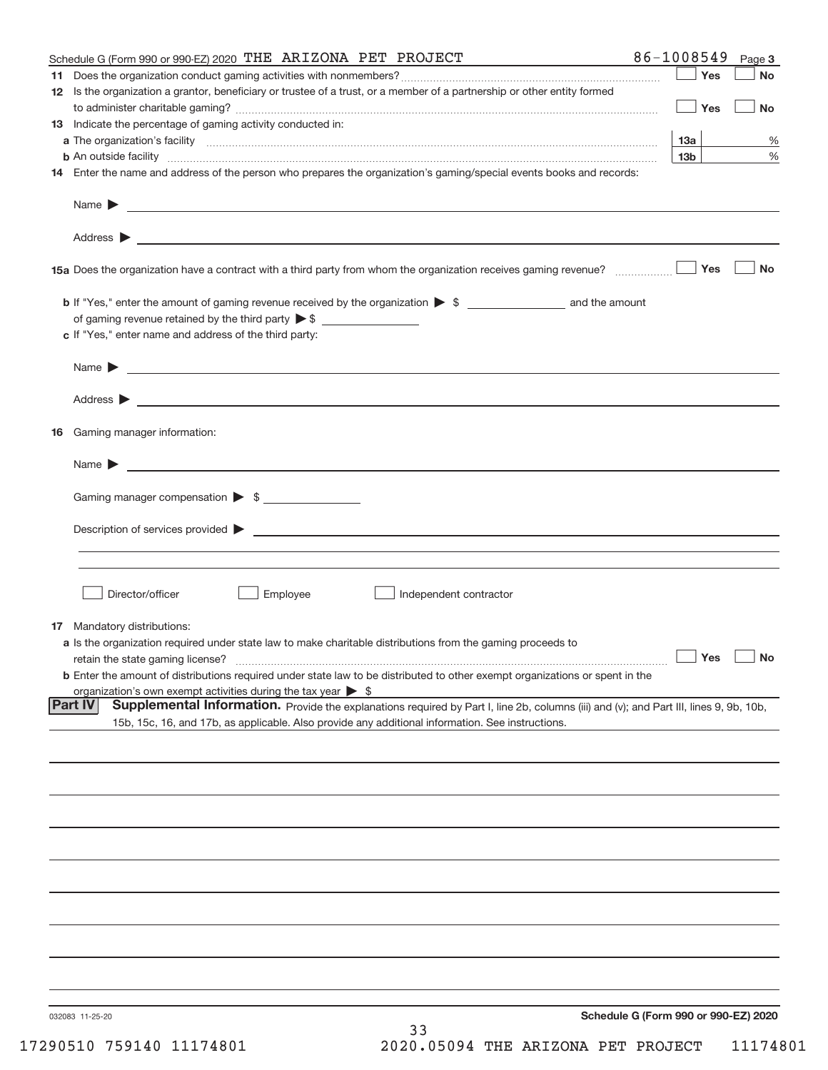| Schedule G (Form 990 or 990-EZ) 2020 THE ARIZONA PET PROJECT                                                                                                                                                                             | 86-1008549 |                 | Page 3               |
|------------------------------------------------------------------------------------------------------------------------------------------------------------------------------------------------------------------------------------------|------------|-----------------|----------------------|
|                                                                                                                                                                                                                                          |            | Yes             | No                   |
| 12 Is the organization a grantor, beneficiary or trustee of a trust, or a member of a partnership or other entity formed                                                                                                                 |            | Yes             | <b>No</b>            |
| 13 Indicate the percentage of gaming activity conducted in:                                                                                                                                                                              |            |                 |                      |
|                                                                                                                                                                                                                                          | 13a        |                 | ℅                    |
|                                                                                                                                                                                                                                          |            | 13 <sub>b</sub> | %                    |
| 14 Enter the name and address of the person who prepares the organization's gaming/special events books and records:                                                                                                                     |            |                 |                      |
|                                                                                                                                                                                                                                          |            |                 |                      |
|                                                                                                                                                                                                                                          |            |                 |                      |
|                                                                                                                                                                                                                                          |            | Yes             | <b>No</b>            |
|                                                                                                                                                                                                                                          |            |                 |                      |
|                                                                                                                                                                                                                                          |            |                 |                      |
| c If "Yes," enter name and address of the third party:                                                                                                                                                                                   |            |                 |                      |
|                                                                                                                                                                                                                                          |            |                 |                      |
|                                                                                                                                                                                                                                          |            |                 |                      |
| 16 Gaming manager information:                                                                                                                                                                                                           |            |                 |                      |
| Name $\sum_{n=1}^{\infty}$                                                                                                                                                                                                               |            |                 |                      |
| Gaming manager compensation > \$                                                                                                                                                                                                         |            |                 |                      |
|                                                                                                                                                                                                                                          |            |                 |                      |
| Description of services provided states and the contract of the contract of the contract of the contract of the contract of the contract of the contract of the contract of the contract of the contract of the contract of th           |            |                 |                      |
|                                                                                                                                                                                                                                          |            |                 |                      |
| Director/officer<br>Employee<br>Independent contractor                                                                                                                                                                                   |            |                 |                      |
| 17 Mandatory distributions:                                                                                                                                                                                                              |            |                 |                      |
| a Is the organization required under state law to make charitable distributions from the gaming proceeds to                                                                                                                              |            |                 |                      |
| retain the state gaming license?                                                                                                                                                                                                         |            |                 | $\Box$ Yes $\Box$ No |
| <b>b</b> Enter the amount of distributions required under state law to be distributed to other exempt organizations or spent in the                                                                                                      |            |                 |                      |
| organization's own exempt activities during the tax year $\triangleright$ \$<br><b>Part IV</b><br>Supplemental Information. Provide the explanations required by Part I, line 2b, columns (iii) and (v); and Part III, lines 9, 9b, 10b, |            |                 |                      |
| 15b, 15c, 16, and 17b, as applicable. Also provide any additional information. See instructions.                                                                                                                                         |            |                 |                      |
|                                                                                                                                                                                                                                          |            |                 |                      |
|                                                                                                                                                                                                                                          |            |                 |                      |
|                                                                                                                                                                                                                                          |            |                 |                      |
|                                                                                                                                                                                                                                          |            |                 |                      |
|                                                                                                                                                                                                                                          |            |                 |                      |
|                                                                                                                                                                                                                                          |            |                 |                      |
|                                                                                                                                                                                                                                          |            |                 |                      |
|                                                                                                                                                                                                                                          |            |                 |                      |
|                                                                                                                                                                                                                                          |            |                 |                      |
| Schedule G (Form 990 or 990-EZ) 2020<br>032083 11-25-20                                                                                                                                                                                  |            |                 |                      |
| 33                                                                                                                                                                                                                                       |            |                 |                      |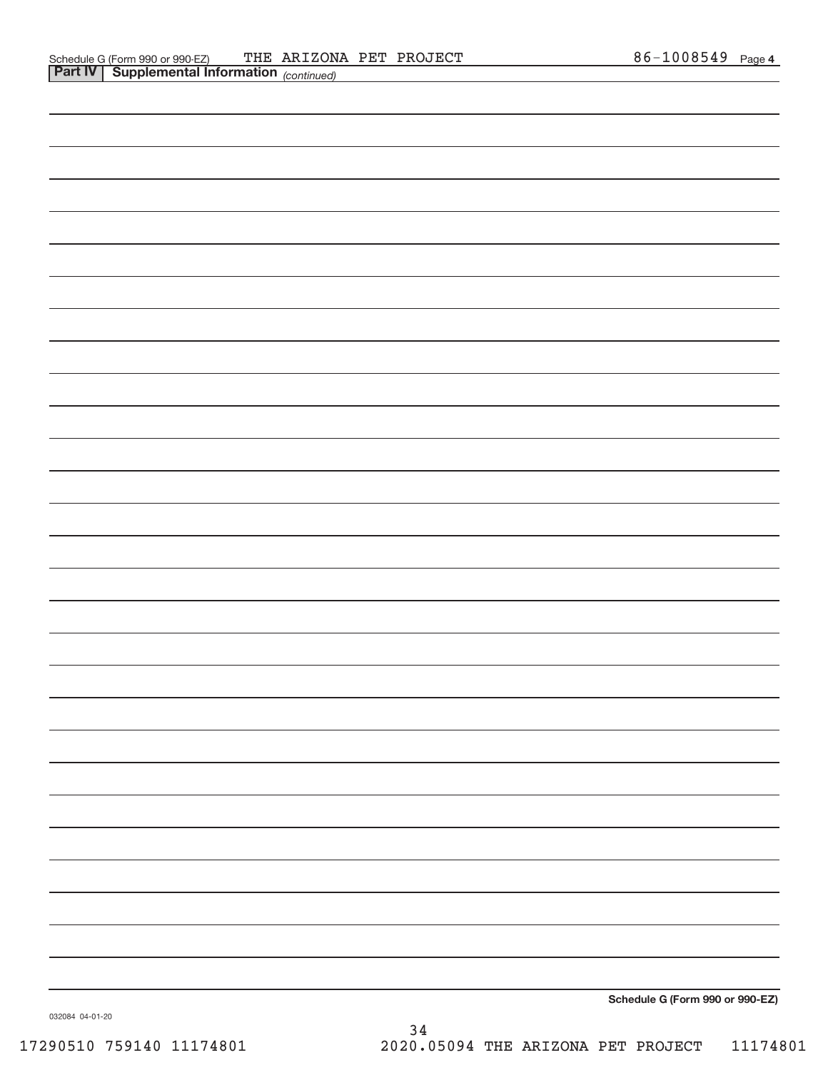**Schedule G (Form 990 or 990‐EZ)**

032084 04‐01‐20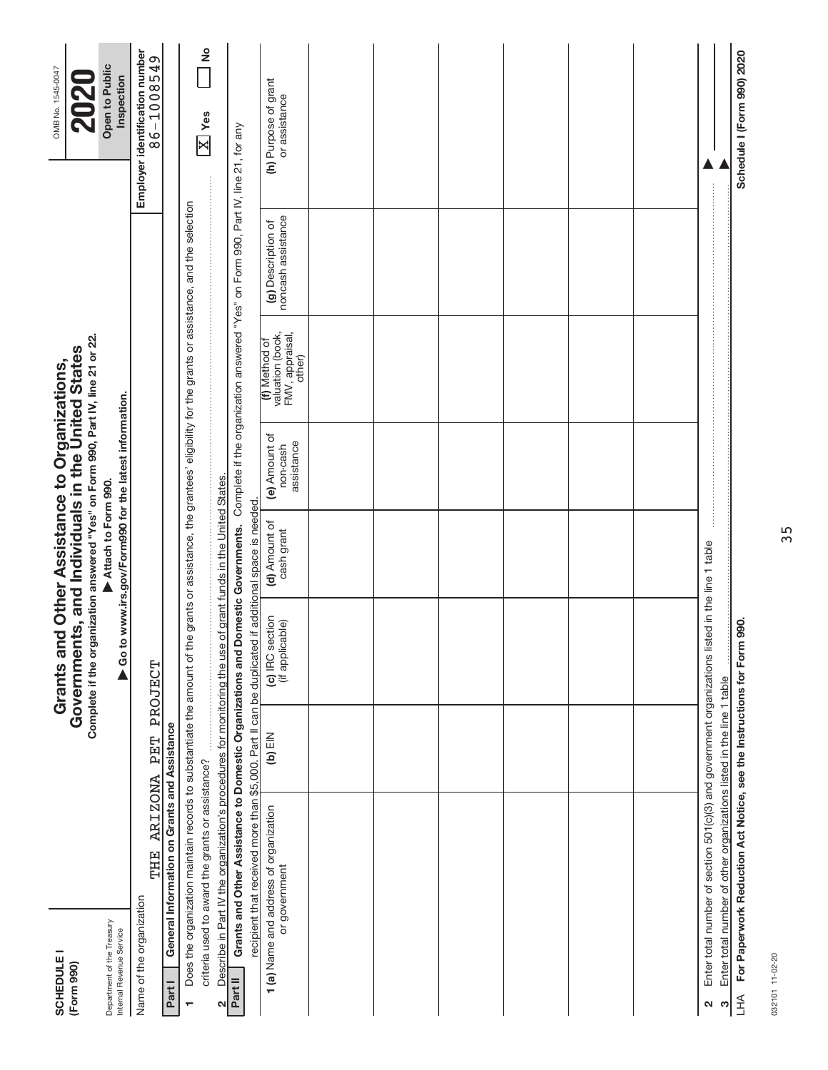| Department of the Treasury<br><b>SCHEDULE I</b><br>(Form 990) |                                                                                                                                                                                                                              |           | Complete if the organization answered "Yes" on Form 990, Part IV, line 21 or 22.<br>Governments, and Individuals in the United States<br>Grants and Other Assistance to Organizations, | Attach to Form 990.                                          |                                                         |                                                                |                                                                                    | Open to Public<br>OMB No. 1545-0047<br><b>2020</b> |
|---------------------------------------------------------------|------------------------------------------------------------------------------------------------------------------------------------------------------------------------------------------------------------------------------|-----------|----------------------------------------------------------------------------------------------------------------------------------------------------------------------------------------|--------------------------------------------------------------|---------------------------------------------------------|----------------------------------------------------------------|------------------------------------------------------------------------------------|----------------------------------------------------|
| Name of the organization<br>Internal Revenue Service          |                                                                                                                                                                                                                              |           |                                                                                                                                                                                        |                                                              | ▶ Go to www.irs.gov/Form990 for the latest information. |                                                                |                                                                                    | Employer identification number<br>Inspection       |
| Part I                                                        | General Information on Grants and Assistance<br><b>ARIZONA</b><br>THE                                                                                                                                                        | PET       | PROJECT                                                                                                                                                                                |                                                              |                                                         |                                                                |                                                                                    | 86-1008549                                         |
| ٣                                                             | Does the organization maintain records to substantiate the amount of the grants or assistance, the grantees' eligibility for the grants or assistance, and the selection<br>criteria used to award the grants or assistance? |           |                                                                                                                                                                                        |                                                              |                                                         |                                                                |                                                                                    | $\frac{1}{2}$<br>$\sqrt{\frac{X}{1}}$ Yes          |
| $\mathbf{\Omega}$                                             | Describe in Part IV the organization's procedures for monitoring the use of grant funds in the United States.                                                                                                                |           |                                                                                                                                                                                        |                                                              |                                                         |                                                                |                                                                                    |                                                    |
| Part II                                                       | Grants and Other Assistance to Domestic Organizations and Domestic Governments.                                                                                                                                              |           |                                                                                                                                                                                        |                                                              |                                                         |                                                                | Complete if the organization answered "Yes" on Form 990, Part IV, line 21, for any |                                                    |
|                                                               | recipient that received more than \$5,000. Part II can be duplicated<br>1 (a) Name and address of organization<br>or government                                                                                              | $(D)$ EIN | (c) IRC section<br>(if applicable)                                                                                                                                                     | if additional space is needed<br>(d) Amount of<br>cash grant | (e) Amount of<br>assistance<br>non-cash                 | (f) Method of<br>valuation (book,<br>FMV, appraisal,<br>other) | (g) Description of<br>noncash assistance                                           | (h) Purpose of grant<br>or assistance              |
|                                                               |                                                                                                                                                                                                                              |           |                                                                                                                                                                                        |                                                              |                                                         |                                                                |                                                                                    |                                                    |
|                                                               |                                                                                                                                                                                                                              |           |                                                                                                                                                                                        |                                                              |                                                         |                                                                |                                                                                    |                                                    |
|                                                               |                                                                                                                                                                                                                              |           |                                                                                                                                                                                        |                                                              |                                                         |                                                                |                                                                                    |                                                    |
|                                                               |                                                                                                                                                                                                                              |           |                                                                                                                                                                                        |                                                              |                                                         |                                                                |                                                                                    |                                                    |
|                                                               |                                                                                                                                                                                                                              |           |                                                                                                                                                                                        |                                                              |                                                         |                                                                |                                                                                    |                                                    |
|                                                               |                                                                                                                                                                                                                              |           |                                                                                                                                                                                        |                                                              |                                                         |                                                                |                                                                                    |                                                    |
| 2                                                             | Enter total number of section 501(c)(3) and government organizations listed in the line 1 table                                                                                                                              |           |                                                                                                                                                                                        |                                                              |                                                         |                                                                |                                                                                    |                                                    |
| H <sub>1</sub><br>က                                           | For Paperwork Reduction Act Notice, see the Instructions for Form 990.<br>Enter total number of other organizations listed in the line 1 table                                                                               |           |                                                                                                                                                                                        |                                                              |                                                         |                                                                |                                                                                    | Schedule I (Form 990) 2020                         |

032101 11-02-20 032101 11‐02‐20

35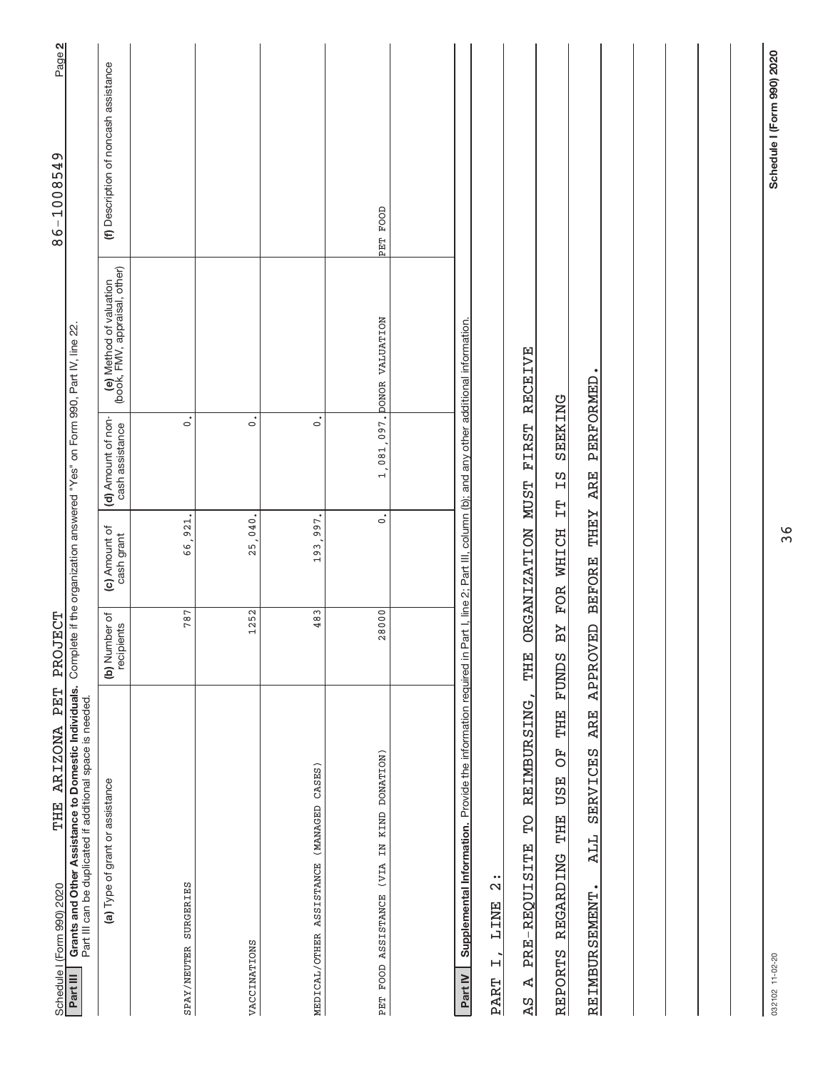| THE ARIZONA PET<br>Schedule I (Form 990) 2020                                                                                                                                                                     | PROJECT                     |                              |                                                                            |                                                          | Page 2<br>86-1008549                  |
|-------------------------------------------------------------------------------------------------------------------------------------------------------------------------------------------------------------------|-----------------------------|------------------------------|----------------------------------------------------------------------------|----------------------------------------------------------|---------------------------------------|
| Grants and Other Assistance to Domestic Individuals.<br>Part III can be duplicated if additional space is needed.<br>Part III                                                                                     |                             |                              | Complete if the organization answered "Yes" on Form 990, Part IV, line 22. |                                                          |                                       |
| (a) Type of grant or assistance                                                                                                                                                                                   | (b) Number of<br>recipients | (c) Amount of<br>cash grant  | (d) Amount of non-<br>cash assistance                                      | (e) Method of valuation<br>(book, FMV, appraisal, other) | (f) Description of noncash assistance |
| SPAY/NEUTER SURGERIES                                                                                                                                                                                             | 787                         | 66,921.                      | $\ddot{\circ}$                                                             |                                                          |                                       |
| VACCINATIONS                                                                                                                                                                                                      | 1252                        | 25,040.                      | $\dot{\circ}$                                                              |                                                          |                                       |
| MEDICAL/OTHER ASSISTANCE (MANAGED CASES)                                                                                                                                                                          | 483                         | 193,997.                     | $\circ$                                                                    |                                                          |                                       |
| PET FOOD ASSISTANCE (VIA IN KIND DONATION)                                                                                                                                                                        | 28000                       | $\dot{\circ}$                |                                                                            | 1,081,097. DONOR VALUATION                               | PET FOOD                              |
|                                                                                                                                                                                                                   |                             |                              |                                                                            |                                                          |                                       |
| Supplemental Information. Provide the information required in Part I, line 2; Part III, column (b); and any other additional information.<br>$\frac{1}{2}$<br><b>TINE</b><br>$\ddot{+}$<br>Part IV<br><b>PART</b> |                             |                              |                                                                            |                                                          |                                       |
| REIMBURSING<br>$\overline{P}$<br>PRE-REQUISITE<br>Ą<br>$\overline{5}$                                                                                                                                             | THE                         | ORGANIZATION MUST            | FIRST                                                                      | <b>RECEIVE</b>                                           |                                       |
| THE<br>F)<br>THE USE<br>REPORTS REGARDING                                                                                                                                                                         | ВY<br><b>FUNDS</b>          | FOR WHICH IT                 | SEEKING<br>ΣZ                                                              |                                                          |                                       |
| <b>ARE</b><br>SERVICES<br>ALL<br>REIMBURSEMENT                                                                                                                                                                    | <b>APPROVED</b>             | <b>LHEY</b><br><b>BEFORE</b> | <b>PERFORMED</b><br><b>ARE</b>                                             |                                                          |                                       |
|                                                                                                                                                                                                                   |                             |                              |                                                                            |                                                          |                                       |
|                                                                                                                                                                                                                   |                             |                              |                                                                            |                                                          |                                       |
|                                                                                                                                                                                                                   |                             |                              |                                                                            |                                                          |                                       |
|                                                                                                                                                                                                                   |                             |                              |                                                                            |                                                          |                                       |
| 032102 11-02-20                                                                                                                                                                                                   |                             |                              |                                                                            |                                                          | Schedule I (Form 990) 2020            |

36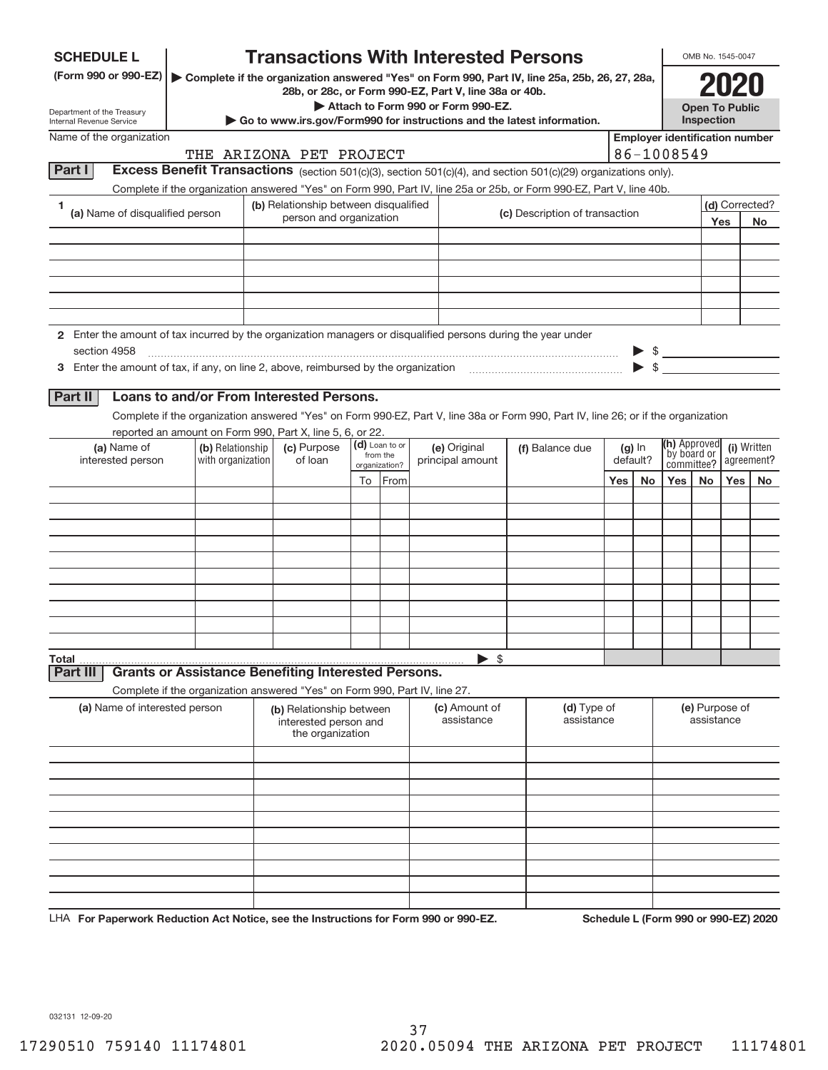| <b>Transactions With Interested Persons</b><br><b>SCHEDULE L</b>                                                                                                                                                 |                             | OMB No. 1545-0047            |                           |
|------------------------------------------------------------------------------------------------------------------------------------------------------------------------------------------------------------------|-----------------------------|------------------------------|---------------------------|
| (Form 990 or 990-EZ)   Complete if the organization answered "Yes" on Form 990, Part IV, line 25a, 25b, 26, 27, 28a,                                                                                             |                             |                              |                           |
| 28b, or 28c, or Form 990-EZ, Part V, line 38a or 40b.<br>Attach to Form 990 or Form 990-EZ.                                                                                                                      |                             | <b>Open To Public</b>        |                           |
| Department of the Treasury<br>Go to www.irs.gov/Form990 for instructions and the latest information.<br>Internal Revenue Service                                                                                 | Inspection                  |                              |                           |
| <b>Employer identification number</b><br>Name of the organization                                                                                                                                                |                             |                              |                           |
| 86-1008549<br>THE ARIZONA PET PROJECT<br><b>Excess Benefit Transactions</b> (section 501(c)(3), section 501(c)(4), and section 501(c)(29) organizations only).<br>Part I                                         |                             |                              |                           |
| Complete if the organization answered "Yes" on Form 990, Part IV, line 25a or 25b, or Form 990-EZ, Part V, line 40b.                                                                                             |                             |                              |                           |
| (b) Relationship between disqualified<br>1<br>(a) Name of disqualified person<br>(c) Description of transaction                                                                                                  |                             |                              | (d) Corrected?            |
| person and organization                                                                                                                                                                                          |                             | Yes                          | No                        |
|                                                                                                                                                                                                                  |                             |                              |                           |
|                                                                                                                                                                                                                  |                             |                              |                           |
|                                                                                                                                                                                                                  |                             |                              |                           |
|                                                                                                                                                                                                                  |                             |                              |                           |
| 2 Enter the amount of tax incurred by the organization managers or disqualified persons during the year under                                                                                                    |                             |                              |                           |
| section 4958                                                                                                                                                                                                     | $\frac{1}{2}$               |                              |                           |
|                                                                                                                                                                                                                  |                             |                              |                           |
| Loans to and/or From Interested Persons.<br>Part II                                                                                                                                                              |                             |                              |                           |
| Complete if the organization answered "Yes" on Form 990-EZ, Part V, line 38a or Form 990, Part IV, line 26; or if the organization                                                                               |                             |                              |                           |
| reported an amount on Form 990, Part X, line 5, 6, or 22.                                                                                                                                                        |                             |                              |                           |
| (d) Loan to or<br>(c) Purpose<br>(a) Name of<br>(b) Relationship<br>(e) Original<br>(f) Balance due<br>$(g)$ In<br>from the<br>interested person<br>with organization<br>of loan<br>principal amount<br>default? | (h) Approved<br>by board or |                              | (i) Written<br>agreement? |
| organization?<br>To From<br>Yes<br>No                                                                                                                                                                            | committee?<br>Yes  <br>No   | Yes l                        | No                        |
|                                                                                                                                                                                                                  |                             |                              |                           |
|                                                                                                                                                                                                                  |                             |                              |                           |
|                                                                                                                                                                                                                  |                             |                              |                           |
|                                                                                                                                                                                                                  |                             |                              |                           |
|                                                                                                                                                                                                                  |                             |                              |                           |
|                                                                                                                                                                                                                  |                             |                              |                           |
|                                                                                                                                                                                                                  |                             |                              |                           |
|                                                                                                                                                                                                                  |                             |                              |                           |
| $\blacktriangleright$ \$<br>Total                                                                                                                                                                                |                             |                              |                           |
| <b>Grants or Assistance Benefiting Interested Persons.</b><br>Part III                                                                                                                                           |                             |                              |                           |
| Complete if the organization answered "Yes" on Form 990, Part IV, line 27.                                                                                                                                       |                             |                              |                           |
| (a) Name of interested person<br>(c) Amount of<br>(d) Type of<br>(b) Relationship between<br>assistance<br>assistance<br>interested person and<br>the organization                                               |                             | (e) Purpose of<br>assistance |                           |
|                                                                                                                                                                                                                  |                             |                              |                           |
|                                                                                                                                                                                                                  |                             |                              |                           |
|                                                                                                                                                                                                                  |                             |                              |                           |
|                                                                                                                                                                                                                  |                             |                              |                           |
|                                                                                                                                                                                                                  |                             |                              |                           |
|                                                                                                                                                                                                                  |                             |                              |                           |
|                                                                                                                                                                                                                  |                             |                              |                           |
|                                                                                                                                                                                                                  |                             |                              |                           |

**For Paperwork Reduction Act Notice, see the Instructions for Form 990 or 990‐EZ. Schedule L (Form 990 or 990‐EZ) 2020** LHA

032131 12‐09‐20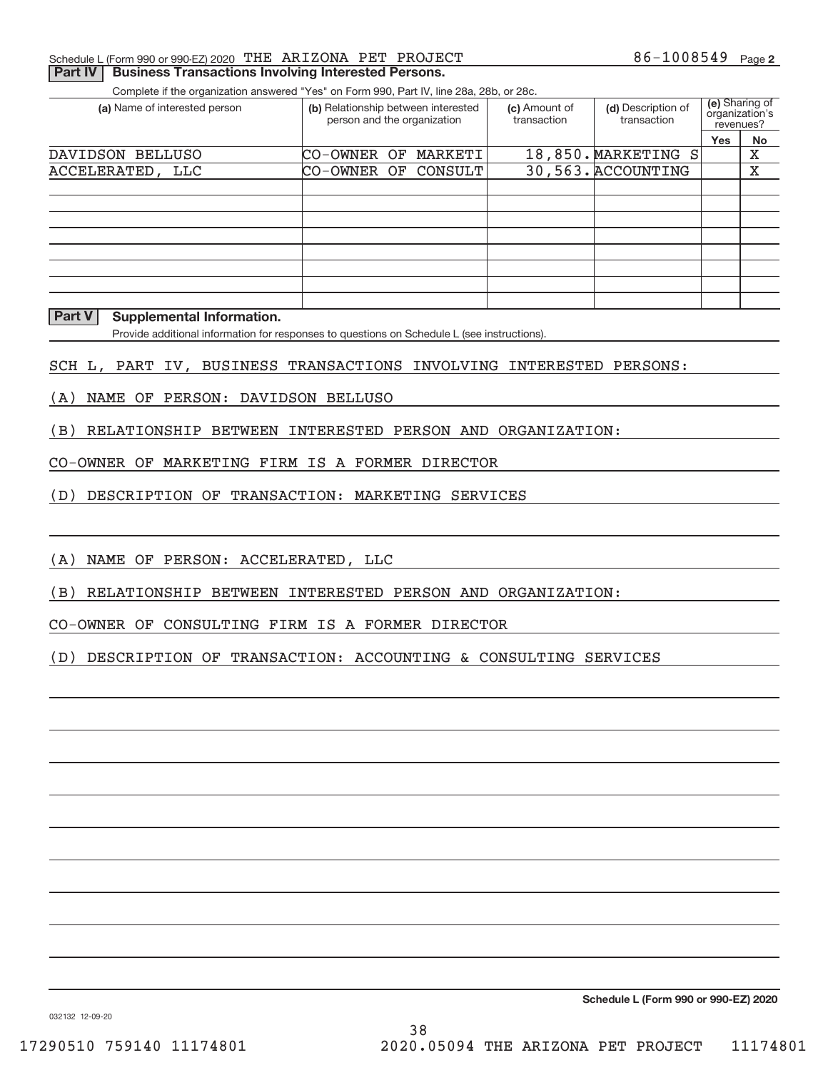# Schedule L (Form 990 or 990-EZ) 2020 「THE ARIZONA PET PROJECT トランドのコンピュータのコンピュータのコンピュータのコンピュータのコンピュータ

# **Part IV | Business Transactions Involving Interested Persons.**

Complete if the organization answered "Yes" on Form 990, Part IV, line 28a, 28b, or 28c.

| (a) Name of interested person | (b) Relationship between interested<br>person and the organization |  | (c) Amount of<br>transaction | (d) Description of<br>transaction | (e) Sharing of<br>organization's<br>revenues? |     |    |
|-------------------------------|--------------------------------------------------------------------|--|------------------------------|-----------------------------------|-----------------------------------------------|-----|----|
|                               |                                                                    |  |                              |                                   |                                               | Yes | No |
| DAVIDSON BELLUSO              | CO-OWNER OF MARKETI                                                |  |                              |                                   | 18,850. MARKETING S                           |     | х  |
| ACCELERATED, LLC              | CO-OWNER OF CONSULT                                                |  |                              |                                   | 30,563. ACCOUNTING                            |     | х  |
|                               |                                                                    |  |                              |                                   |                                               |     |    |
|                               |                                                                    |  |                              |                                   |                                               |     |    |
|                               |                                                                    |  |                              |                                   |                                               |     |    |
|                               |                                                                    |  |                              |                                   |                                               |     |    |
|                               |                                                                    |  |                              |                                   |                                               |     |    |
|                               |                                                                    |  |                              |                                   |                                               |     |    |
|                               |                                                                    |  |                              |                                   |                                               |     |    |
|                               |                                                                    |  |                              |                                   |                                               |     |    |

#### **Part V Supplemental Information.**

Provide additional information for responses to questions on Schedule L (see instructions).

#### SCH L, PART IV, BUSINESS TRANSACTIONS INVOLVING INTERESTED PERSONS:

- (A) NAME OF PERSON: DAVIDSON BELLUSO
- (B) RELATIONSHIP BETWEEN INTERESTED PERSON AND ORGANIZATION:

## CO‐OWNER OF MARKETING FIRM IS A FORMER DIRECTOR

(D) DESCRIPTION OF TRANSACTION: MARKETING SERVICES

(A) NAME OF PERSON: ACCELERATED, LLC

(B) RELATIONSHIP BETWEEN INTERESTED PERSON AND ORGANIZATION:

CO‐OWNER OF CONSULTING FIRM IS A FORMER DIRECTOR

(D) DESCRIPTION OF TRANSACTION: ACCOUNTING & CONSULTING SERVICES

**Schedule L (Form 990 or 990‐EZ) 2020**

032132 12‐09‐20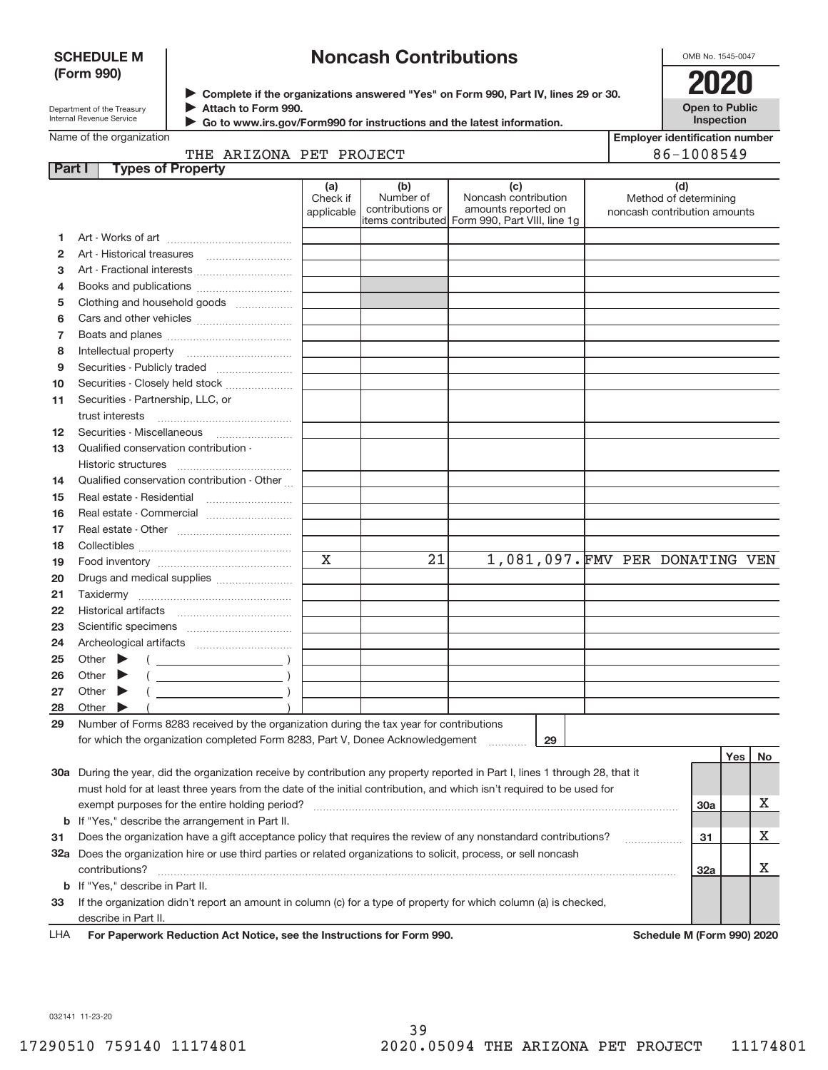# **SCHEDULE M (Form 990)**

# **Noncash Contributions**

OMB No. 1545‐0047

| Department of the Treasury |
|----------------------------|
| Internal Revenue Service   |

**Complete if the organizations answered "Yes" on Form 990, Part IV, lines 29 or 30.** <sup>J</sup>**2020 Attach to Form 990.** J

**Open to Public Inspection**

|  | Name of the organization |
|--|--------------------------|

 **Go to www.irs.gov/Form990 for instructions and the latest information.** J

|        | Name of the organization                                                                                                            |                               |                                      |                                                                                                      |                                 | <b>Employer identification number</b> |     |    |  |
|--------|-------------------------------------------------------------------------------------------------------------------------------------|-------------------------------|--------------------------------------|------------------------------------------------------------------------------------------------------|---------------------------------|---------------------------------------|-----|----|--|
| Part I | THE ARIZONA PET PROJECT<br><b>Types of Property</b>                                                                                 |                               | 86-1008549                           |                                                                                                      |                                 |                                       |     |    |  |
|        |                                                                                                                                     | (a)<br>Check if<br>applicable | (b)<br>Number of<br>contributions or | (c)<br>Noncash contribution<br>amounts reported on<br>items contributed Form 990, Part VIII, line 1g | noncash contribution amounts    | (d)<br>Method of determining          |     |    |  |
| 1.     |                                                                                                                                     |                               |                                      |                                                                                                      |                                 |                                       |     |    |  |
| 2      |                                                                                                                                     |                               |                                      |                                                                                                      |                                 |                                       |     |    |  |
| 3      | Art - Fractional interests                                                                                                          |                               |                                      |                                                                                                      |                                 |                                       |     |    |  |
| 4      |                                                                                                                                     |                               |                                      |                                                                                                      |                                 |                                       |     |    |  |
| 5      | Clothing and household goods                                                                                                        |                               |                                      |                                                                                                      |                                 |                                       |     |    |  |
| 6      |                                                                                                                                     |                               |                                      |                                                                                                      |                                 |                                       |     |    |  |
| 7      |                                                                                                                                     |                               |                                      |                                                                                                      |                                 |                                       |     |    |  |
| 8      |                                                                                                                                     |                               |                                      |                                                                                                      |                                 |                                       |     |    |  |
| 9      |                                                                                                                                     |                               |                                      |                                                                                                      |                                 |                                       |     |    |  |
| 10     | Securities - Closely held stock                                                                                                     |                               |                                      |                                                                                                      |                                 |                                       |     |    |  |
| 11     | Securities - Partnership, LLC, or                                                                                                   |                               |                                      |                                                                                                      |                                 |                                       |     |    |  |
|        | trust interests                                                                                                                     |                               |                                      |                                                                                                      |                                 |                                       |     |    |  |
| 12     |                                                                                                                                     |                               |                                      |                                                                                                      |                                 |                                       |     |    |  |
| 13     | Qualified conservation contribution -                                                                                               |                               |                                      |                                                                                                      |                                 |                                       |     |    |  |
|        | Historic structures                                                                                                                 |                               |                                      |                                                                                                      |                                 |                                       |     |    |  |
| 14     | Qualified conservation contribution - Other                                                                                         |                               |                                      |                                                                                                      |                                 |                                       |     |    |  |
| 15     |                                                                                                                                     |                               |                                      |                                                                                                      |                                 |                                       |     |    |  |
| 16     | Real estate - Commercial                                                                                                            |                               |                                      |                                                                                                      |                                 |                                       |     |    |  |
| 17     |                                                                                                                                     |                               |                                      |                                                                                                      |                                 |                                       |     |    |  |
| 18     |                                                                                                                                     |                               |                                      |                                                                                                      |                                 |                                       |     |    |  |
| 19     |                                                                                                                                     | $\mathbf x$                   | 21                                   |                                                                                                      | 1,081,097. FMV PER DONATING VEN |                                       |     |    |  |
| 20     | Drugs and medical supplies                                                                                                          |                               |                                      |                                                                                                      |                                 |                                       |     |    |  |
| 21     |                                                                                                                                     |                               |                                      |                                                                                                      |                                 |                                       |     |    |  |
| 22     |                                                                                                                                     |                               |                                      |                                                                                                      |                                 |                                       |     |    |  |
| 23     |                                                                                                                                     |                               |                                      |                                                                                                      |                                 |                                       |     |    |  |
| 24     |                                                                                                                                     |                               |                                      |                                                                                                      |                                 |                                       |     |    |  |
| 25     | Other $\blacktriangleright$<br>$($ $)$                                                                                              |                               |                                      |                                                                                                      |                                 |                                       |     |    |  |
| 26     | Other $\blacktriangleright$                                                                                                         |                               |                                      |                                                                                                      |                                 |                                       |     |    |  |
| 27     | Other $\blacktriangleright$                                                                                                         |                               |                                      |                                                                                                      |                                 |                                       |     |    |  |
| 28     | Other                                                                                                                               |                               |                                      |                                                                                                      |                                 |                                       |     |    |  |
| 29     | Number of Forms 8283 received by the organization during the tax year for contributions                                             |                               |                                      |                                                                                                      |                                 |                                       |     |    |  |
|        | for which the organization completed Form 8283, Part V, Donee Acknowledgement                                                       |                               |                                      | 29                                                                                                   |                                 |                                       |     |    |  |
|        |                                                                                                                                     |                               |                                      |                                                                                                      |                                 |                                       | Yes | No |  |
|        | 30a During the year, did the organization receive by contribution any property reported in Part I, lines 1 through 28, that it      |                               |                                      |                                                                                                      |                                 |                                       |     |    |  |
|        | must hold for at least three years from the date of the initial contribution, and which isn't required to be used for               |                               |                                      |                                                                                                      |                                 |                                       |     |    |  |
|        |                                                                                                                                     |                               |                                      |                                                                                                      |                                 | 30a                                   |     | X  |  |
|        | <b>b</b> If "Yes," describe the arrangement in Part II.                                                                             |                               |                                      |                                                                                                      |                                 | 31                                    |     |    |  |
| 31     | Does the organization have a gift acceptance policy that requires the review of any nonstandard contributions?                      |                               |                                      |                                                                                                      |                                 |                                       |     | X  |  |
|        | 32a Does the organization hire or use third parties or related organizations to solicit, process, or sell noncash<br>contributions? |                               |                                      |                                                                                                      |                                 | 32a                                   |     | Х  |  |
|        | <b>b</b> If "Yes," describe in Part II.                                                                                             |                               |                                      |                                                                                                      |                                 |                                       |     |    |  |
| 33     | If the organization didn't report an amount in column (c) for a type of property for which column (a) is checked,                   |                               |                                      |                                                                                                      |                                 |                                       |     |    |  |
|        | describe in Part II.                                                                                                                |                               |                                      |                                                                                                      |                                 |                                       |     |    |  |
| LHA    | For Paperwork Reduction Act Notice, see the Instructions for Form 990.                                                              |                               |                                      |                                                                                                      |                                 | Schedule M (Form 990) 2020            |     |    |  |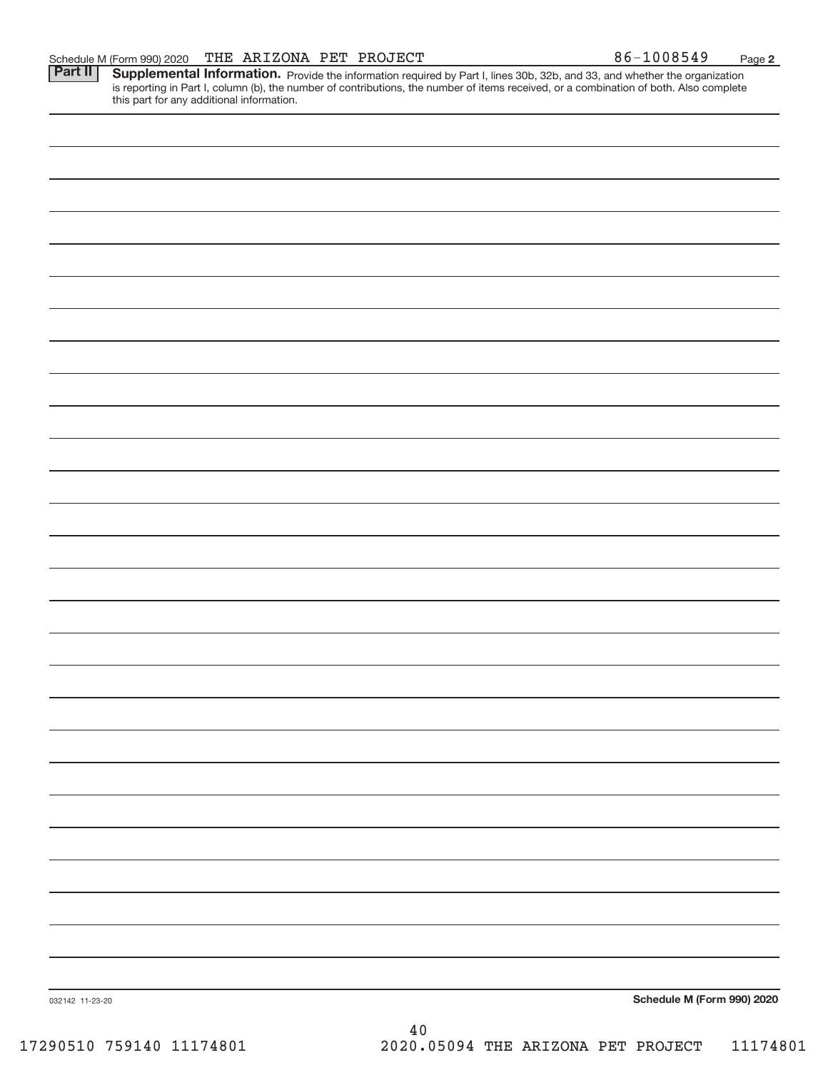Part II | Supplemental Information. Provide the information required by Part I, lines 30b, 32b, and 33, and whether the organization is reporting in Part I, column (b), the number of contributions, the number of items received, or a combination of both. Also complete this part for any additional information.

032142 11‐23‐20 **Schedule M (Form 990) 2020** 40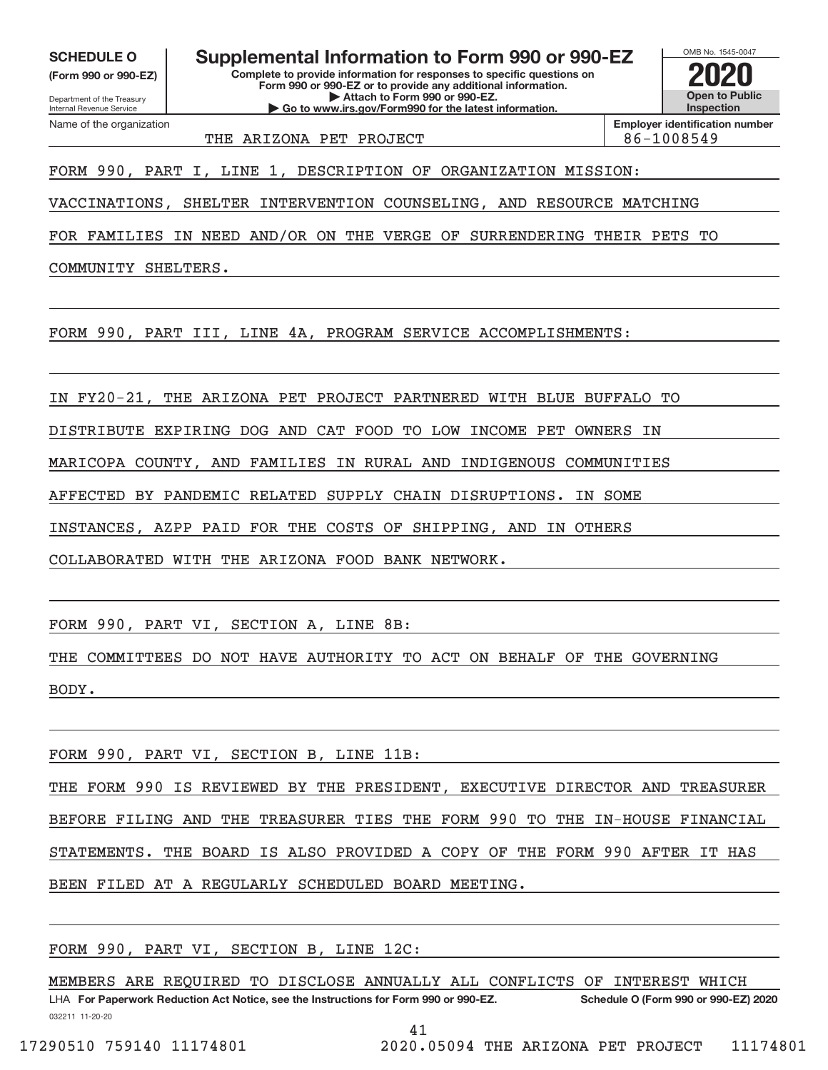**(Form 990 or 990‐EZ)**

Department of the Treasury Internal Revenue Service Name of the organization

**SCHEDULE O Supplemental Information to Form 990 or 990‐EZ 2020**

**Complete to provide information for responses to specific questions on Form 990 or 990‐EZ or to provide any additional information. | Attach to Form 990 or 990‐EZ. | Go to www.irs.gov/Form990 for the latest information.**



THE ARIZONA PET PROJECT REALLY ASSESSED ASSESSED.

**Employer identification number**

FORM 990, PART I, LINE 1, DESCRIPTION OF ORGANIZATION MISSION:

VACCINATIONS, SHELTER INTERVENTION COUNSELING, AND RESOURCE MATCHING

FOR FAMILIES IN NEED AND/OR ON THE VERGE OF SURRENDERING THEIR PETS TO

COMMUNITY SHELTERS.

FORM 990, PART III, LINE 4A, PROGRAM SERVICE ACCOMPLISHMENTS:

IN FY20‐21, THE ARIZONA PET PROJECT PARTNERED WITH BLUE BUFFALO TO

DISTRIBUTE EXPIRING DOG AND CAT FOOD TO LOW INCOME PET OWNERS IN

MARICOPA COUNTY, AND FAMILIES IN RURAL AND INDIGENOUS COMMUNITIES

AFFECTED BY PANDEMIC RELATED SUPPLY CHAIN DISRUPTIONS. IN SOME

INSTANCES, AZPP PAID FOR THE COSTS OF SHIPPING, AND IN OTHERS

COLLABORATED WITH THE ARIZONA FOOD BANK NETWORK.

FORM 990, PART VI, SECTION A, LINE 8B:

THE COMMITTEES DO NOT HAVE AUTHORITY TO ACT ON BEHALF OF THE GOVERNING

BODY.

FORM 990, PART VI, SECTION B, LINE 11B:

THE FORM 990 IS REVIEWED BY THE PRESIDENT, EXECUTIVE DIRECTOR AND TREASURER BEFORE FILING AND THE TREASURER TIES THE FORM 990 TO THE IN-HOUSE FINANCIAL STATEMENTS. THE BOARD IS ALSO PROVIDED A COPY OF THE FORM 990 AFTER IT HAS BEEN FILED AT A REGULARLY SCHEDULED BOARD MEETING.

FORM 990, PART VI, SECTION B, LINE 12C:

032211 11‐20‐20 **For Paperwork Reduction Act Notice, see the Instructions for Form 990 or 990‐EZ. Schedule O (Form 990 or 990‐EZ) 2020** LHA MEMBERS ARE REQUIRED TO DISCLOSE ANNUALLY ALL CONFLICTS OF INTEREST WHICH

41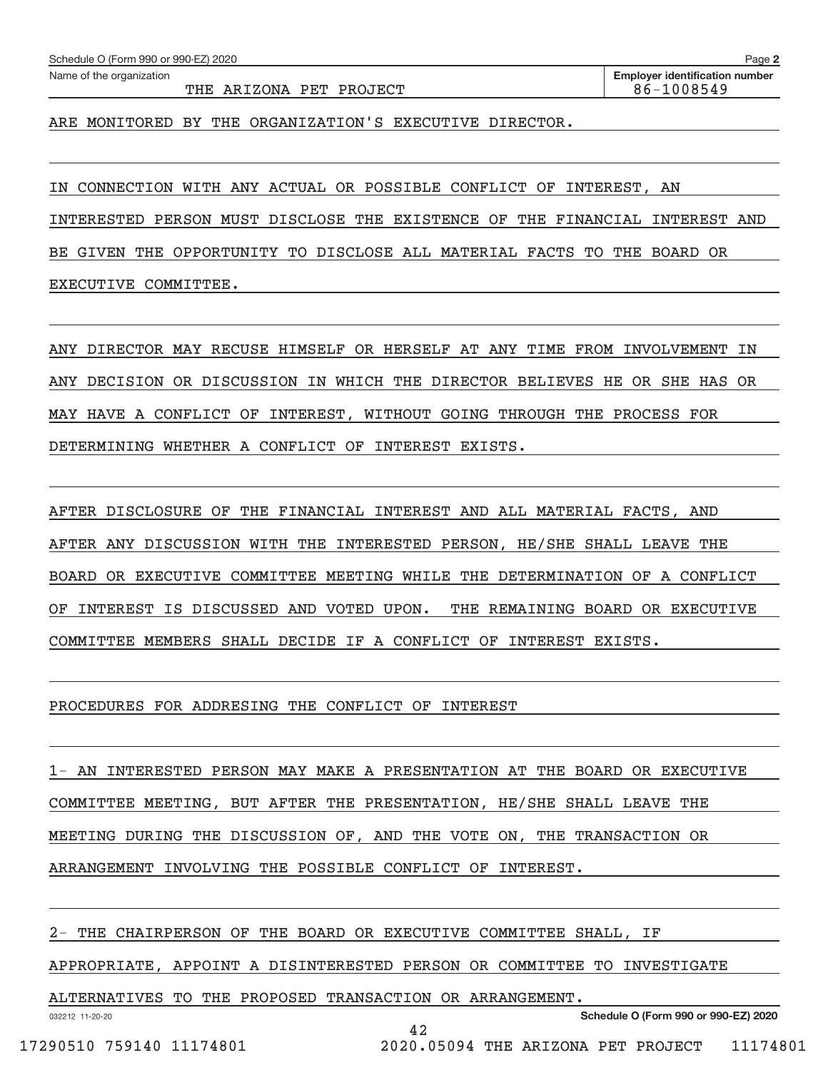Name of the organization

**Employer identification number**

ARE MONITORED BY THE ORGANIZATION'S EXECUTIVE DIRECTOR.

IN CONNECTION WITH ANY ACTUAL OR POSSIBLE CONFLICT OF INTEREST, AN

INTERESTED PERSON MUST DISCLOSE THE EXISTENCE OF THE FINANCIAL INTEREST AND

BE GIVEN THE OPPORTUNITY TO DISCLOSE ALL MATERIAL FACTS TO THE BOARD OR EXECUTIVE COMMITTEE.

ANY DIRECTOR MAY RECUSE HIMSELF OR HERSELF AT ANY TIME FROM INVOLVEMENT IN ANY DECISION OR DISCUSSION IN WHICH THE DIRECTOR BELIEVES HE OR SHE HAS OR MAY HAVE A CONFLICT OF INTEREST, WITHOUT GOING THROUGH THE PROCESS FOR DETERMINING WHETHER A CONFLICT OF INTEREST EXISTS.

AFTER DISCLOSURE OF THE FINANCIAL INTEREST AND ALL MATERIAL FACTS, AND AFTER ANY DISCUSSION WITH THE INTERESTED PERSON, HE/SHE SHALL LEAVE THE BOARD OR EXECUTIVE COMMITTEE MEETING WHILE THE DETERMINATION OF A CONFLICT OF INTEREST IS DISCUSSED AND VOTED UPON. THE REMAINING BOARD OR EXECUTIVE COMMITTEE MEMBERS SHALL DECIDE IF A CONFLICT OF INTEREST EXISTS.

PROCEDURES FOR ADDRESING THE CONFLICT OF INTEREST

1‐ AN INTERESTED PERSON MAY MAKE A PRESENTATION AT THE BOARD OR EXECUTIVE COMMITTEE MEETING, BUT AFTER THE PRESENTATION, HE/SHE SHALL LEAVE THE MEETING DURING THE DISCUSSION OF, AND THE VOTE ON, THE TRANSACTION OR ARRANGEMENT INVOLVING THE POSSIBLE CONFLICT OF INTEREST.

2‐ THE CHAIRPERSON OF THE BOARD OR EXECUTIVE COMMITTEE SHALL, IF

APPROPRIATE, APPOINT A DISINTERESTED PERSON OR COMMITTEE TO INVESTIGATE

ALTERNATIVES TO THE PROPOSED TRANSACTION OR ARRANGEMENT.

032212 11‐20‐20

**Schedule O (Form 990 or 990‐EZ) 2020**

42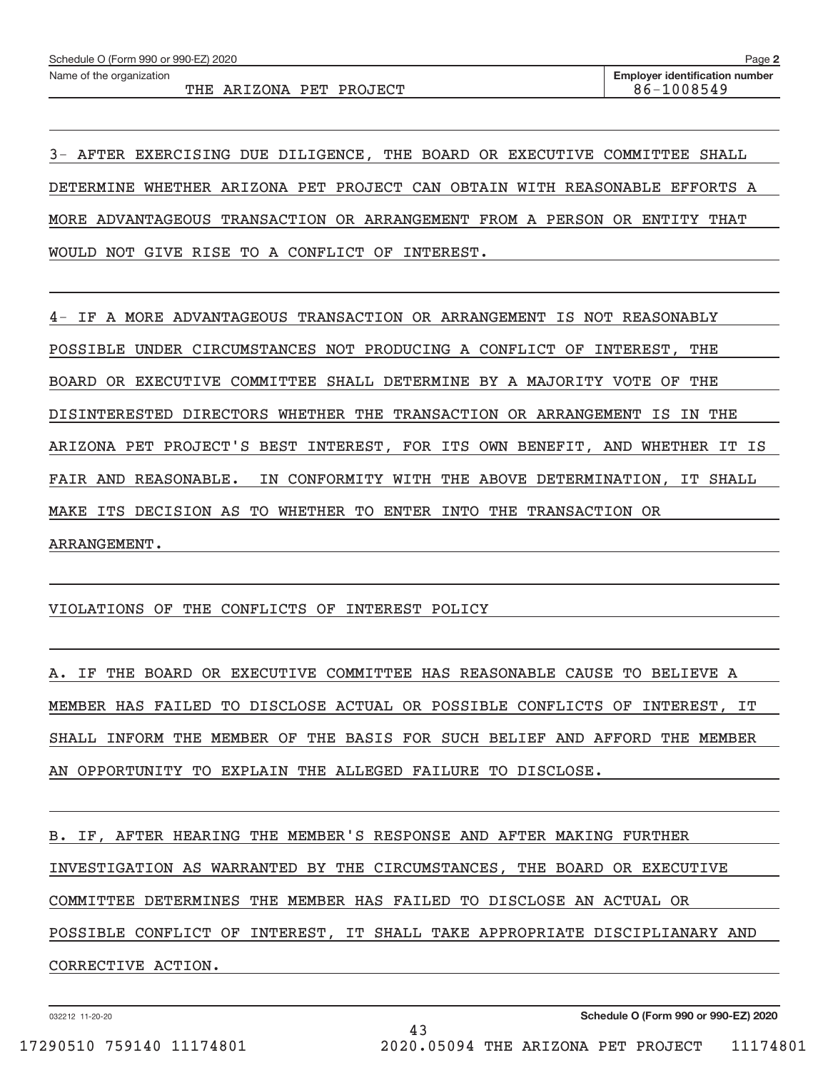Name of the organization

THE ARIZONA PET PROJECT 86‐1008549

3‐ AFTER EXERCISING DUE DILIGENCE, THE BOARD OR EXECUTIVE COMMITTEE SHALL DETERMINE WHETHER ARIZONA PET PROJECT CAN OBTAIN WITH REASONABLE EFFORTS A MORE ADVANTAGEOUS TRANSACTION OR ARRANGEMENT FROM A PERSON OR ENTITY THAT WOULD NOT GIVE RISE TO A CONFLICT OF INTEREST.

4‐ IF A MORE ADVANTAGEOUS TRANSACTION OR ARRANGEMENT IS NOT REASONABLY POSSIBLE UNDER CIRCUMSTANCES NOT PRODUCING A CONFLICT OF INTEREST, THE BOARD OR EXECUTIVE COMMITTEE SHALL DETERMINE BY A MAJORITY VOTE OF THE DISINTERESTED DIRECTORS WHETHER THE TRANSACTION OR ARRANGEMENT IS IN THE ARIZONA PET PROJECT'S BEST INTEREST, FOR ITS OWN BENEFIT, AND WHETHER IT IS FAIR AND REASONABLE. IN CONFORMITY WITH THE ABOVE DETERMINATION, IT SHALL MAKE ITS DECISION AS TO WHETHER TO ENTER INTO THE TRANSACTION OR ARRANGEMENT.

# VIOLATIONS OF THE CONFLICTS OF INTEREST POLICY

A. IF THE BOARD OR EXECUTIVE COMMITTEE HAS REASONABLE CAUSE TO BELIEVE A MEMBER HAS FAILED TO DISCLOSE ACTUAL OR POSSIBLE CONFLICTS OF INTEREST, IT SHALL INFORM THE MEMBER OF THE BASIS FOR SUCH BELIEF AND AFFORD THE MEMBER AN OPPORTUNITY TO EXPLAIN THE ALLEGED FAILURE TO DISCLOSE.

B. IF, AFTER HEARING THE MEMBER'S RESPONSE AND AFTER MAKING FURTHER INVESTIGATION AS WARRANTED BY THE CIRCUMSTANCES, THE BOARD OR EXECUTIVE COMMITTEE DETERMINES THE MEMBER HAS FAILED TO DISCLOSE AN ACTUAL OR POSSIBLE CONFLICT OF INTEREST, IT SHALL TAKE APPROPRIATE DISCIPLIANARY AND CORRECTIVE ACTION.

43

032212 11‐20‐20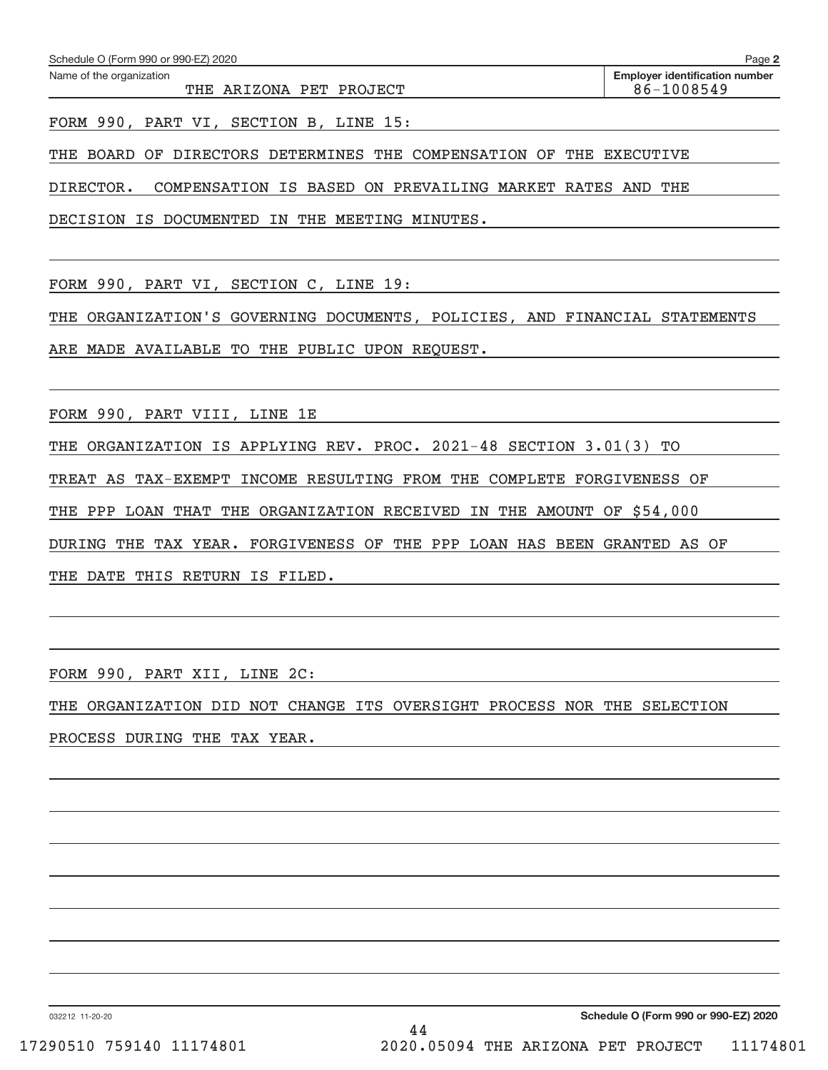Name of the organization

FORM 990, PART VI, SECTION B, LINE 15:

THE BOARD OF DIRECTORS DETERMINES THE COMPENSATION OF THE EXECUTIVE

DIRECTOR. COMPENSATION IS BASED ON PREVAILING MARKET RATES AND THE

DECISION IS DOCUMENTED IN THE MEETING MINUTES.

FORM 990, PART VI, SECTION C, LINE 19:

THE ORGANIZATION'S GOVERNING DOCUMENTS, POLICIES, AND FINANCIAL STATEMENTS

ARE MADE AVAILABLE TO THE PUBLIC UPON REQUEST.

FORM 990, PART VIII, LINE 1E

THE ORGANIZATION IS APPLYING REV. PROC. 2021-48 SECTION 3.01(3) TO

TREAT AS TAX‐EXEMPT INCOME RESULTING FROM THE COMPLETE FORGIVENESS OF

THE PPP LOAN THAT THE ORGANIZATION RECEIVED IN THE AMOUNT OF \$54,000

DURING THE TAX YEAR. FORGIVENESS OF THE PPP LOAN HAS BEEN GRANTED AS OF

THE DATE THIS RETURN IS FILED.

FORM 990, PART XII, LINE 2C:

THE ORGANIZATION DID NOT CHANGE ITS OVERSIGHT PROCESS NOR THE SELECTION PROCESS DURING THE TAX YEAR.

032212 11‐20‐20